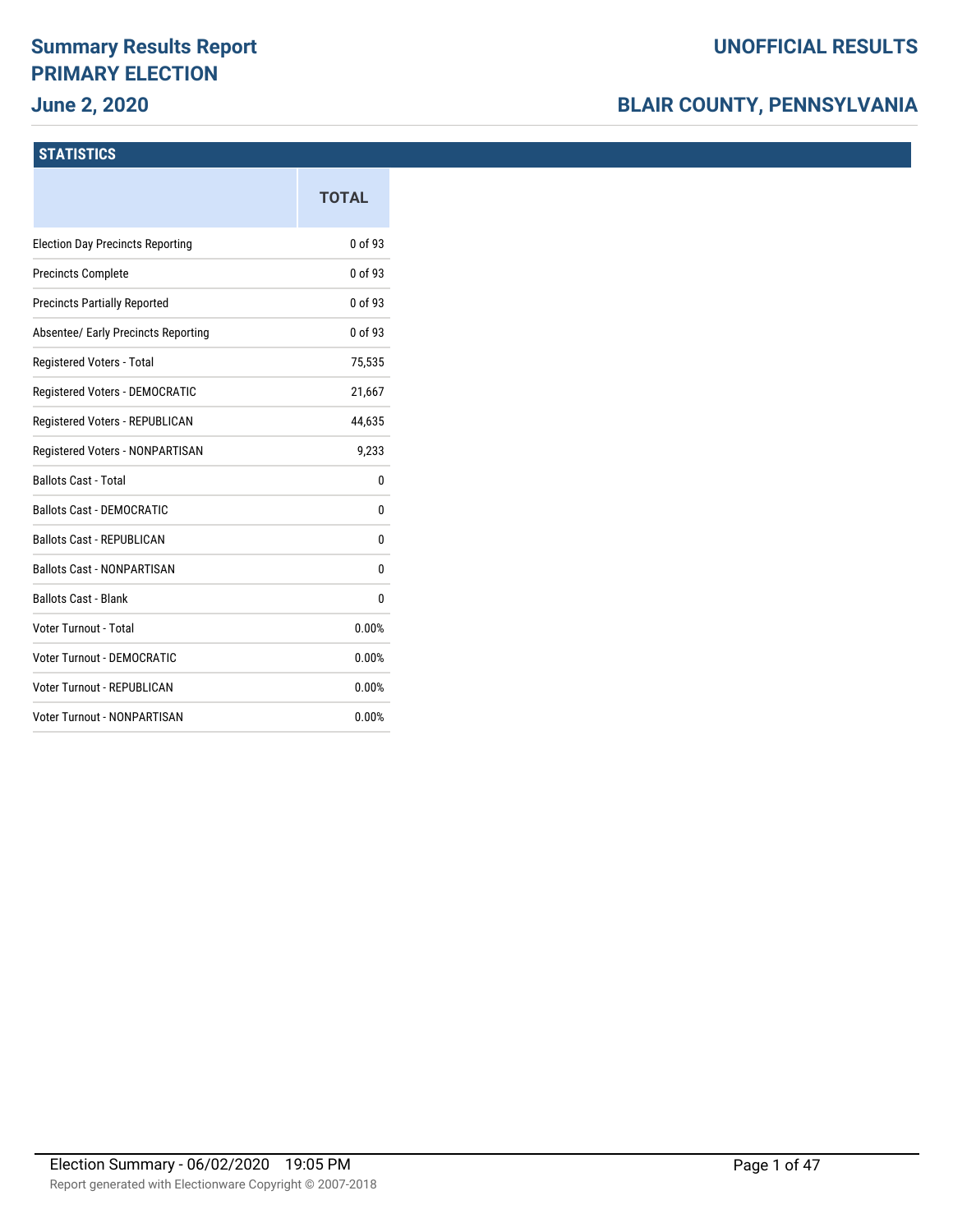# **Summary Results Report PRIMARY ELECTION**

### **June 2, 2020**

### **BLAIR COUNTY, PENNSYLVANIA**

#### **STATISTICS**

|                                         | <b>TOTAL</b> |
|-----------------------------------------|--------------|
| <b>Election Day Precincts Reporting</b> | 0 of 93      |
| <b>Precincts Complete</b>               | 0 of 93      |
| <b>Precincts Partially Reported</b>     | 0 of 93      |
| Absentee/ Early Precincts Reporting     | 0 of 93      |
| Registered Voters - Total               | 75,535       |
| Registered Voters - DEMOCRATIC          | 21,667       |
| Registered Voters - REPUBLICAN          | 44,635       |
| Registered Voters - NONPARTISAN         | 9,233        |
| <b>Ballots Cast - Total</b>             | 0            |
| <b>Ballots Cast - DEMOCRATIC</b>        | 0            |
| <b>Ballots Cast - REPUBLICAN</b>        | 0            |
| <b>Ballots Cast - NONPARTISAN</b>       | 0            |
| <b>Ballots Cast - Blank</b>             | 0            |
| Voter Turnout - Total                   | 0.00%        |
| Voter Turnout - DEMOCRATIC              | 0.00%        |
| Voter Turnout - REPUBLICAN              | 0.00%        |
| <b>Voter Turnout - NONPARTISAN</b>      | 0.00%        |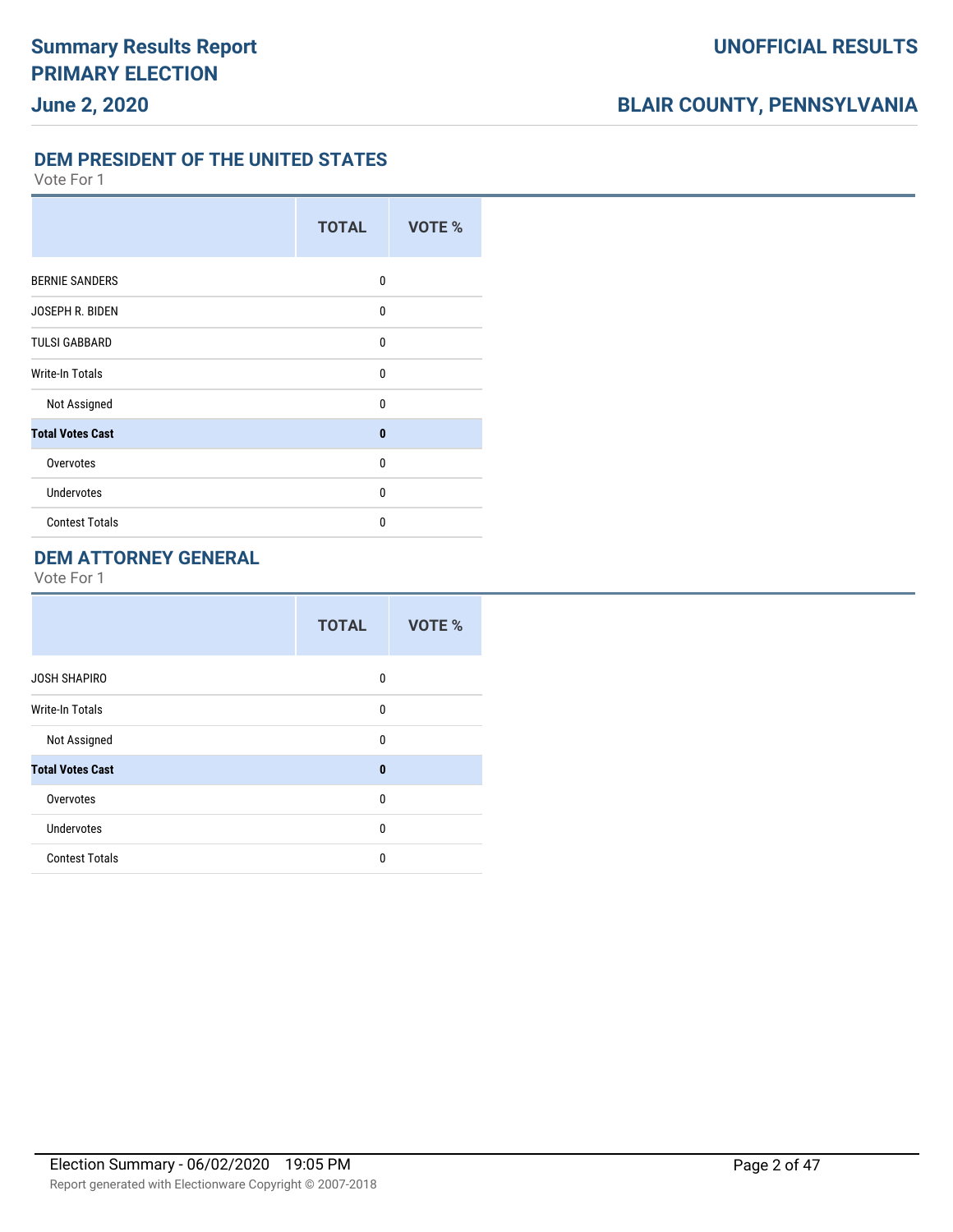**DEM PRESIDENT OF THE UNITED STATES**

Vote For 1

|                         | <b>TOTAL</b> | <b>VOTE %</b> |
|-------------------------|--------------|---------------|
| <b>BERNIE SANDERS</b>   | 0            |               |
| JOSEPH R. BIDEN         | $\mathbf{0}$ |               |
| <b>TULSI GABBARD</b>    | $\mathbf{0}$ |               |
| <b>Write-In Totals</b>  | 0            |               |
| Not Assigned            | 0            |               |
| <b>Total Votes Cast</b> | $\bf{0}$     |               |
| Overvotes               | 0            |               |
| <b>Undervotes</b>       | $\Omega$     |               |
| <b>Contest Totals</b>   | $\Omega$     |               |

### **DEM ATTORNEY GENERAL**

|                         | <b>TOTAL</b> | VOTE % |
|-------------------------|--------------|--------|
| <b>JOSH SHAPIRO</b>     | 0            |        |
| <b>Write-In Totals</b>  | $\mathbf{0}$ |        |
| Not Assigned            | 0            |        |
| <b>Total Votes Cast</b> | $\bf{0}$     |        |
| Overvotes               | $\mathbf{0}$ |        |
| Undervotes              | $\mathbf{0}$ |        |
| <b>Contest Totals</b>   | $\mathbf{0}$ |        |
|                         |              |        |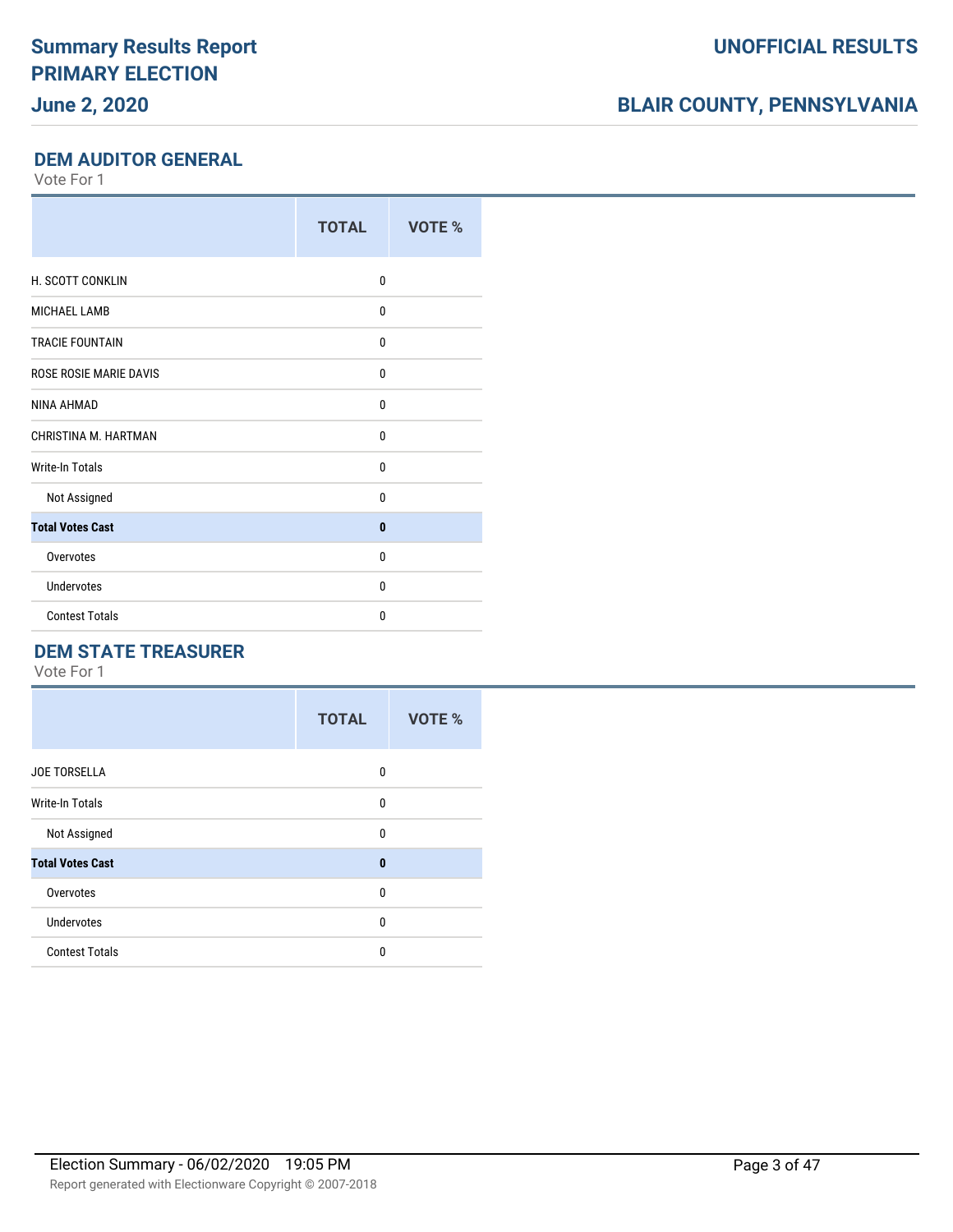### **June 2, 2020**

### **BLAIR COUNTY, PENNSYLVANIA**

#### **DEM AUDITOR GENERAL**

Vote For 1

|                         | <b>TOTAL</b> | VOTE % |
|-------------------------|--------------|--------|
| H. SCOTT CONKLIN        | 0            |        |
| <b>MICHAEL LAMB</b>     | 0            |        |
| <b>TRACIE FOUNTAIN</b>  | 0            |        |
| ROSE ROSIE MARIE DAVIS  | 0            |        |
| NINA AHMAD              | 0            |        |
| CHRISTINA M. HARTMAN    | 0            |        |
| <b>Write-In Totals</b>  | 0            |        |
| Not Assigned            | 0            |        |
| <b>Total Votes Cast</b> | $\mathbf{0}$ |        |
| Overvotes               | 0            |        |
| Undervotes              | 0            |        |
| <b>Contest Totals</b>   | 0            |        |

### **DEM STATE TREASURER**

|                         | <b>TOTAL</b> | <b>VOTE %</b> |  |
|-------------------------|--------------|---------------|--|
| <b>JOE TORSELLA</b>     | 0            |               |  |
| <b>Write-In Totals</b>  | 0            |               |  |
| Not Assigned            | 0            |               |  |
| <b>Total Votes Cast</b> | $\mathbf{0}$ |               |  |
| Overvotes               | 0            |               |  |
| <b>Undervotes</b>       | 0            |               |  |
| <b>Contest Totals</b>   | 0            |               |  |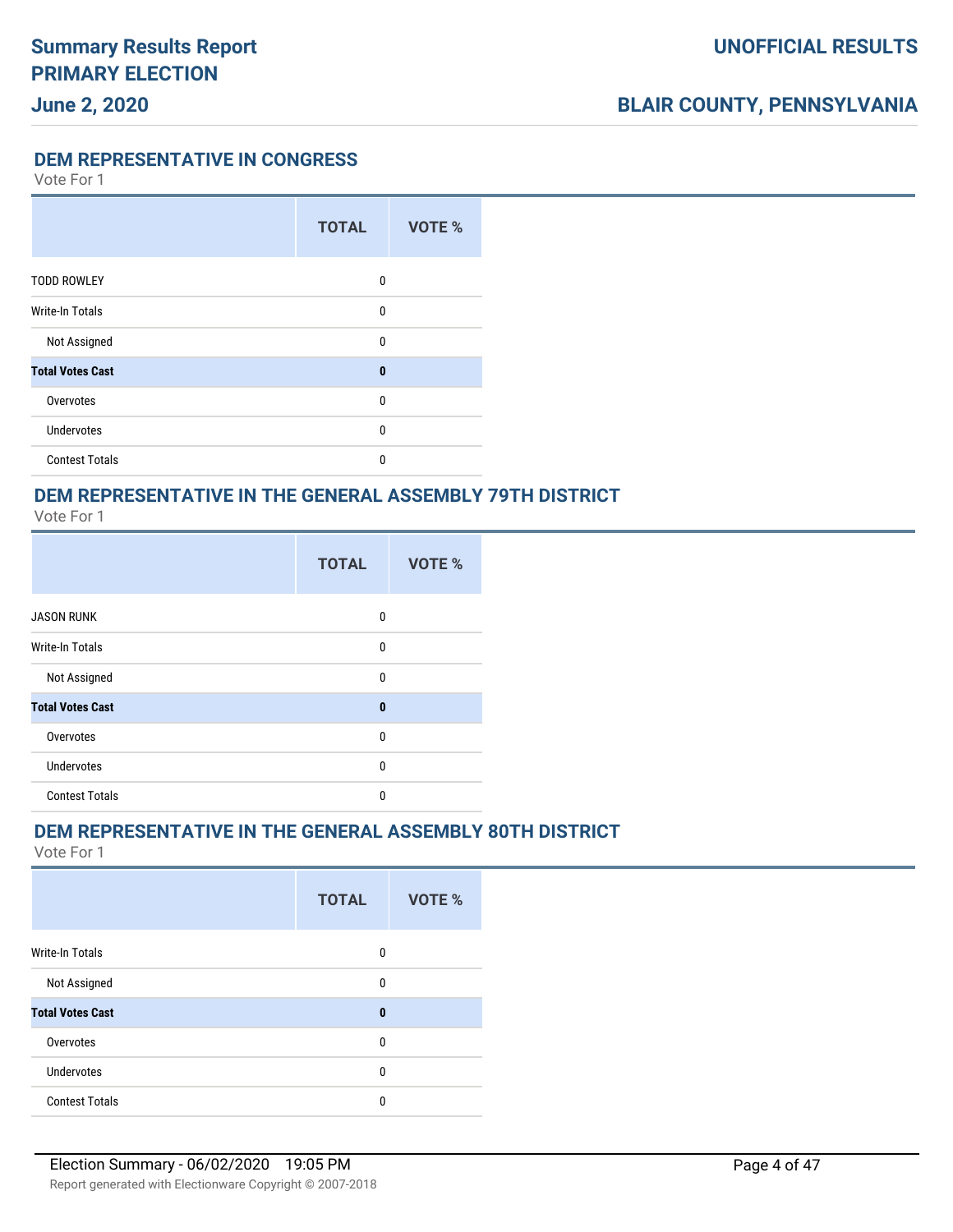**DEM REPRESENTATIVE IN CONGRESS**

Vote For 1

**June 2, 2020**

|                         | <b>TOTAL</b> | <b>VOTE %</b> |
|-------------------------|--------------|---------------|
| <b>TODD ROWLEY</b>      | 0            |               |
| <b>Write-In Totals</b>  | 0            |               |
| Not Assigned            | 0            |               |
| <b>Total Votes Cast</b> | $\bf{0}$     |               |
| Overvotes               | 0            |               |
| <b>Undervotes</b>       | 0            |               |
| <b>Contest Totals</b>   | 0            |               |

### **DEM REPRESENTATIVE IN THE GENERAL ASSEMBLY 79TH DISTRICT**

Vote For 1

|                         | <b>TOTAL</b> |             | VOTE % |  |
|-------------------------|--------------|-------------|--------|--|
| <b>JASON RUNK</b>       |              | 0           |        |  |
| <b>Write-In Totals</b>  |              | 0           |        |  |
| Not Assigned            |              | $\mathbf 0$ |        |  |
| <b>Total Votes Cast</b> |              | $\bf{0}$    |        |  |
| Overvotes               |              | $\mathbf 0$ |        |  |
| <b>Undervotes</b>       |              | $\mathbf 0$ |        |  |
| <b>Contest Totals</b>   |              | $\mathbf 0$ |        |  |

#### **DEM REPRESENTATIVE IN THE GENERAL ASSEMBLY 80TH DISTRICT**

|                         | <b>TOTAL</b> | VOTE % |
|-------------------------|--------------|--------|
| Write-In Totals         | 0            |        |
| Not Assigned            | 0            |        |
| <b>Total Votes Cast</b> | $\bf{0}$     |        |
| Overvotes               | 0            |        |
| <b>Undervotes</b>       | 0            |        |
| <b>Contest Totals</b>   | 0            |        |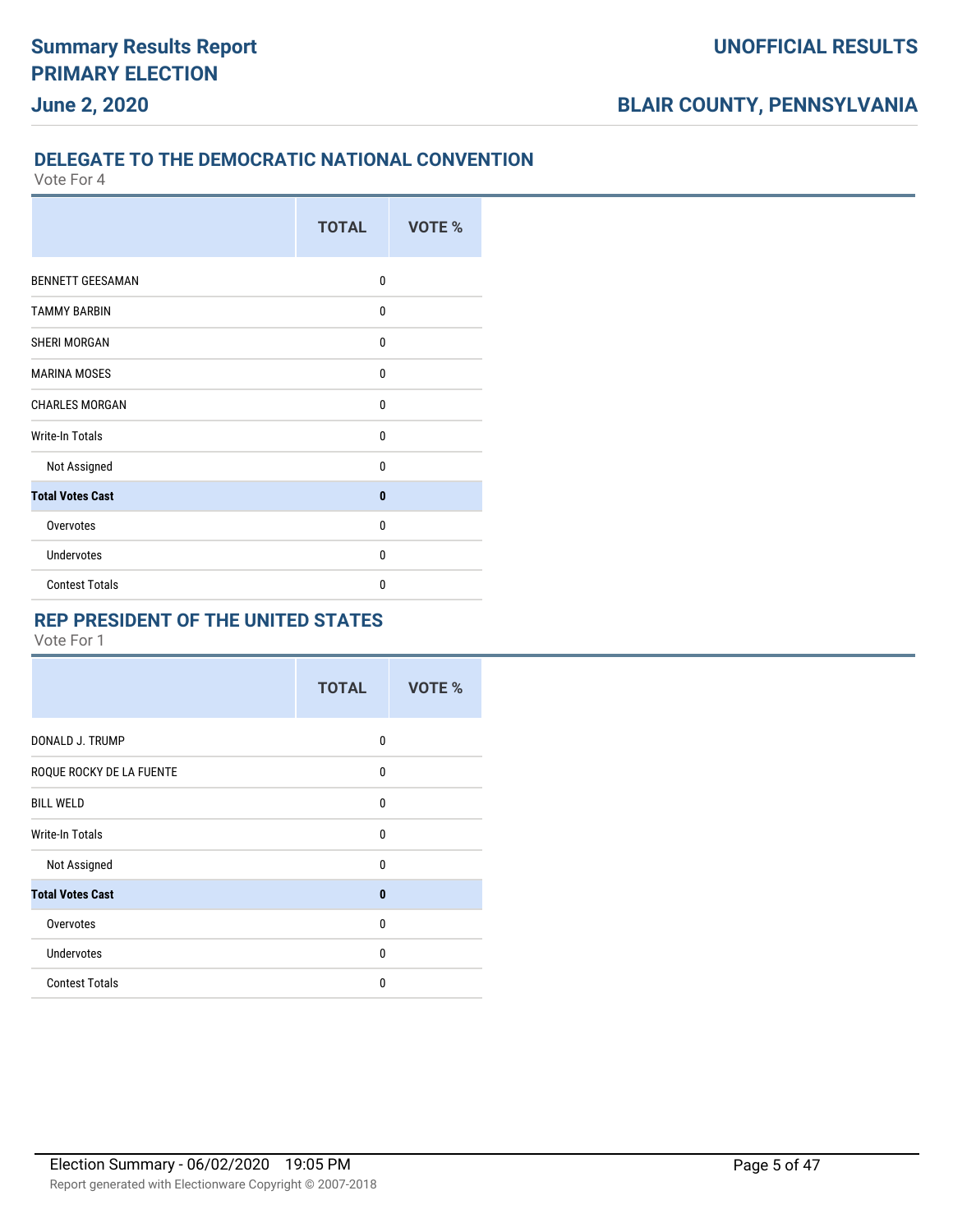#### **DELEGATE TO THE DEMOCRATIC NATIONAL CONVENTION**

Vote For 4

|                         | <b>TOTAL</b> | <b>VOTE %</b> |  |  |
|-------------------------|--------------|---------------|--|--|
| <b>BENNETT GEESAMAN</b> | 0            |               |  |  |
| <b>TAMMY BARBIN</b>     | 0            |               |  |  |
| SHERI MORGAN            | 0            |               |  |  |
| <b>MARINA MOSES</b>     | 0            |               |  |  |
| <b>CHARLES MORGAN</b>   | 0            |               |  |  |
| Write-In Totals         | 0            |               |  |  |
| Not Assigned            | 0            |               |  |  |
| <b>Total Votes Cast</b> | 0            |               |  |  |
| Overvotes               | 0            |               |  |  |
| <b>Undervotes</b>       | 0            |               |  |  |
| <b>Contest Totals</b>   | 0            |               |  |  |

#### **REP PRESIDENT OF THE UNITED STATES**

|                          | <b>TOTAL</b> | VOTE % |
|--------------------------|--------------|--------|
| DONALD J. TRUMP          | 0            |        |
| ROQUE ROCKY DE LA FUENTE | $\Omega$     |        |
| <b>BILL WELD</b>         | 0            |        |
| Write-In Totals          | $\Omega$     |        |
| Not Assigned             | 0            |        |
| <b>Total Votes Cast</b>  | $\bf{0}$     |        |
| Overvotes                | 0            |        |
| <b>Undervotes</b>        | $\Omega$     |        |
| <b>Contest Totals</b>    | 0            |        |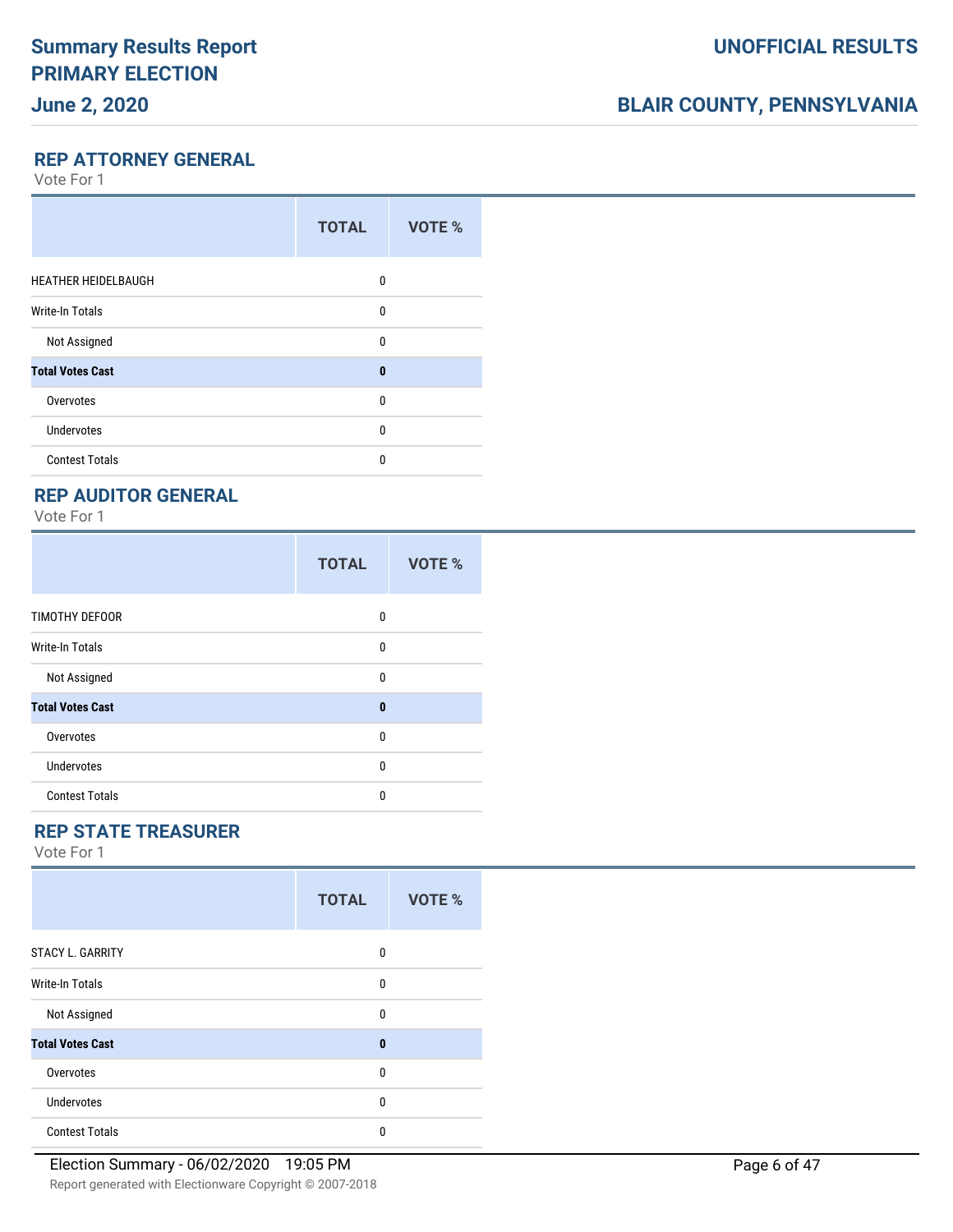### **June 2, 2020**

### **BLAIR COUNTY, PENNSYLVANIA**

**REP ATTORNEY GENERAL**

Vote For 1

|                            | <b>TOTAL</b> | VOTE % |
|----------------------------|--------------|--------|
| <b>HEATHER HEIDELBAUGH</b> | 0            |        |
| <b>Write-In Totals</b>     | 0            |        |
| Not Assigned               | $\Omega$     |        |
| <b>Total Votes Cast</b>    | $\bf{0}$     |        |
| Overvotes                  | $\Omega$     |        |
| <b>Undervotes</b>          | $\Omega$     |        |
| <b>Contest Totals</b>      | $\Omega$     |        |

#### **REP AUDITOR GENERAL**

Vote For 1

|                         | <b>TOTAL</b> | VOTE % |
|-------------------------|--------------|--------|
| <b>TIMOTHY DEFOOR</b>   | 0            |        |
| Write-In Totals         | 0            |        |
| Not Assigned            | $\mathbf{0}$ |        |
| <b>Total Votes Cast</b> | $\bf{0}$     |        |
| Overvotes               | $\mathbf{0}$ |        |
| Undervotes              | 0            |        |
| <b>Contest Totals</b>   | 0            |        |

### **REP STATE TREASURER**

|                         | <b>TOTAL</b> | VOTE % |
|-------------------------|--------------|--------|
| <b>STACY L. GARRITY</b> | 0            |        |
| <b>Write-In Totals</b>  | 0            |        |
| Not Assigned            | 0            |        |
| <b>Total Votes Cast</b> | $\bf{0}$     |        |
| Overvotes               | $\Omega$     |        |
| <b>Undervotes</b>       | 0            |        |
| <b>Contest Totals</b>   | $\Omega$     |        |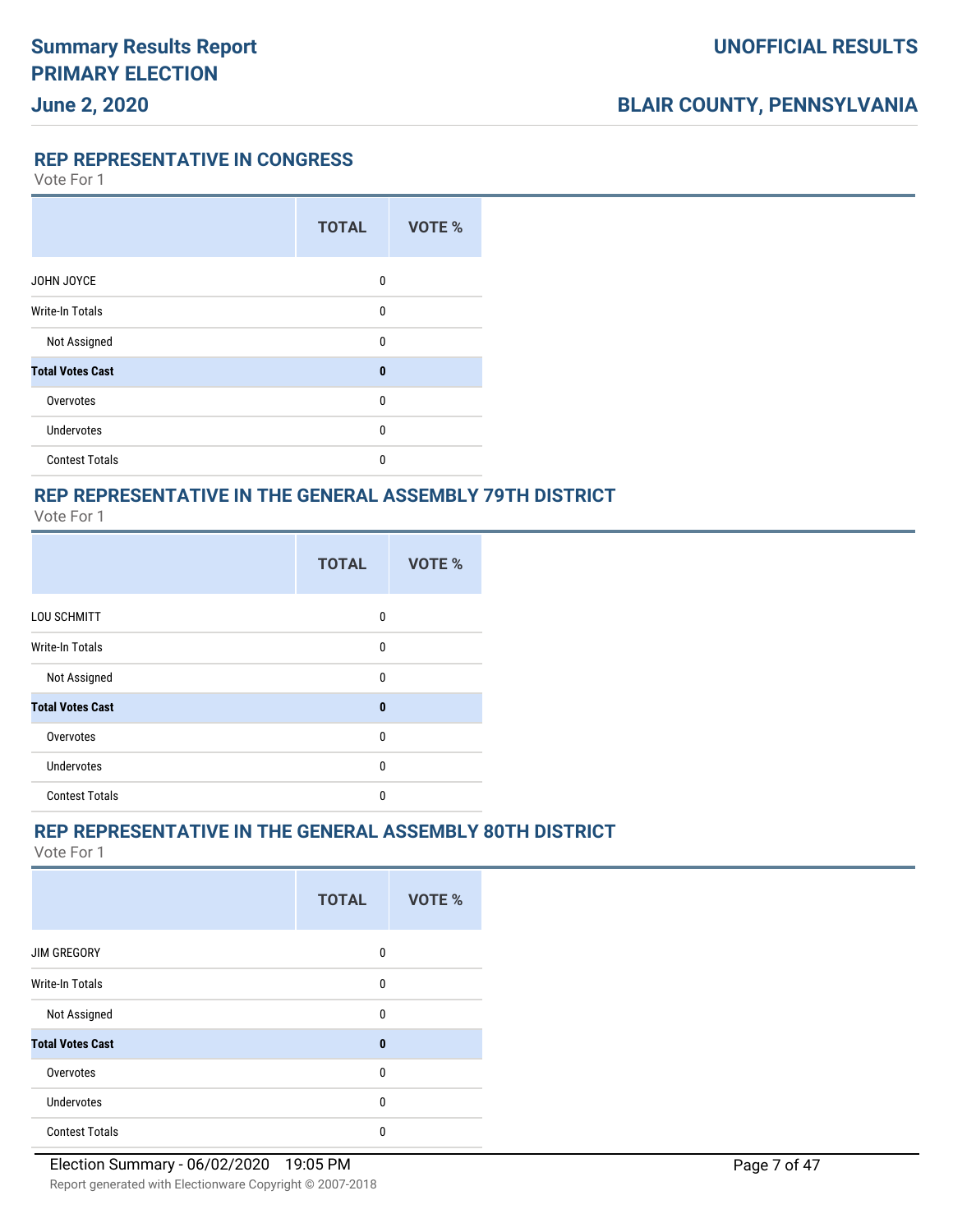**REP REPRESENTATIVE IN CONGRESS**

Vote For 1

|                         | <b>TOTAL</b> | VOTE % |
|-------------------------|--------------|--------|
| JOHN JOYCE              | 0            |        |
| <b>Write-In Totals</b>  | 0            |        |
| Not Assigned            | $\mathbf{0}$ |        |
| <b>Total Votes Cast</b> | $\bf{0}$     |        |
| Overvotes               | $\mathbf{0}$ |        |
| <b>Undervotes</b>       | 0            |        |
| <b>Contest Totals</b>   | 0            |        |

### **REP REPRESENTATIVE IN THE GENERAL ASSEMBLY 79TH DISTRICT**

Vote For 1

|                         | <b>TOTAL</b> | <b>VOTE %</b> |  |  |
|-------------------------|--------------|---------------|--|--|
| LOU SCHMITT             | 0            |               |  |  |
| <b>Write-In Totals</b>  | 0            |               |  |  |
| Not Assigned            | $\mathbf 0$  |               |  |  |
| <b>Total Votes Cast</b> | $\bf{0}$     |               |  |  |
| Overvotes               | $\mathbf 0$  |               |  |  |
| Undervotes              | $\mathbf 0$  |               |  |  |
| <b>Contest Totals</b>   | $\mathbf{0}$ |               |  |  |

#### **REP REPRESENTATIVE IN THE GENERAL ASSEMBLY 80TH DISTRICT**

|                         | <b>TOTAL</b> | VOTE % |
|-------------------------|--------------|--------|
| <b>JIM GREGORY</b>      | 0            |        |
| Write-In Totals         | 0            |        |
| Not Assigned            | 0            |        |
| <b>Total Votes Cast</b> | $\bf{0}$     |        |
| Overvotes               | 0            |        |
| Undervotes              | 0            |        |
| <b>Contest Totals</b>   | 0            |        |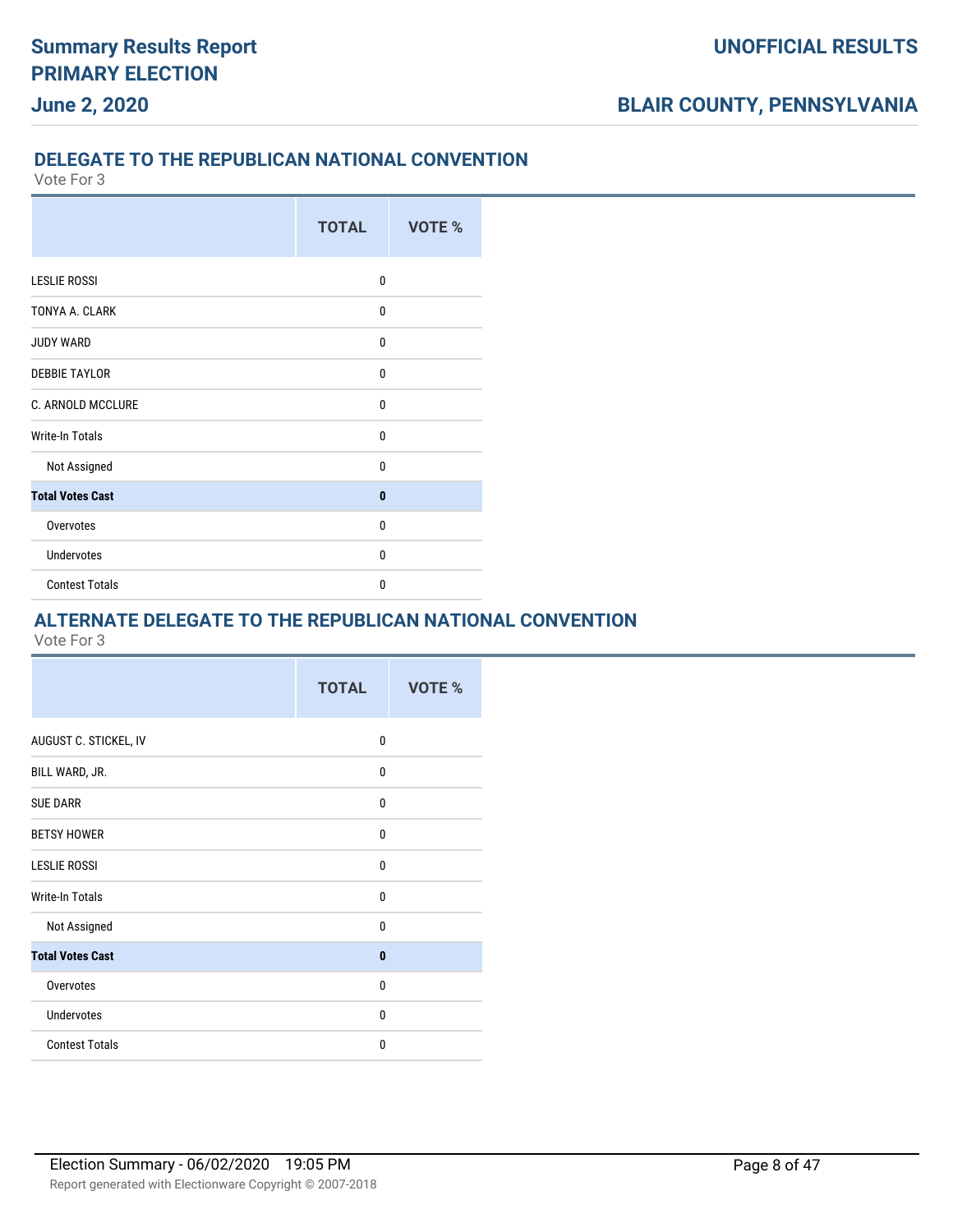### **DELEGATE TO THE REPUBLICAN NATIONAL CONVENTION**

Vote For 3

|                          | <b>TOTAL</b> | VOTE % |
|--------------------------|--------------|--------|
|                          |              |        |
| <b>LESLIE ROSSI</b>      | $\mathbf{0}$ |        |
| TONYA A. CLARK           | 0            |        |
| <b>JUDY WARD</b>         | 0            |        |
| <b>DEBBIE TAYLOR</b>     | $\mathbf{0}$ |        |
| <b>C. ARNOLD MCCLURE</b> | $\mathbf{0}$ |        |
| <b>Write-In Totals</b>   | $\mathbf{0}$ |        |
| Not Assigned             | $\mathbf{0}$ |        |
| <b>Total Votes Cast</b>  | $\bf{0}$     |        |
| Overvotes                | $\mathbf{0}$ |        |
| <b>Undervotes</b>        | $\mathbf{0}$ |        |
| <b>Contest Totals</b>    | 0            |        |

#### **ALTERNATE DELEGATE TO THE REPUBLICAN NATIONAL CONVENTION**

|                         | <b>TOTAL</b> | VOTE % |
|-------------------------|--------------|--------|
| AUGUST C. STICKEL, IV   | 0            |        |
| BILL WARD, JR.          | $\mathbf{0}$ |        |
| <b>SUE DARR</b>         | $\mathbf{0}$ |        |
| <b>BETSY HOWER</b>      | $\mathbf{0}$ |        |
| <b>LESLIE ROSSI</b>     | $\mathbf{0}$ |        |
| <b>Write-In Totals</b>  | $\mathbf{0}$ |        |
| Not Assigned            | $\mathbf{0}$ |        |
| <b>Total Votes Cast</b> | $\bf{0}$     |        |
| Overvotes               | $\mathbf{0}$ |        |
| <b>Undervotes</b>       | $\mathbf{0}$ |        |
| <b>Contest Totals</b>   | $\mathbf{0}$ |        |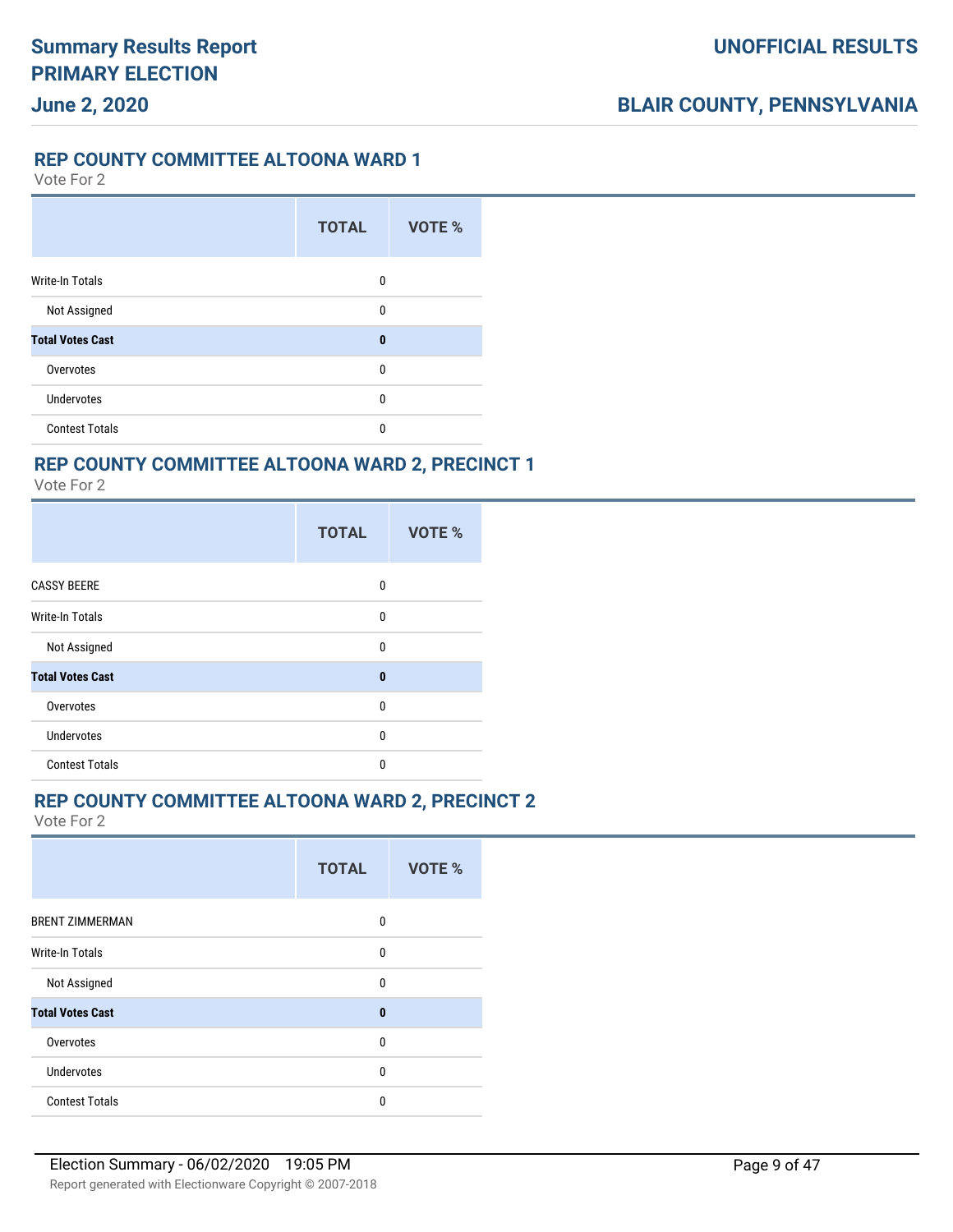#### **UNOFFICIAL RESULTS**

### **BLAIR COUNTY, PENNSYLVANIA**

#### **REP COUNTY COMMITTEE ALTOONA WARD 1**

Vote For 2

|                         | <b>TOTAL</b> | VOTE % |
|-------------------------|--------------|--------|
| <b>Write-In Totals</b>  | 0            |        |
| Not Assigned            | 0            |        |
| <b>Total Votes Cast</b> | $\bf{0}$     |        |
| Overvotes               | 0            |        |
| <b>Undervotes</b>       | 0            |        |
| <b>Contest Totals</b>   | 0            |        |

### **REP COUNTY COMMITTEE ALTOONA WARD 2, PRECINCT 1**

Vote For 2

|                         | <b>TOTAL</b> | <b>VOTE %</b> |  |
|-------------------------|--------------|---------------|--|
| <b>CASSY BEERE</b>      | 0            |               |  |
| <b>Write-In Totals</b>  | 0            |               |  |
| Not Assigned            | $\mathbf{0}$ |               |  |
| <b>Total Votes Cast</b> | $\bf{0}$     |               |  |
| Overvotes               | 0            |               |  |
| <b>Undervotes</b>       | 0            |               |  |
| <b>Contest Totals</b>   | 0            |               |  |

#### **REP COUNTY COMMITTEE ALTOONA WARD 2, PRECINCT 2**

|                         | <b>TOTAL</b> | VOTE % |
|-------------------------|--------------|--------|
| <b>BRENT ZIMMERMAN</b>  | 0            |        |
| <b>Write-In Totals</b>  | 0            |        |
| Not Assigned            | $\mathbf{0}$ |        |
| <b>Total Votes Cast</b> | $\bf{0}$     |        |
| Overvotes               | 0            |        |
| Undervotes              | 0            |        |
| <b>Contest Totals</b>   | $\mathbf{0}$ |        |
|                         |              |        |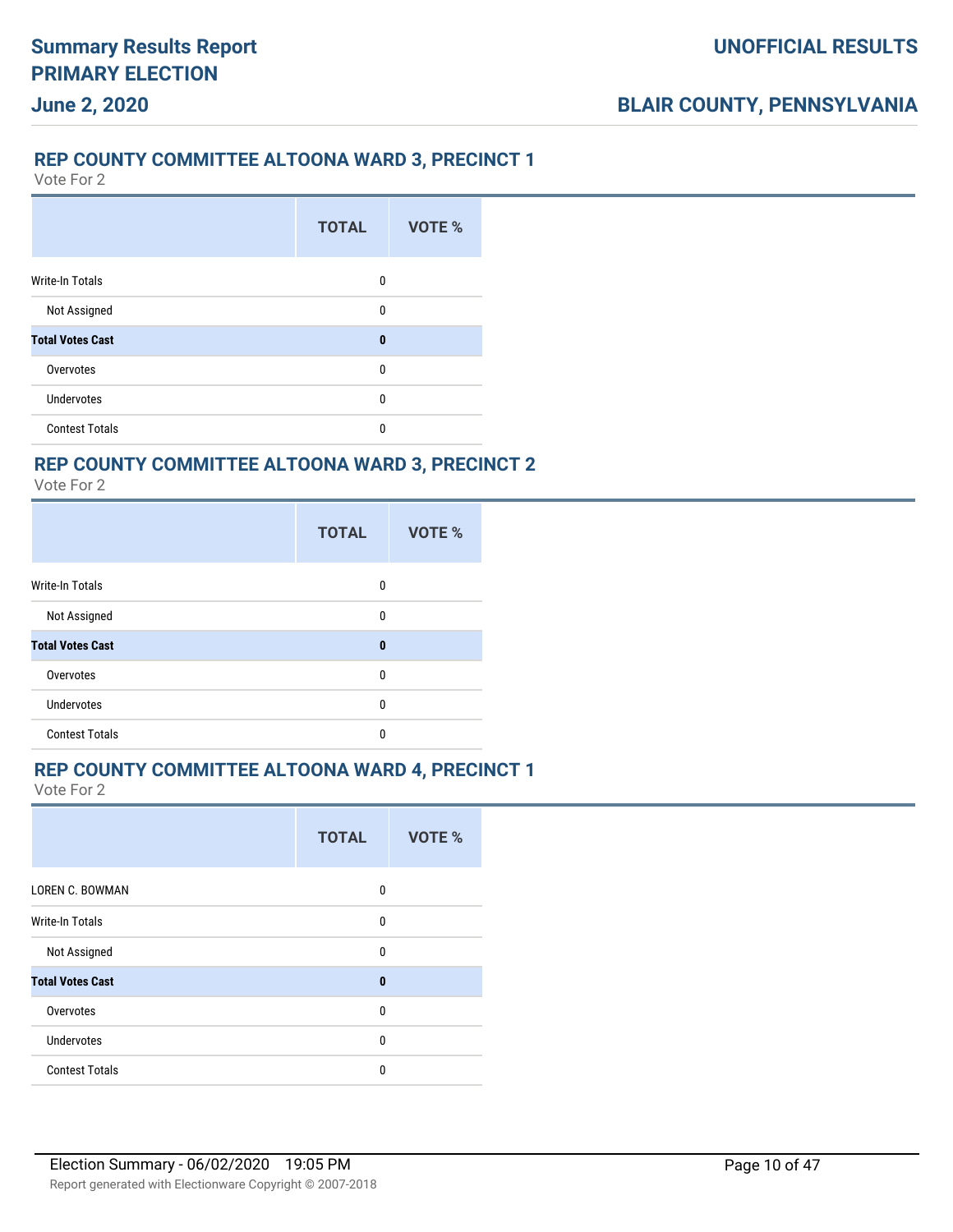### **REP COUNTY COMMITTEE ALTOONA WARD 3, PRECINCT 1**

Vote For 2

**June 2, 2020**

|                         | <b>TOTAL</b> | VOTE % |
|-------------------------|--------------|--------|
| <b>Write-In Totals</b>  | 0            |        |
| Not Assigned            | 0            |        |
| <b>Total Votes Cast</b> | $\bf{0}$     |        |
| Overvotes               | 0            |        |
| Undervotes              | 0            |        |
| <b>Contest Totals</b>   | 0            |        |

### **REP COUNTY COMMITTEE ALTOONA WARD 3, PRECINCT 2**

Vote For 2

|                         | <b>TOTAL</b> | VOTE % |
|-------------------------|--------------|--------|
| <b>Write-In Totals</b>  | 0            |        |
| Not Assigned            | 0            |        |
| <b>Total Votes Cast</b> | $\bf{0}$     |        |
| Overvotes               | $\mathbf{0}$ |        |
| <b>Undervotes</b>       | $\mathbf{0}$ |        |
| <b>Contest Totals</b>   | 0            |        |

#### **REP COUNTY COMMITTEE ALTOONA WARD 4, PRECINCT 1**

|                         | <b>TOTAL</b> | VOTE % |
|-------------------------|--------------|--------|
| <b>LOREN C. BOWMAN</b>  | 0            |        |
| <b>Write-In Totals</b>  | $\mathbf{0}$ |        |
| Not Assigned            | $\mathbf{0}$ |        |
| <b>Total Votes Cast</b> | $\bf{0}$     |        |
| Overvotes               | $\mathbf{0}$ |        |
| <b>Undervotes</b>       | 0            |        |
| <b>Contest Totals</b>   | $\Omega$     |        |
|                         |              |        |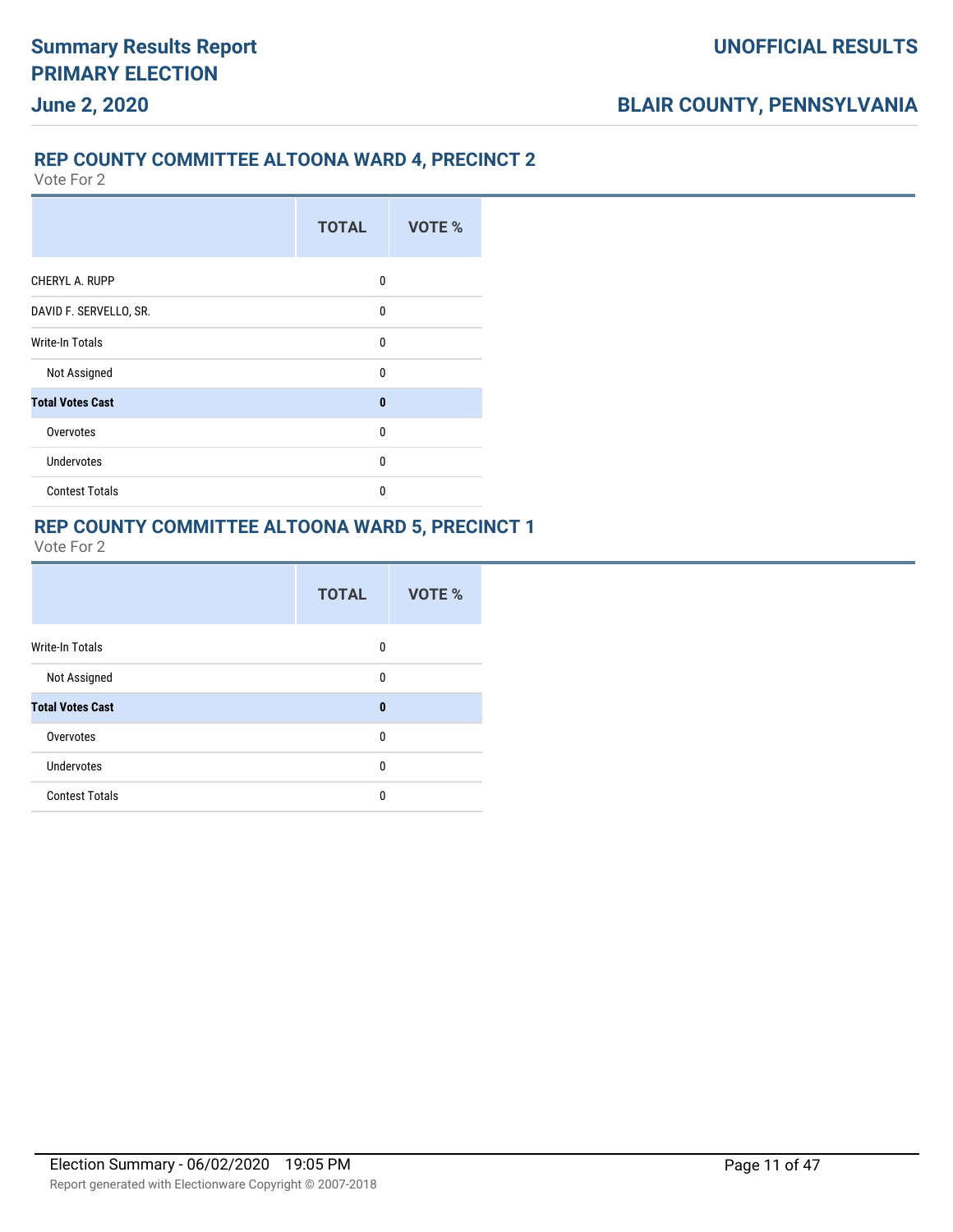### **REP COUNTY COMMITTEE ALTOONA WARD 4, PRECINCT 2**

Vote For 2

|                         | <b>TOTAL</b> | VOTE % |
|-------------------------|--------------|--------|
| CHERYL A. RUPP          | 0            |        |
| DAVID F. SERVELLO, SR.  | 0            |        |
| Write-In Totals         | $\mathbf{0}$ |        |
| Not Assigned            | $\Omega$     |        |
| <b>Total Votes Cast</b> | $\mathbf{0}$ |        |
| Overvotes               | $\Omega$     |        |
| <b>Undervotes</b>       | $\mathbf{0}$ |        |
| <b>Contest Totals</b>   | 0            |        |

#### **REP COUNTY COMMITTEE ALTOONA WARD 5, PRECINCT 1**

|                         | <b>TOTAL</b> | VOTE % |
|-------------------------|--------------|--------|
| <b>Write-In Totals</b>  | 0            |        |
| Not Assigned            | 0            |        |
| <b>Total Votes Cast</b> | $\bf{0}$     |        |
| Overvotes               | $\mathbf{0}$ |        |
| <b>Undervotes</b>       | 0            |        |
| <b>Contest Totals</b>   | 0            |        |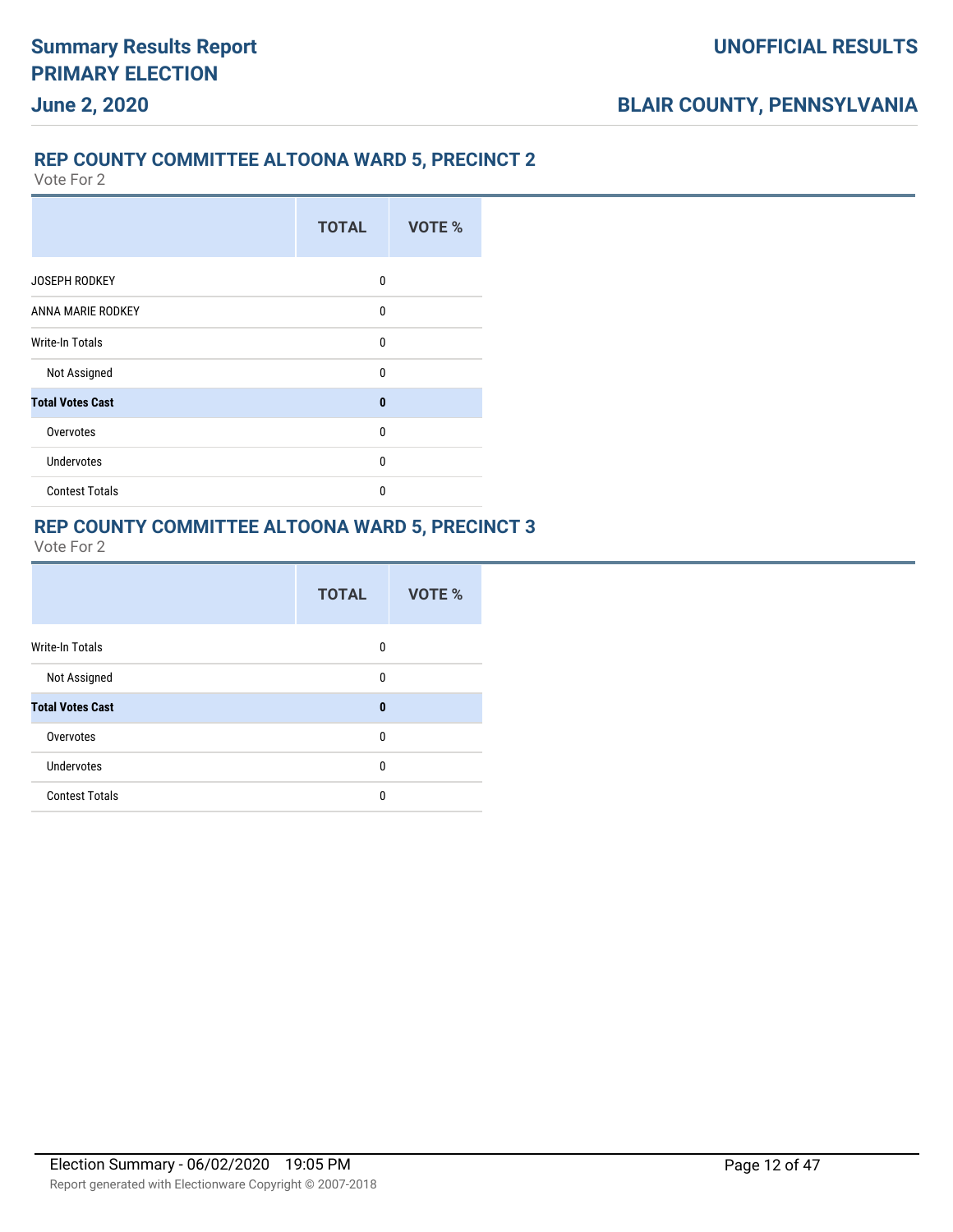### **REP COUNTY COMMITTEE ALTOONA WARD 5, PRECINCT 2**

Vote For 2

|                         | <b>TOTAL</b> | <b>VOTE %</b> |
|-------------------------|--------------|---------------|
| <b>JOSEPH RODKEY</b>    | 0            |               |
| ANNA MARIE RODKEY       | $\mathbf{0}$ |               |
| Write-In Totals         | $\mathbf{0}$ |               |
| Not Assigned            | $\Omega$     |               |
| <b>Total Votes Cast</b> | $\bf{0}$     |               |
| Overvotes               | $\Omega$     |               |
| <b>Undervotes</b>       | $\mathbf{0}$ |               |
| <b>Contest Totals</b>   | $\Omega$     |               |

#### **REP COUNTY COMMITTEE ALTOONA WARD 5, PRECINCT 3**

|                         | <b>TOTAL</b> | VOTE % |
|-------------------------|--------------|--------|
| <b>Write-In Totals</b>  | 0            |        |
| Not Assigned            | $\mathbf{0}$ |        |
| <b>Total Votes Cast</b> | $\bf{0}$     |        |
| Overvotes               | $\mathbf{0}$ |        |
| Undervotes              | 0            |        |
| <b>Contest Totals</b>   | $\mathbf{0}$ |        |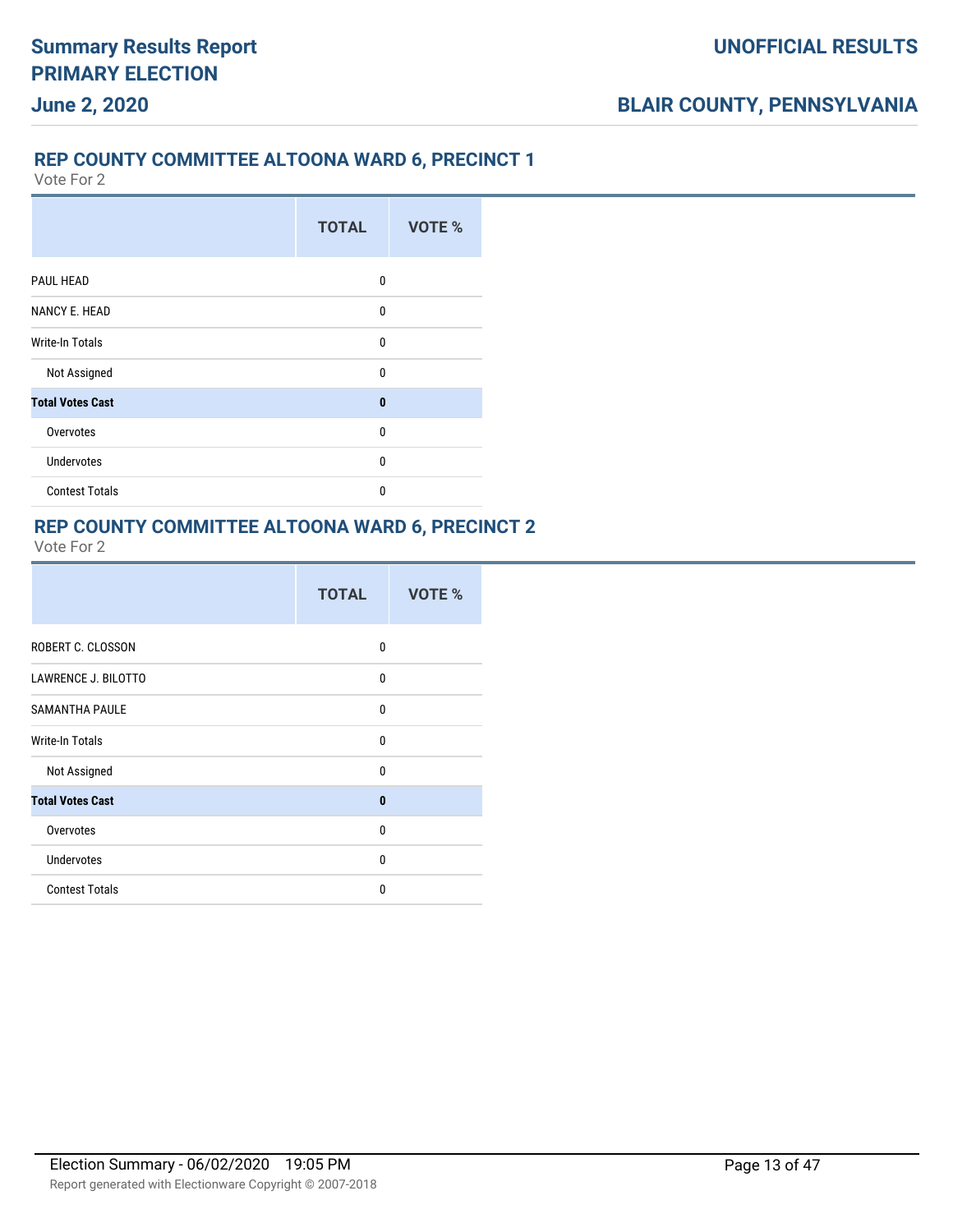### **REP COUNTY COMMITTEE ALTOONA WARD 6, PRECINCT 1**

Vote For 2

|                         | <b>TOTAL</b> | VOTE % |
|-------------------------|--------------|--------|
| PAUL HEAD               | $\Omega$     |        |
| <b>NANCY E. HEAD</b>    | $\mathbf{0}$ |        |
| Write-In Totals         | 0            |        |
| Not Assigned            | $\Omega$     |        |
| <b>Total Votes Cast</b> | $\bf{0}$     |        |
| Overvotes               | $\mathbf{0}$ |        |
| <b>Undervotes</b>       | $\mathbf{0}$ |        |
| <b>Contest Totals</b>   | 0            |        |

### **REP COUNTY COMMITTEE ALTOONA WARD 6, PRECINCT 2**

|                            | <b>TOTAL</b> | <b>VOTE %</b> |
|----------------------------|--------------|---------------|
| ROBERT C. CLOSSON          | 0            |               |
| <b>LAWRENCE J. BILOTTO</b> | $\mathbf{0}$ |               |
| <b>SAMANTHA PAULE</b>      | 0            |               |
| Write-In Totals            | $\Omega$     |               |
| Not Assigned               | $\mathbf{0}$ |               |
| <b>Total Votes Cast</b>    | $\bf{0}$     |               |
| Overvotes                  | $\mathbf{0}$ |               |
| <b>Undervotes</b>          | $\mathbf{0}$ |               |
| <b>Contest Totals</b>      | $\Omega$     |               |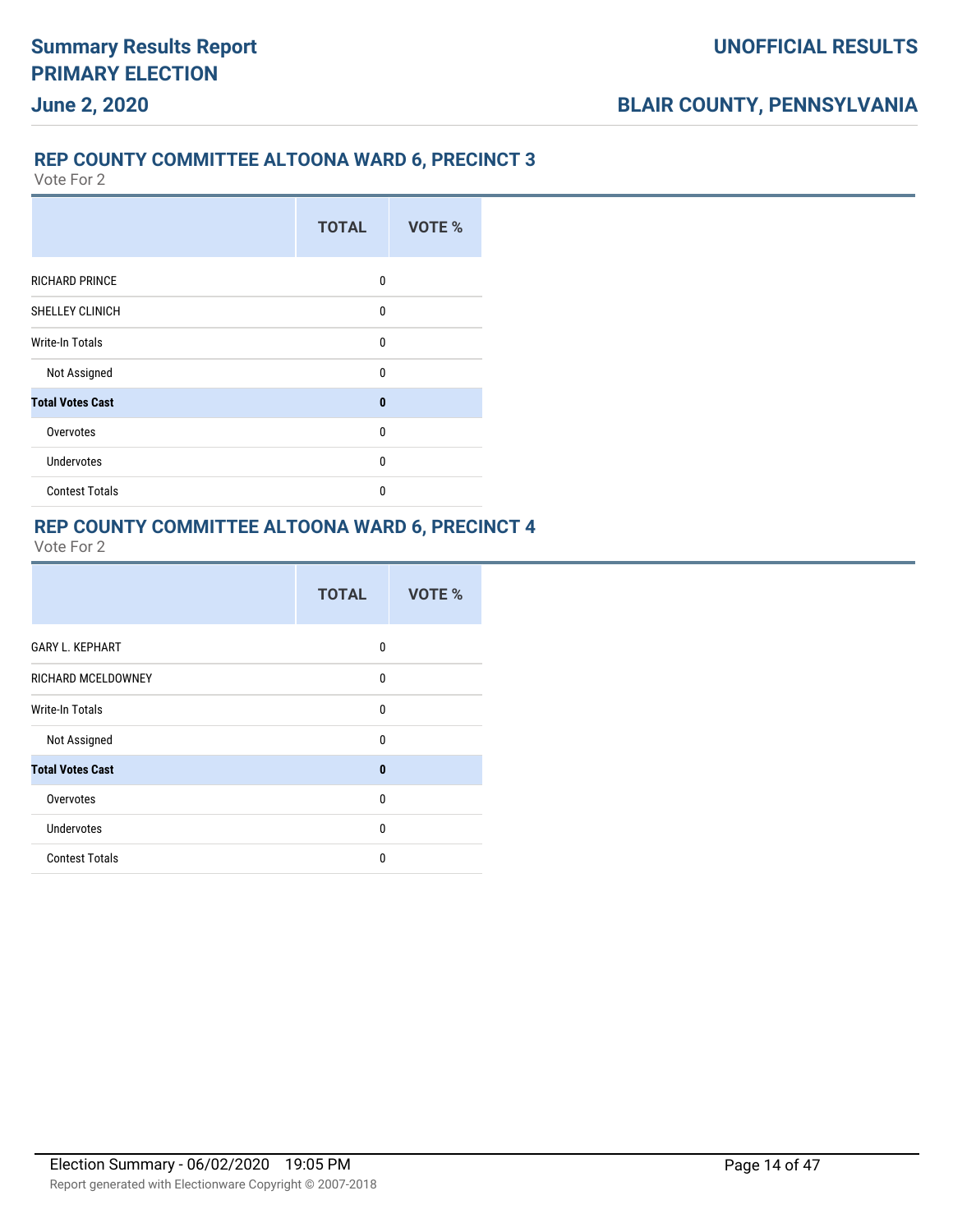### **REP COUNTY COMMITTEE ALTOONA WARD 6, PRECINCT 3**

Vote For 2

|                         | <b>TOTAL</b> | VOTE % |
|-------------------------|--------------|--------|
| <b>RICHARD PRINCE</b>   | $\Omega$     |        |
| SHELLEY CLINICH         | $\mathbf{0}$ |        |
| Write-In Totals         | $\mathbf{0}$ |        |
| Not Assigned            | $\Omega$     |        |
| <b>Total Votes Cast</b> | $\mathbf{0}$ |        |
| Overvotes               | $\Omega$     |        |
| <b>Undervotes</b>       | 0            |        |
| <b>Contest Totals</b>   | $\Omega$     |        |

#### **REP COUNTY COMMITTEE ALTOONA WARD 6, PRECINCT 4**

|                         | <b>TOTAL</b> | VOTE % |
|-------------------------|--------------|--------|
| <b>GARY L. KEPHART</b>  | 0            |        |
| RICHARD MCELDOWNEY      | $\Omega$     |        |
| <b>Write-In Totals</b>  | $\Omega$     |        |
| Not Assigned            | 0            |        |
| <b>Total Votes Cast</b> | $\mathbf{0}$ |        |
| Overvotes               | $\mathbf{0}$ |        |
| <b>Undervotes</b>       | $\mathbf{0}$ |        |
| <b>Contest Totals</b>   | $\mathbf{0}$ |        |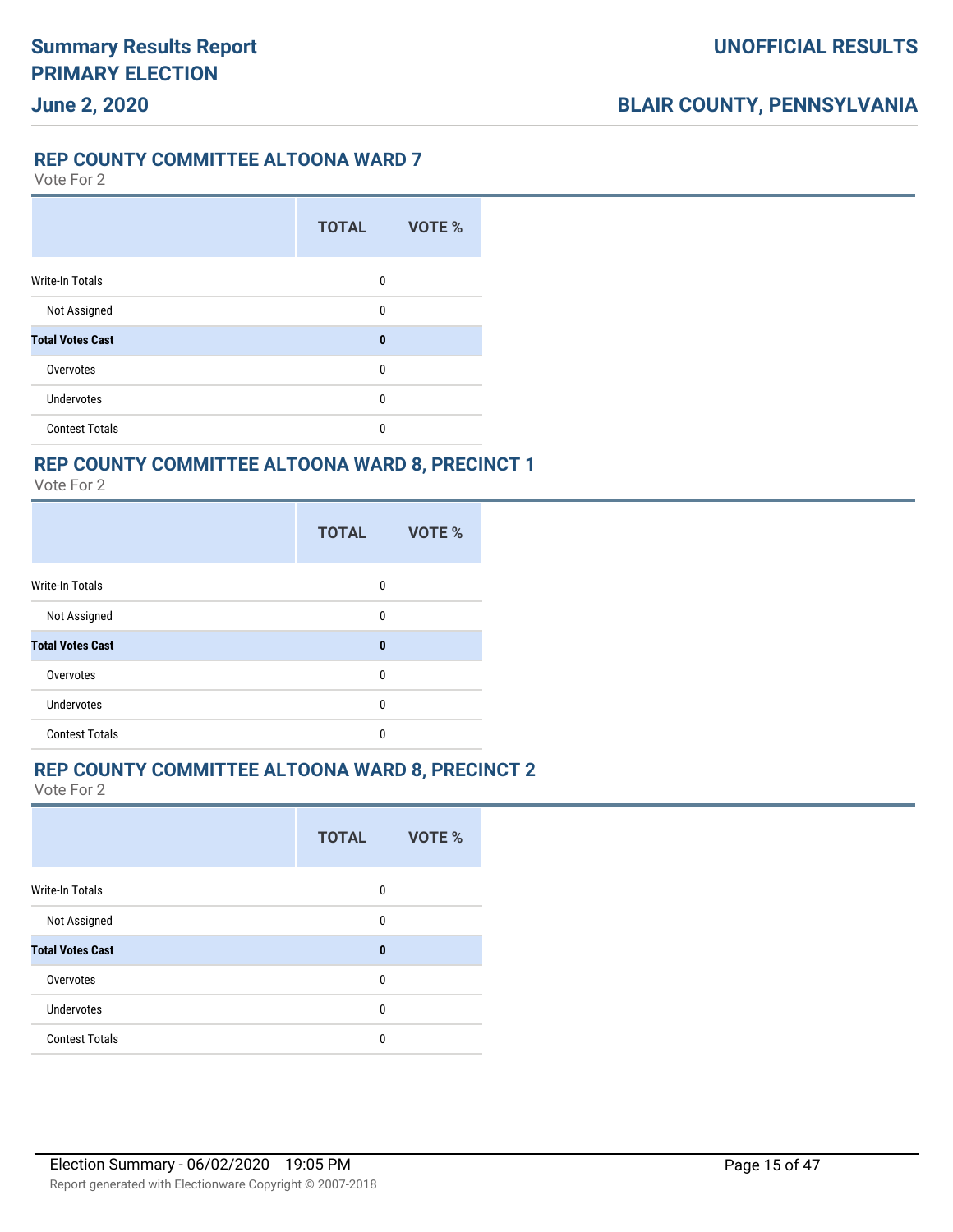#### **REP COUNTY COMMITTEE ALTOONA WARD 7**

Vote For 2

**June 2, 2020**

|                         | <b>TOTAL</b> | VOTE % |
|-------------------------|--------------|--------|
| <b>Write-In Totals</b>  | 0            |        |
| Not Assigned            | 0            |        |
| <b>Total Votes Cast</b> | $\bf{0}$     |        |
| Overvotes               | 0            |        |
| <b>Undervotes</b>       | 0            |        |
| <b>Contest Totals</b>   | 0            |        |

### **REP COUNTY COMMITTEE ALTOONA WARD 8, PRECINCT 1**

Vote For 2

|                         | <b>TOTAL</b> | <b>VOTE %</b> |
|-------------------------|--------------|---------------|
| <b>Write-In Totals</b>  | 0            |               |
| Not Assigned            | 0            |               |
| <b>Total Votes Cast</b> | $\bf{0}$     |               |
| Overvotes               | 0            |               |
| <b>Undervotes</b>       | 0            |               |
| <b>Contest Totals</b>   | 0            |               |

#### **REP COUNTY COMMITTEE ALTOONA WARD 8, PRECINCT 2**

|                         | <b>TOTAL</b> | <b>VOTE %</b> |
|-------------------------|--------------|---------------|
| <b>Write-In Totals</b>  | 0            |               |
| Not Assigned            | 0            |               |
| <b>Total Votes Cast</b> | $\bf{0}$     |               |
| Overvotes               | 0            |               |
| Undervotes              | $\Omega$     |               |
| <b>Contest Totals</b>   | 0            |               |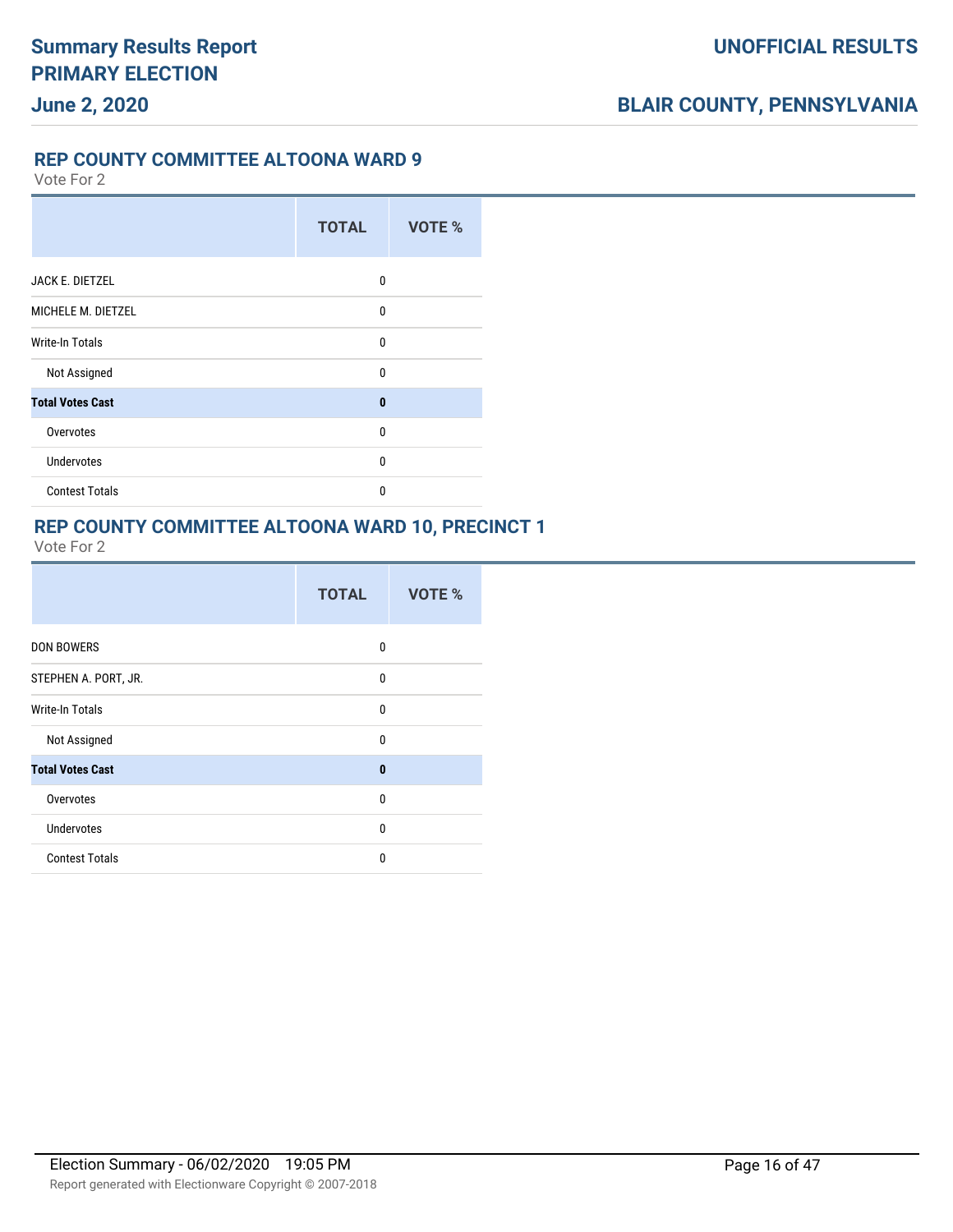#### **REP COUNTY COMMITTEE ALTOONA WARD 9**

Vote For 2

|                         | <b>TOTAL</b> | VOTE % |
|-------------------------|--------------|--------|
| JACK E. DIETZEL         | 0            |        |
| MICHELE M. DIETZEL      | 0            |        |
| Write-In Totals         | $\Omega$     |        |
| Not Assigned            | $\mathbf{0}$ |        |
| <b>Total Votes Cast</b> | $\bf{0}$     |        |
| Overvotes               | $\Omega$     |        |
| <b>Undervotes</b>       | 0            |        |
| <b>Contest Totals</b>   | $\Omega$     |        |

#### **REP COUNTY COMMITTEE ALTOONA WARD 10, PRECINCT 1**

|                         | <b>TOTAL</b> | VOTE % |
|-------------------------|--------------|--------|
| <b>DON BOWERS</b>       | 0            |        |
| STEPHEN A. PORT, JR.    | 0            |        |
| <b>Write-In Totals</b>  | $\mathbf{0}$ |        |
| Not Assigned            | $\mathbf{0}$ |        |
| <b>Total Votes Cast</b> | $\bf{0}$     |        |
| Overvotes               | $\mathbf{0}$ |        |
| <b>Undervotes</b>       | $\mathbf{0}$ |        |
| <b>Contest Totals</b>   | $\mathbf{0}$ |        |
|                         |              |        |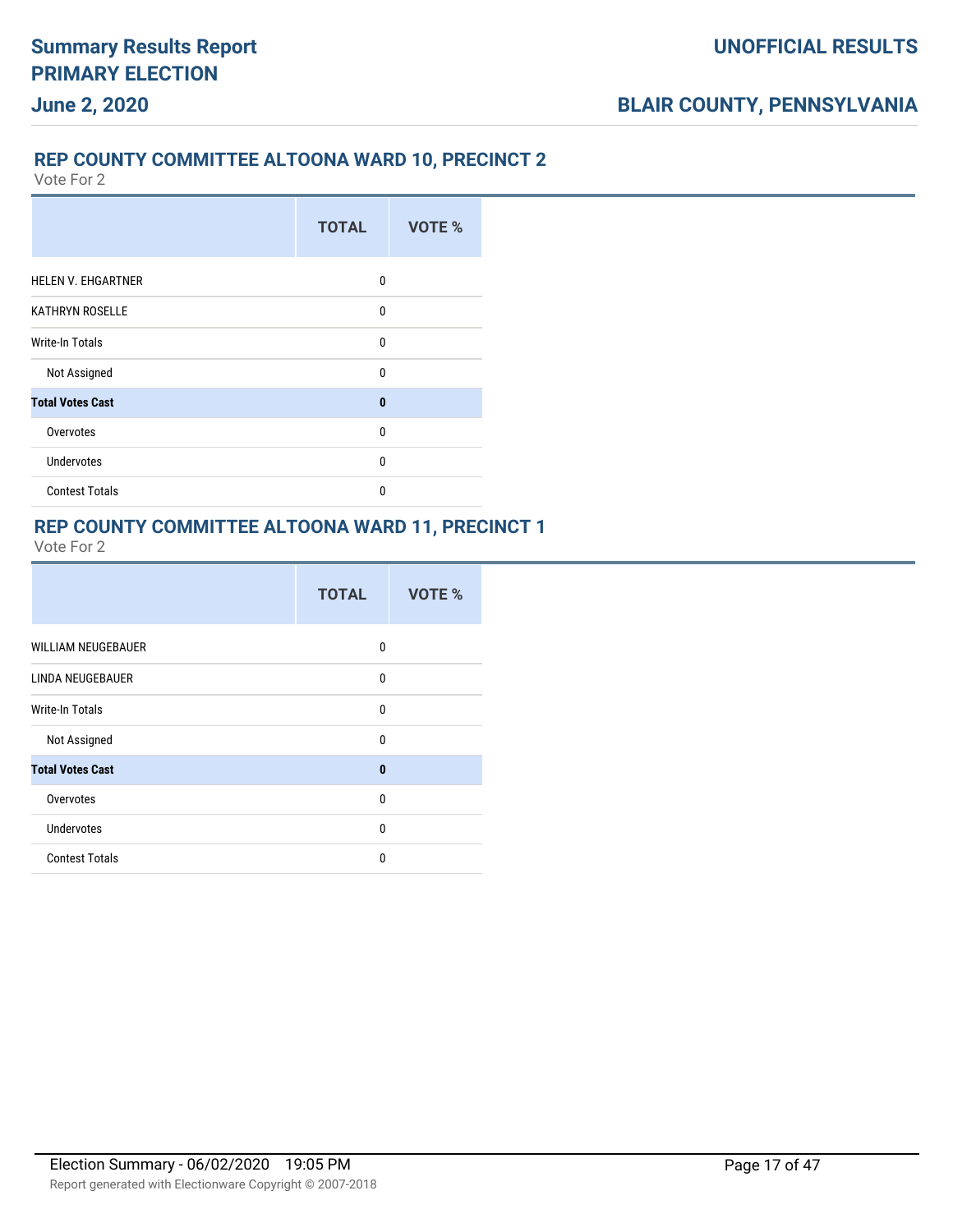#### **REP COUNTY COMMITTEE ALTOONA WARD 10, PRECINCT 2**

Vote For 2

|                           | <b>TOTAL</b> | VOTE % |
|---------------------------|--------------|--------|
| <b>HELEN V. EHGARTNER</b> | 0            |        |
| <b>KATHRYN ROSELLE</b>    | $\mathbf{0}$ |        |
| Write-In Totals           | $\mathbf{0}$ |        |
| Not Assigned              | $\Omega$     |        |
| <b>Total Votes Cast</b>   | $\bf{0}$     |        |
| Overvotes                 | $\mathbf{0}$ |        |
| <b>Undervotes</b>         | 0            |        |
| <b>Contest Totals</b>     | 0            |        |

#### **REP COUNTY COMMITTEE ALTOONA WARD 11, PRECINCT 1**

| <b>WILLIAM NEUGEBAUER</b><br>0         |  |
|----------------------------------------|--|
| LINDA NEUGEBAUER<br>0                  |  |
| <b>Write-In Totals</b><br>$\mathbf{0}$ |  |
| Not Assigned<br>$\mathbf{0}$           |  |
| <b>Total Votes Cast</b><br>$\bf{0}$    |  |
| Overvotes<br>$\mathbf{0}$              |  |
| <b>Undervotes</b><br>$\mathbf{0}$      |  |
| <b>Contest Totals</b><br>0             |  |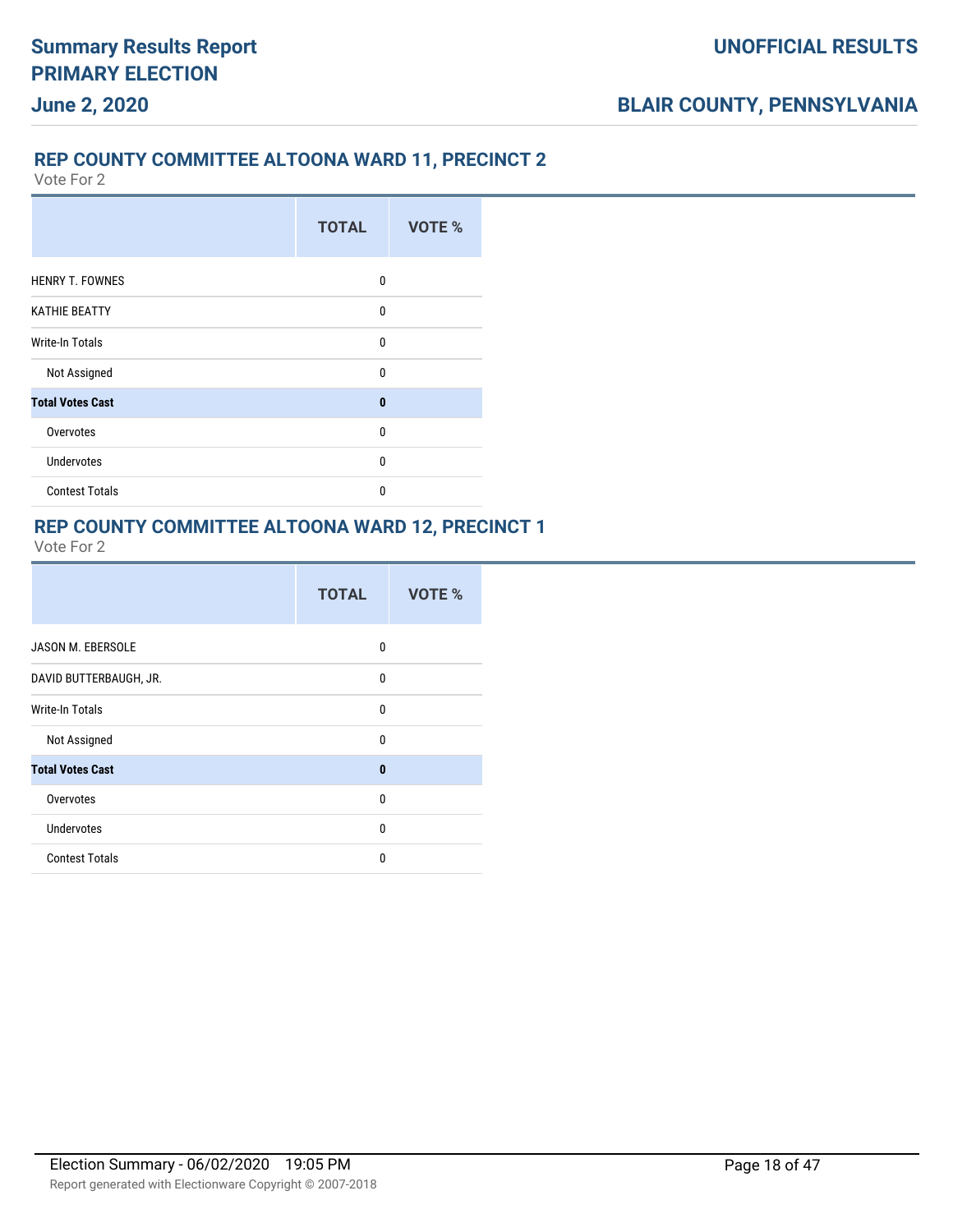### **REP COUNTY COMMITTEE ALTOONA WARD 11, PRECINCT 2**

Vote For 2

|                         | <b>TOTAL</b> | <b>VOTE %</b> |
|-------------------------|--------------|---------------|
| <b>HENRY T. FOWNES</b>  | $\Omega$     |               |
| <b>KATHIE BEATTY</b>    | 0            |               |
| <b>Write-In Totals</b>  | $\mathbf{0}$ |               |
| Not Assigned            | $\Omega$     |               |
| <b>Total Votes Cast</b> | $\bf{0}$     |               |
| Overvotes               | $\mathbf{0}$ |               |
| <b>Undervotes</b>       | $\mathbf{0}$ |               |
| <b>Contest Totals</b>   | $\mathbf{0}$ |               |

#### **REP COUNTY COMMITTEE ALTOONA WARD 12, PRECINCT 1**

|                          | <b>TOTAL</b> | VOTE % |
|--------------------------|--------------|--------|
| <b>JASON M. EBERSOLE</b> | 0            |        |
| DAVID BUTTERBAUGH, JR.   | $\mathbf{0}$ |        |
| Write-In Totals          | $\Omega$     |        |
| Not Assigned             | 0            |        |
| <b>Total Votes Cast</b>  | $\bf{0}$     |        |
| Overvotes                | 0            |        |
| <b>Undervotes</b>        | $\Omega$     |        |
| <b>Contest Totals</b>    | 0            |        |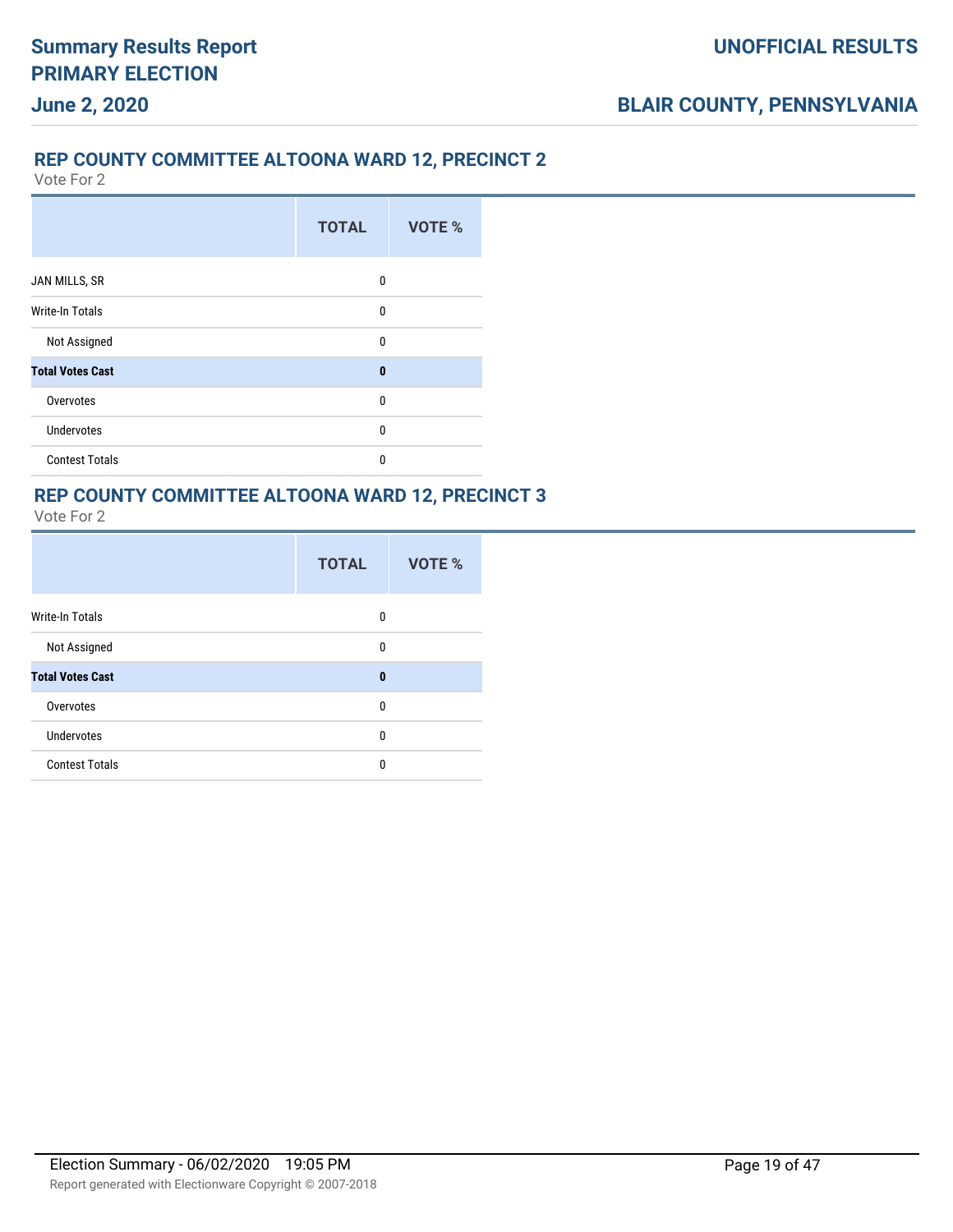#### **REP COUNTY COMMITTEE ALTOONA WARD 12, PRECINCT 2**

Vote For 2

|                         | <b>TOTAL</b> | <b>VOTE %</b> |
|-------------------------|--------------|---------------|
| JAN MILLS, SR           | 0            |               |
| <b>Write-In Totals</b>  | 0            |               |
| Not Assigned            | $\mathbf{0}$ |               |
| <b>Total Votes Cast</b> | $\bf{0}$     |               |
| Overvotes               | $\mathbf{0}$ |               |
| Undervotes              | 0            |               |
| <b>Contest Totals</b>   | 0            |               |

# **REP COUNTY COMMITTEE ALTOONA WARD 12, PRECINCT 3**

|                         | <b>TOTAL</b> | VOTE % |
|-------------------------|--------------|--------|
| Write-In Totals         | 0            |        |
| Not Assigned            | 0            |        |
| <b>Total Votes Cast</b> | 0            |        |
| Overvotes               | 0            |        |
| <b>Undervotes</b>       | 0            |        |
| <b>Contest Totals</b>   | 0            |        |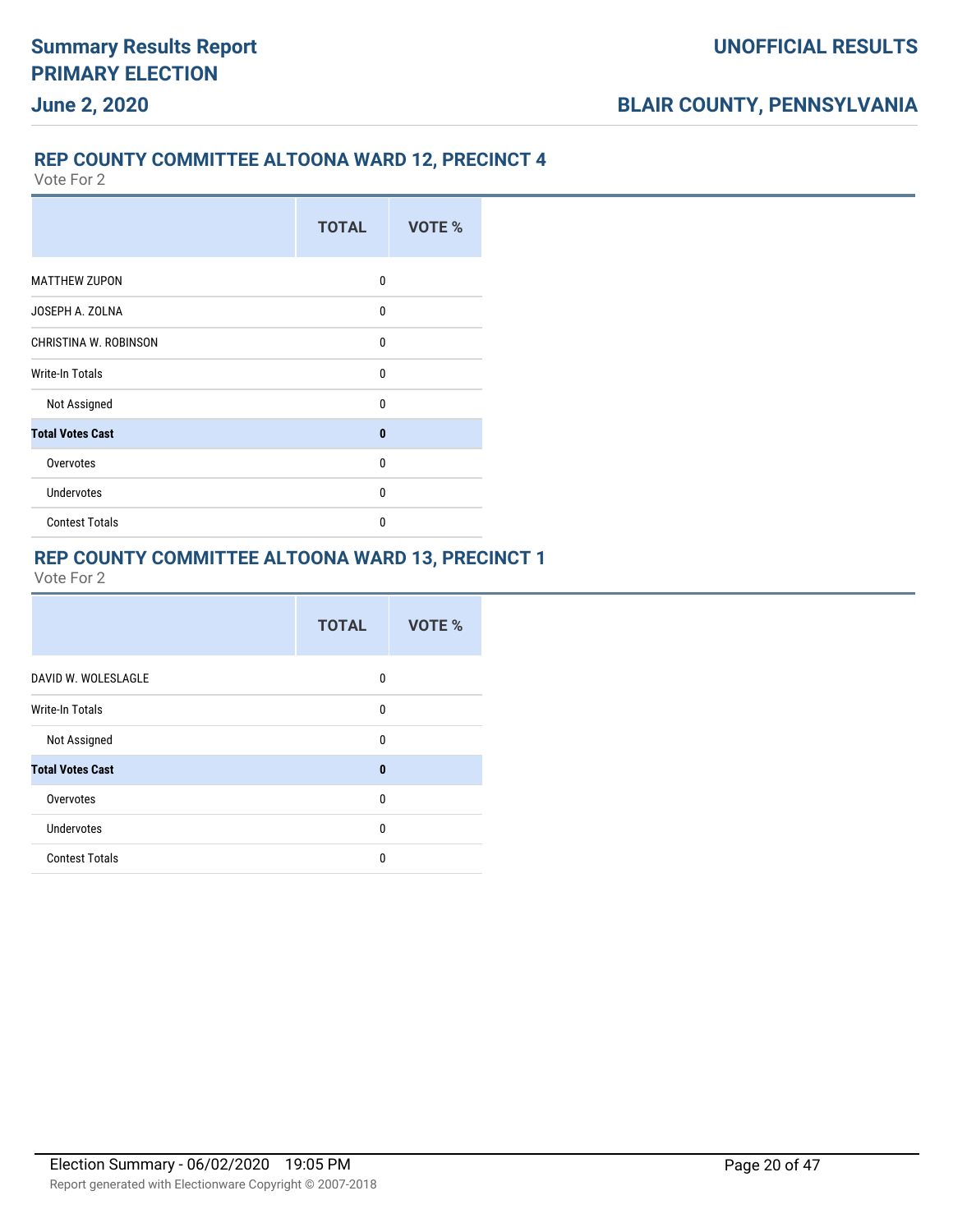### **REP COUNTY COMMITTEE ALTOONA WARD 12, PRECINCT 4**

Vote For 2

|                         | <b>TOTAL</b> | VOTE % |
|-------------------------|--------------|--------|
| <b>MATTHEW ZUPON</b>    | $\mathbf{0}$ |        |
| JOSEPH A. ZOLNA         | $\mathbf{0}$ |        |
| CHRISTINA W. ROBINSON   | $\mathbf{0}$ |        |
| Write-In Totals         | $\mathbf{0}$ |        |
| Not Assigned            | $\mathbf{0}$ |        |
| <b>Total Votes Cast</b> | $\mathbf{0}$ |        |
| Overvotes               | $\mathbf{0}$ |        |
| <b>Undervotes</b>       | $\mathbf{0}$ |        |
| <b>Contest Totals</b>   | $\mathbf{0}$ |        |

### **REP COUNTY COMMITTEE ALTOONA WARD 13, PRECINCT 1**

|                         | <b>TOTAL</b> | VOTE % |
|-------------------------|--------------|--------|
| DAVID W. WOLESLAGLE     | 0            |        |
| Write-In Totals         | 0            |        |
| Not Assigned            | 0            |        |
| <b>Total Votes Cast</b> | $\bf{0}$     |        |
| Overvotes               | 0            |        |
| Undervotes              | 0            |        |
| <b>Contest Totals</b>   | 0            |        |
|                         |              |        |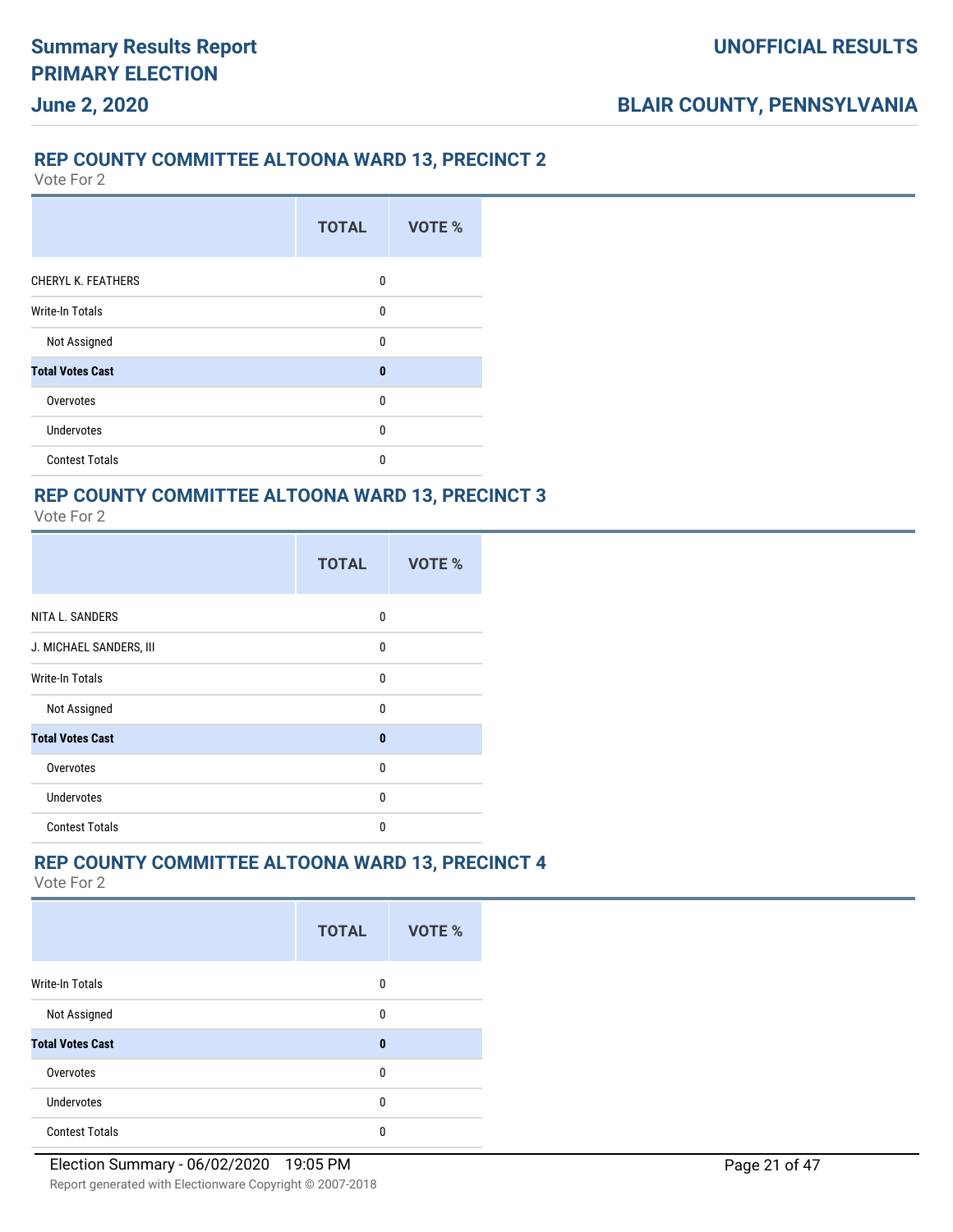#### **REP COUNTY COMMITTEE ALTOONA WARD 13, PRECINCT 2**

Vote For 2

**June 2, 2020**

|                           | <b>TOTAL</b> | VOTE % |
|---------------------------|--------------|--------|
| <b>CHERYL K. FEATHERS</b> | 0            |        |
| <b>Write-In Totals</b>    | $\mathbf{0}$ |        |
| Not Assigned              | $\mathbf{0}$ |        |
| <b>Total Votes Cast</b>   | $\bf{0}$     |        |
| Overvotes                 | $\mathbf{0}$ |        |
| <b>Undervotes</b>         | $\mathbf{0}$ |        |
| <b>Contest Totals</b>     | 0            |        |

# **REP COUNTY COMMITTEE ALTOONA WARD 13, PRECINCT 3**

| Vote For |  |
|----------|--|
|          |  |

|                         | <b>TOTAL</b> | VOTE % |  |
|-------------------------|--------------|--------|--|
| NITA L. SANDERS         | 0            |        |  |
| J. MICHAEL SANDERS, III | 0            |        |  |
| Write-In Totals         | 0            |        |  |
| Not Assigned            | $\mathbf{0}$ |        |  |
| <b>Total Votes Cast</b> | $\bf{0}$     |        |  |
| Overvotes               | $\mathbf{0}$ |        |  |
| <b>Undervotes</b>       | 0            |        |  |
| <b>Contest Totals</b>   | $\mathbf{0}$ |        |  |

### **REP COUNTY COMMITTEE ALTOONA WARD 13, PRECINCT 4**

|                         | <b>TOTAL</b> | VOTE % |  |
|-------------------------|--------------|--------|--|
| Write-In Totals         | 0            |        |  |
| Not Assigned            | 0            |        |  |
| <b>Total Votes Cast</b> | 0            |        |  |
| Overvotes               | 0            |        |  |
| Undervotes              | 0            |        |  |
| <b>Contest Totals</b>   | 0            |        |  |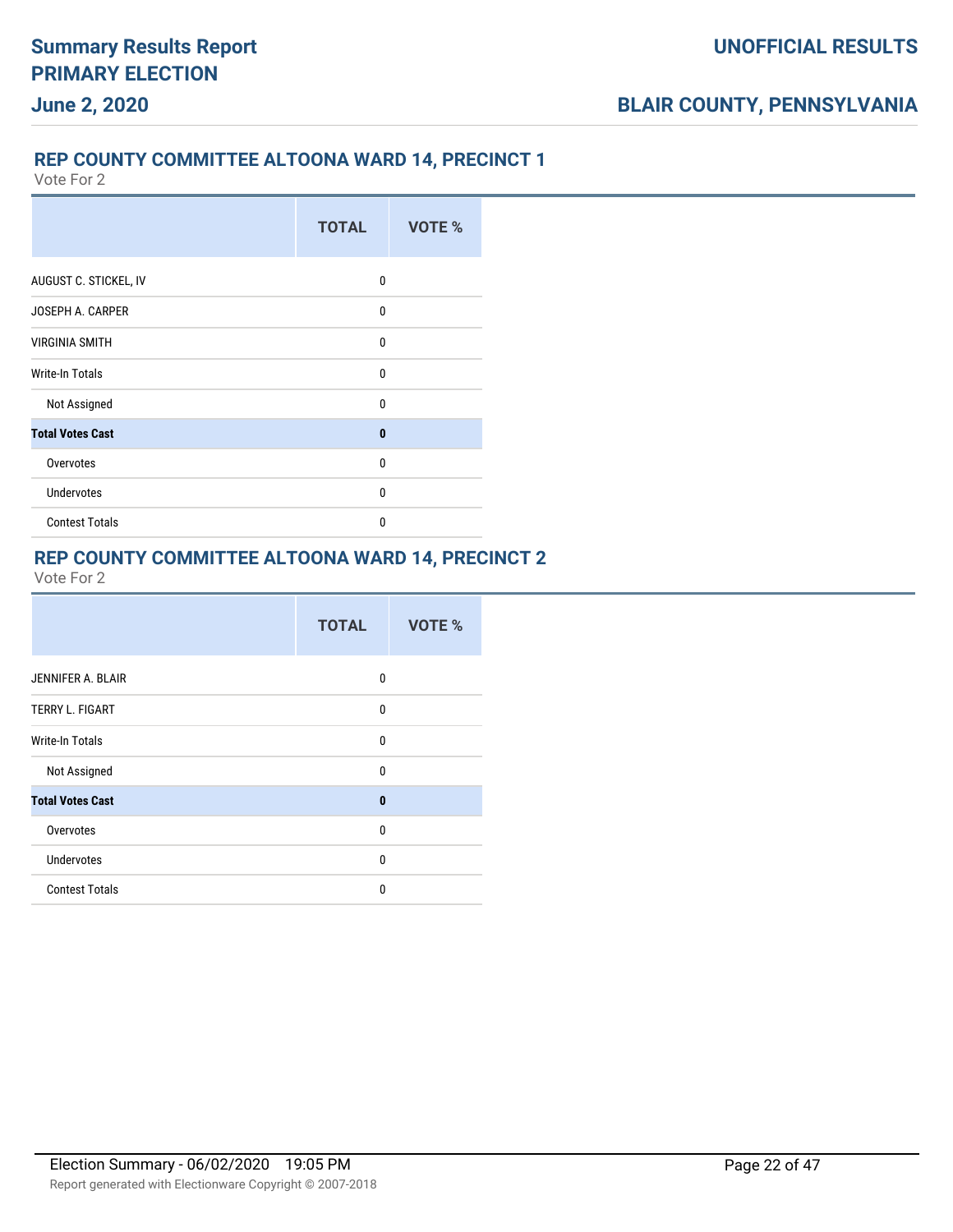### **REP COUNTY COMMITTEE ALTOONA WARD 14, PRECINCT 1**

Vote For 2

|                         | <b>TOTAL</b> | VOTE % |
|-------------------------|--------------|--------|
| AUGUST C. STICKEL, IV   | 0            |        |
| <b>JOSEPH A. CARPER</b> | 0            |        |
| <b>VIRGINIA SMITH</b>   | $\mathbf{0}$ |        |
| <b>Write-In Totals</b>  | $\mathbf{0}$ |        |
| Not Assigned            | $\mathbf{0}$ |        |
| <b>Total Votes Cast</b> | $\bf{0}$     |        |
| Overvotes               | $\mathbf{0}$ |        |
| <b>Undervotes</b>       | 0            |        |
| <b>Contest Totals</b>   | 0            |        |

#### **REP COUNTY COMMITTEE ALTOONA WARD 14, PRECINCT 2**

|                         | <b>TOTAL</b> | <b>VOTE %</b> |
|-------------------------|--------------|---------------|
| JENNIFER A. BLAIR       | 0            |               |
| <b>TERRY L. FIGART</b>  | 0            |               |
| Write-In Totals         | 0            |               |
| Not Assigned            | 0            |               |
| <b>Total Votes Cast</b> | $\mathbf{0}$ |               |
| Overvotes               | $\mathbf{0}$ |               |
| <b>Undervotes</b>       | 0            |               |
| <b>Contest Totals</b>   | $\Omega$     |               |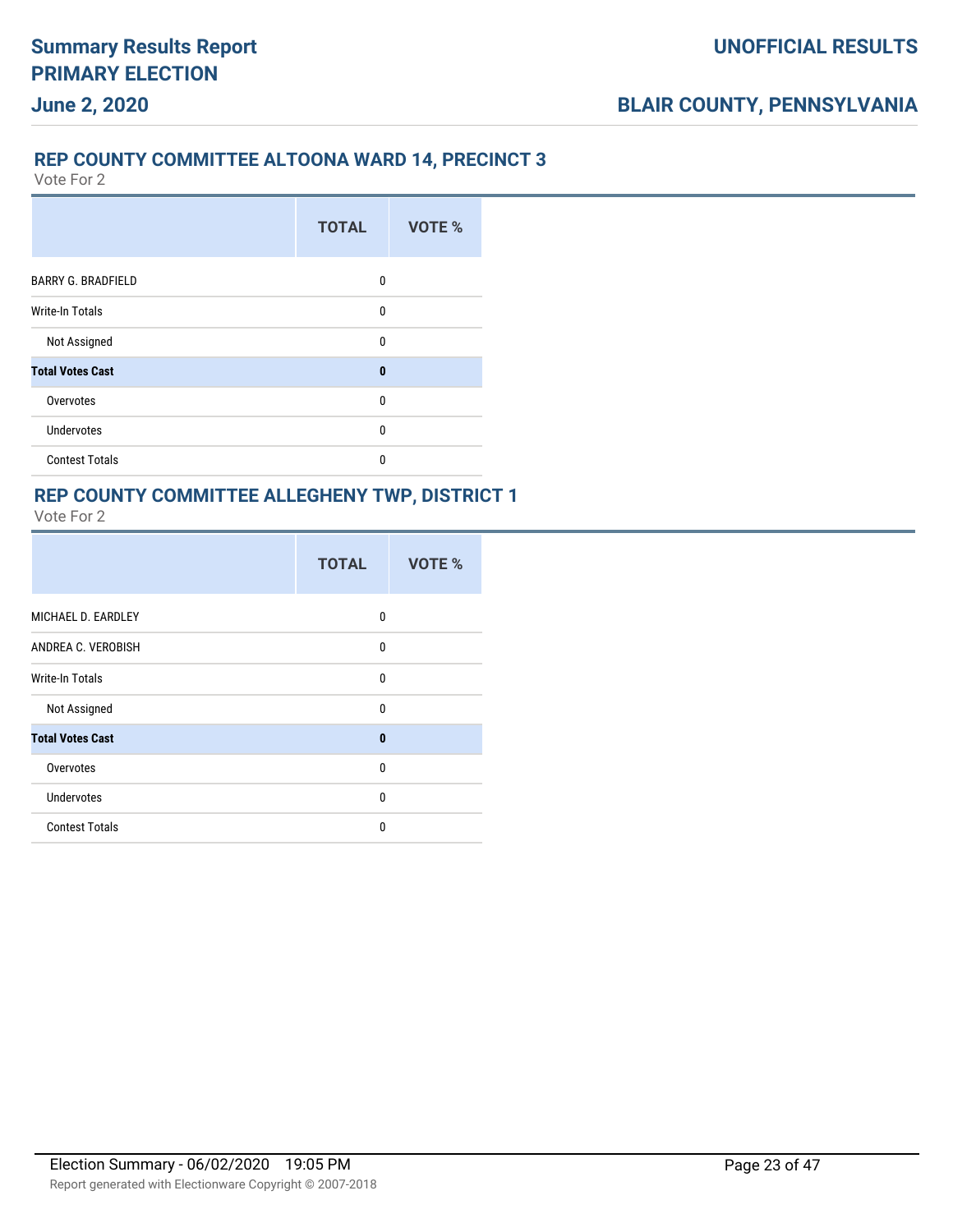#### **REP COUNTY COMMITTEE ALTOONA WARD 14, PRECINCT 3**

Vote For 2

|                           | <b>TOTAL</b> | VOTE % |
|---------------------------|--------------|--------|
| <b>BARRY G. BRADFIELD</b> | 0            |        |
| <b>Write-In Totals</b>    | 0            |        |
| Not Assigned              | 0            |        |
| <b>Total Votes Cast</b>   | $\bf{0}$     |        |
| Overvotes                 | $\mathbf{0}$ |        |
| Undervotes                | 0            |        |
| <b>Contest Totals</b>     | 0            |        |

#### **REP COUNTY COMMITTEE ALLEGHENY TWP, DISTRICT 1** Vote For 2

|                         | <b>TOTAL</b> | VOTE % |
|-------------------------|--------------|--------|
| MICHAEL D. EARDLEY      | 0            |        |
| ANDREA C. VEROBISH      | $\mathbf{0}$ |        |
| <b>Write-In Totals</b>  | $\mathbf{0}$ |        |
| Not Assigned            | $\mathbf{0}$ |        |
| <b>Total Votes Cast</b> | $\mathbf{0}$ |        |
| Overvotes               | $\mathbf{0}$ |        |
| <b>Undervotes</b>       | 0            |        |
| <b>Contest Totals</b>   | $\Omega$     |        |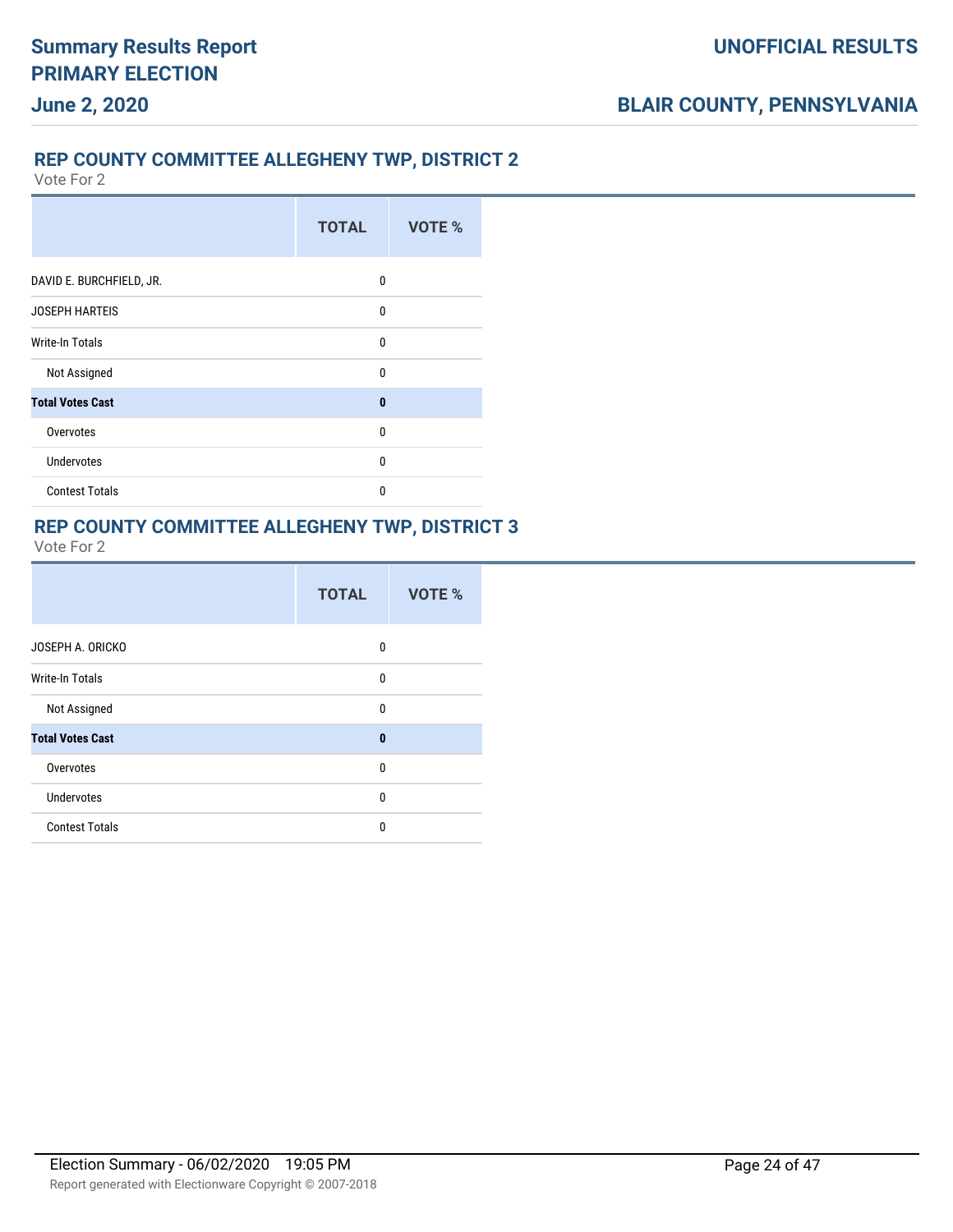### **REP COUNTY COMMITTEE ALLEGHENY TWP, DISTRICT 2**

Vote For 2

|                          | <b>TOTAL</b> | VOTE % |
|--------------------------|--------------|--------|
| DAVID E. BURCHFIELD, JR. | 0            |        |
| <b>JOSEPH HARTEIS</b>    | 0            |        |
| Write-In Totals          | $\mathbf{0}$ |        |
| Not Assigned             | $\Omega$     |        |
| <b>Total Votes Cast</b>  | $\bf{0}$     |        |
| Overvotes                | $\Omega$     |        |
| <b>Undervotes</b>        | 0            |        |
| <b>Contest Totals</b>    | $\Omega$     |        |

### **REP COUNTY COMMITTEE ALLEGHENY TWP, DISTRICT 3**

|                         | <b>TOTAL</b> | VOTE % |
|-------------------------|--------------|--------|
| JOSEPH A. ORICKO        | $\Omega$     |        |
| <b>Write-In Totals</b>  | $\Omega$     |        |
| Not Assigned            | $\Omega$     |        |
| <b>Total Votes Cast</b> | $\mathbf{0}$ |        |
| Overvotes               | $\Omega$     |        |
| <b>Undervotes</b>       | $\Omega$     |        |
| <b>Contest Totals</b>   | $\Omega$     |        |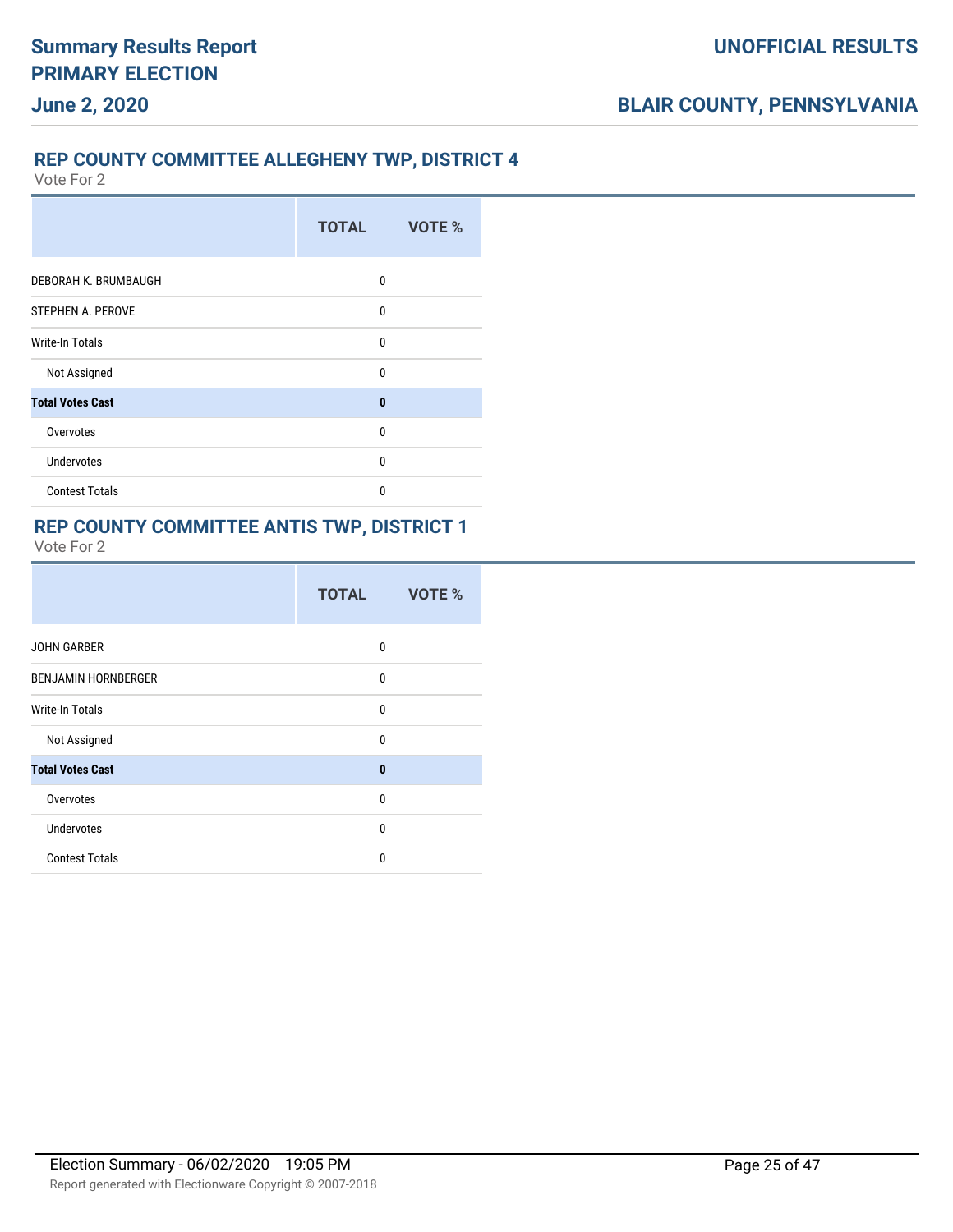### **REP COUNTY COMMITTEE ALLEGHENY TWP, DISTRICT 4**

Vote For 2

|                         | <b>TOTAL</b> | VOTE % |
|-------------------------|--------------|--------|
| DEBORAH K. BRUMBAUGH    | 0            |        |
| STEPHEN A. PEROVE       | 0            |        |
| Write-In Totals         | 0            |        |
| Not Assigned            | 0            |        |
| <b>Total Votes Cast</b> | $\bf{0}$     |        |
| Overvotes               | 0            |        |
| <b>Undervotes</b>       | 0            |        |
| <b>Contest Totals</b>   | 0            |        |

#### **REP COUNTY COMMITTEE ANTIS TWP, DISTRICT 1**

|                            | <b>TOTAL</b> | VOTE % |
|----------------------------|--------------|--------|
| <b>JOHN GARBER</b>         | 0            |        |
| <b>BENJAMIN HORNBERGER</b> | 0            |        |
| Write-In Totals            | 0            |        |
| Not Assigned               | 0            |        |
| <b>Total Votes Cast</b>    | $\mathbf{0}$ |        |
| Overvotes                  | 0            |        |
| <b>Undervotes</b>          | 0            |        |
| <b>Contest Totals</b>      | 0            |        |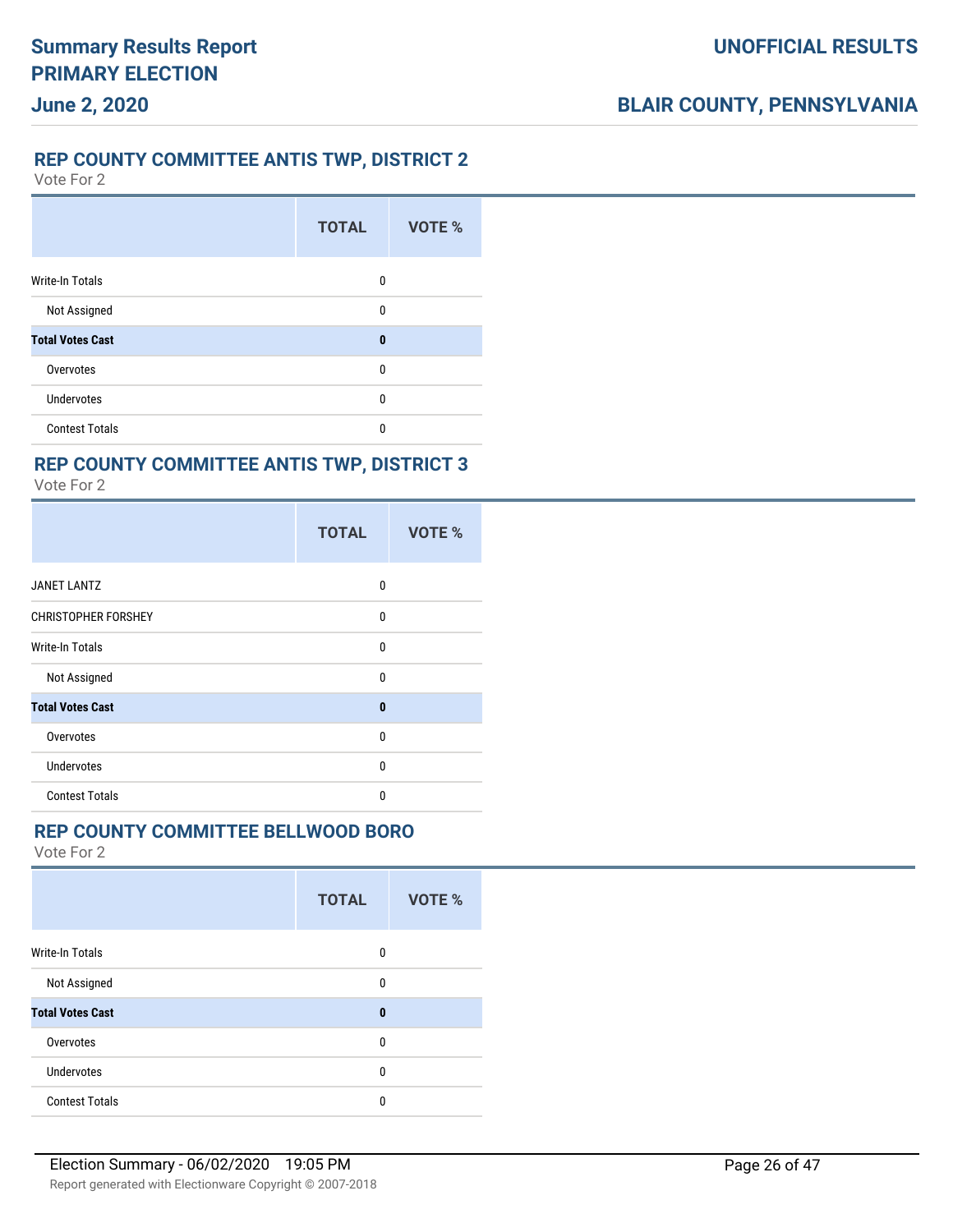#### **REP COUNTY COMMITTEE ANTIS TWP, DISTRICT 2**

Vote For 2

**June 2, 2020**

|                         | <b>TOTAL</b> | VOTE % |
|-------------------------|--------------|--------|
| <b>Write-In Totals</b>  | 0            |        |
| Not Assigned            | 0            |        |
| <b>Total Votes Cast</b> | $\bf{0}$     |        |
| Overvotes               | 0            |        |
| <b>Undervotes</b>       | 0            |        |
| <b>Contest Totals</b>   | 0            |        |

### **REP COUNTY COMMITTEE ANTIS TWP, DISTRICT 3**

Vote For 2

|                            | <b>TOTAL</b> | VOTE % |
|----------------------------|--------------|--------|
| <b>JANET LANTZ</b>         | 0            |        |
| <b>CHRISTOPHER FORSHEY</b> | $\mathbf{0}$ |        |
| <b>Write-In Totals</b>     | $\mathbf{0}$ |        |
| Not Assigned               | $\mathbf{0}$ |        |
| <b>Total Votes Cast</b>    | $\mathbf{0}$ |        |
| Overvotes                  | $\mathbf{0}$ |        |
| Undervotes                 | $\Omega$     |        |
| <b>Contest Totals</b>      | $\Omega$     |        |

### **REP COUNTY COMMITTEE BELLWOOD BORO**

|                         | <b>TOTAL</b> | <b>VOTE %</b> |
|-------------------------|--------------|---------------|
| <b>Write-In Totals</b>  | 0            |               |
| Not Assigned            | 0            |               |
| <b>Total Votes Cast</b> | $\bf{0}$     |               |
| Overvotes               | 0            |               |
| <b>Undervotes</b>       | 0            |               |
| <b>Contest Totals</b>   | 0            |               |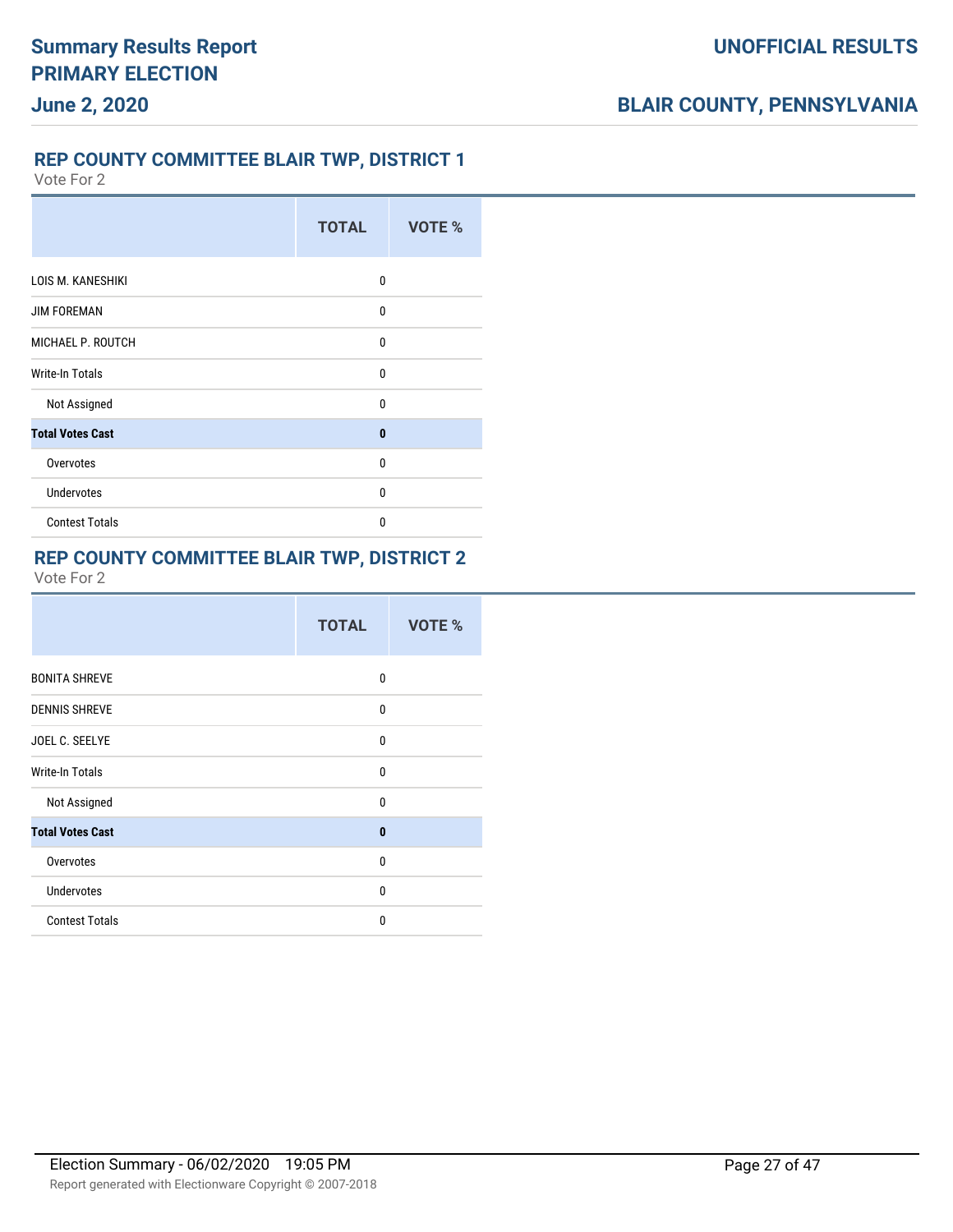### **REP COUNTY COMMITTEE BLAIR TWP, DISTRICT 1**

Vote For 2

|                         | <b>TOTAL</b> | VOTE % |
|-------------------------|--------------|--------|
| LOIS M. KANESHIKI       | 0            |        |
| <b>JIM FOREMAN</b>      | 0            |        |
| MICHAEL P. ROUTCH       | 0            |        |
| <b>Write-In Totals</b>  | $\mathbf{0}$ |        |
| Not Assigned            | 0            |        |
| <b>Total Votes Cast</b> | $\bf{0}$     |        |
| Overvotes               | 0            |        |
| <b>Undervotes</b>       | $\mathbf{0}$ |        |
| <b>Contest Totals</b>   | 0            |        |

#### **REP COUNTY COMMITTEE BLAIR TWP, DISTRICT 2**

|                         | <b>TOTAL</b> | <b>VOTE %</b> |
|-------------------------|--------------|---------------|
| <b>BONITA SHREVE</b>    | 0            |               |
| <b>DENNIS SHREVE</b>    | $\Omega$     |               |
| JOEL C. SEELYE          | 0            |               |
| <b>Write-In Totals</b>  | 0            |               |
| Not Assigned            | $\Omega$     |               |
| <b>Total Votes Cast</b> | $\bf{0}$     |               |
| Overvotes               | $\mathbf{0}$ |               |
| <b>Undervotes</b>       | $\Omega$     |               |
| <b>Contest Totals</b>   | $\Omega$     |               |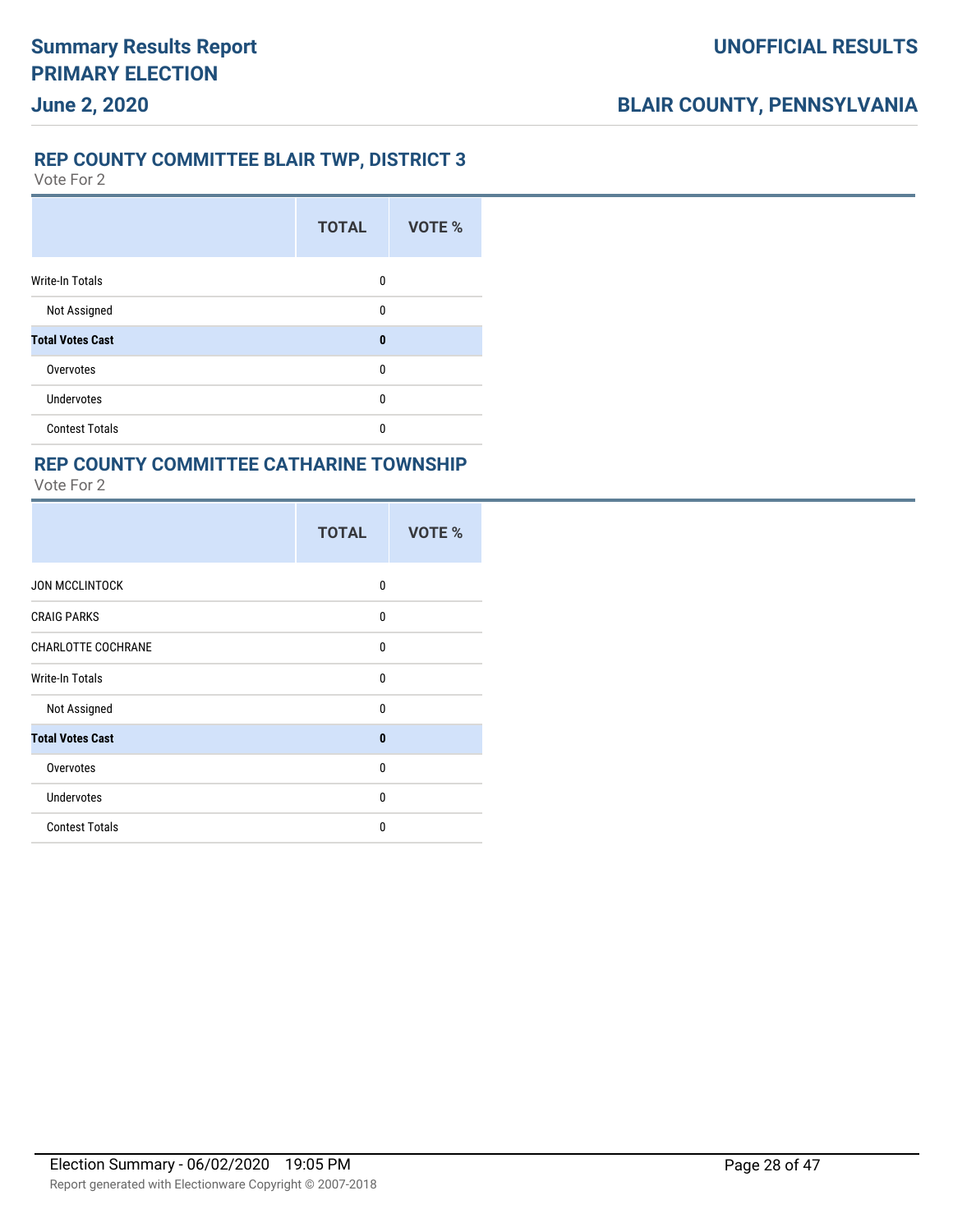#### **REP COUNTY COMMITTEE BLAIR TWP, DISTRICT 3**

Vote For 2

**June 2, 2020**

|                         | <b>TOTAL</b> | VOTE % |
|-------------------------|--------------|--------|
| <b>Write-In Totals</b>  | 0            |        |
| Not Assigned            | $\mathbf{0}$ |        |
| <b>Total Votes Cast</b> | $\bf{0}$     |        |
| Overvotes               | 0            |        |
| <b>Undervotes</b>       | 0            |        |
| <b>Contest Totals</b>   | 0            |        |

### **REP COUNTY COMMITTEE CATHARINE TOWNSHIP**

|                           | <b>TOTAL</b> | <b>VOTE %</b> |
|---------------------------|--------------|---------------|
| <b>JON MCCLINTOCK</b>     | $\Omega$     |               |
| <b>CRAIG PARKS</b>        | $\Omega$     |               |
| <b>CHARLOTTE COCHRANE</b> | $\Omega$     |               |
| Write-In Totals           | $\Omega$     |               |
| Not Assigned              | $\Omega$     |               |
| <b>Total Votes Cast</b>   | $\bf{0}$     |               |
| Overvotes                 | $\Omega$     |               |
| <b>Undervotes</b>         | $\Omega$     |               |
| <b>Contest Totals</b>     | $\Omega$     |               |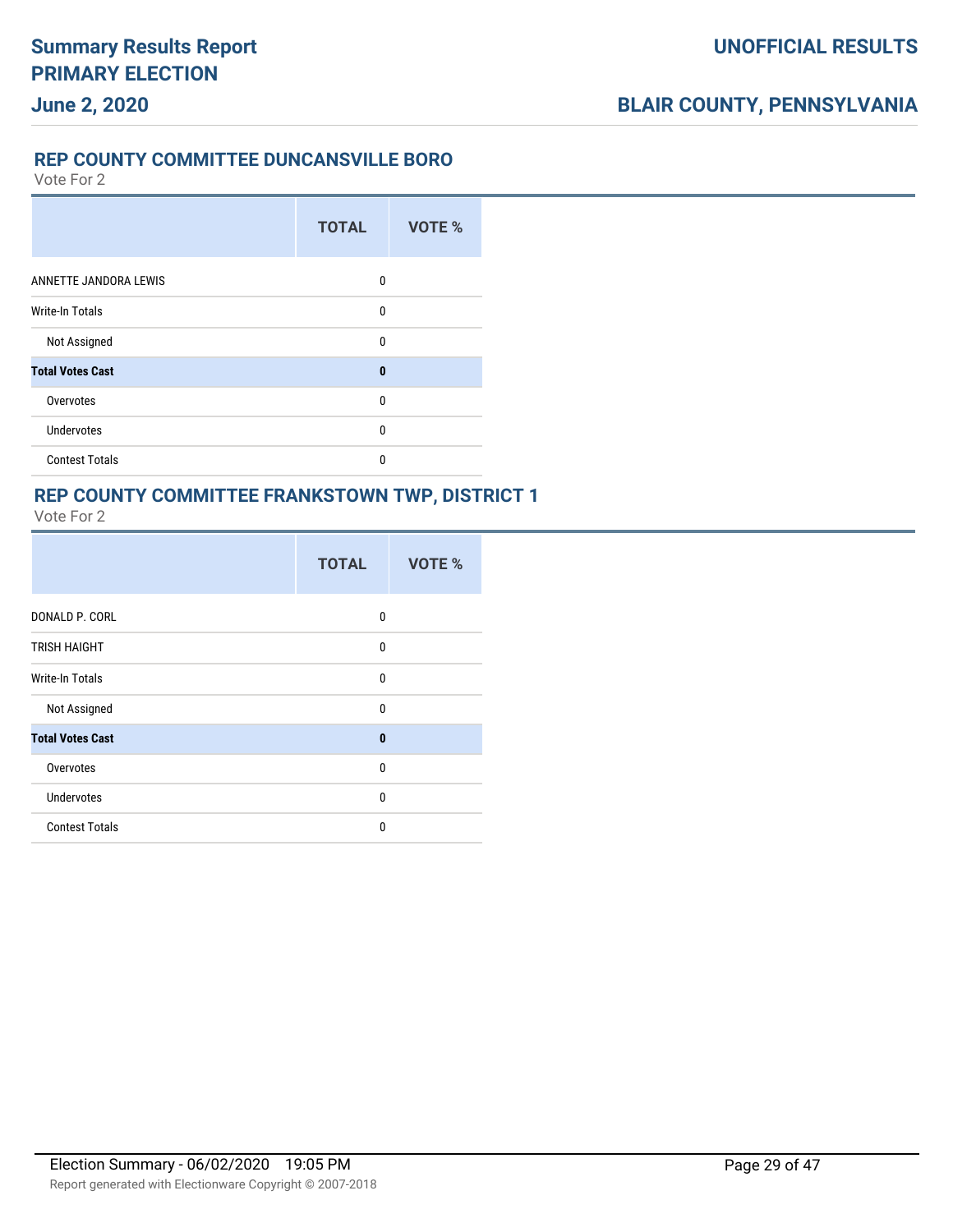## **June 2, 2020**

### **REP COUNTY COMMITTEE DUNCANSVILLE BORO**

Vote For 2

|                         | <b>TOTAL</b> | VOTE % |
|-------------------------|--------------|--------|
| ANNETTE JANDORA LEWIS   | $\mathbf{0}$ |        |
| Write-In Totals         | 0            |        |
| Not Assigned            | $\mathbf{0}$ |        |
| <b>Total Votes Cast</b> | $\bf{0}$     |        |
| Overvotes               | $\mathbf{0}$ |        |
| <b>Undervotes</b>       | $\mathbf{0}$ |        |
| <b>Contest Totals</b>   | 0            |        |

# **REP COUNTY COMMITTEE FRANKSTOWN TWP, DISTRICT 1**

| Vote For |
|----------|
|----------|

|                         | <b>TOTAL</b> | <b>VOTE %</b> |
|-------------------------|--------------|---------------|
| DONALD P. CORL          | $\mathbf{0}$ |               |
| <b>TRISH HAIGHT</b>     | $\mathbf{0}$ |               |
| Write-In Totals         | $\mathbf{0}$ |               |
| Not Assigned            | $\mathbf{0}$ |               |
| <b>Total Votes Cast</b> | $\mathbf{0}$ |               |
| Overvotes               | $\mathbf{0}$ |               |
| <b>Undervotes</b>       | $\mathbf{0}$ |               |
| <b>Contest Totals</b>   | $\Omega$     |               |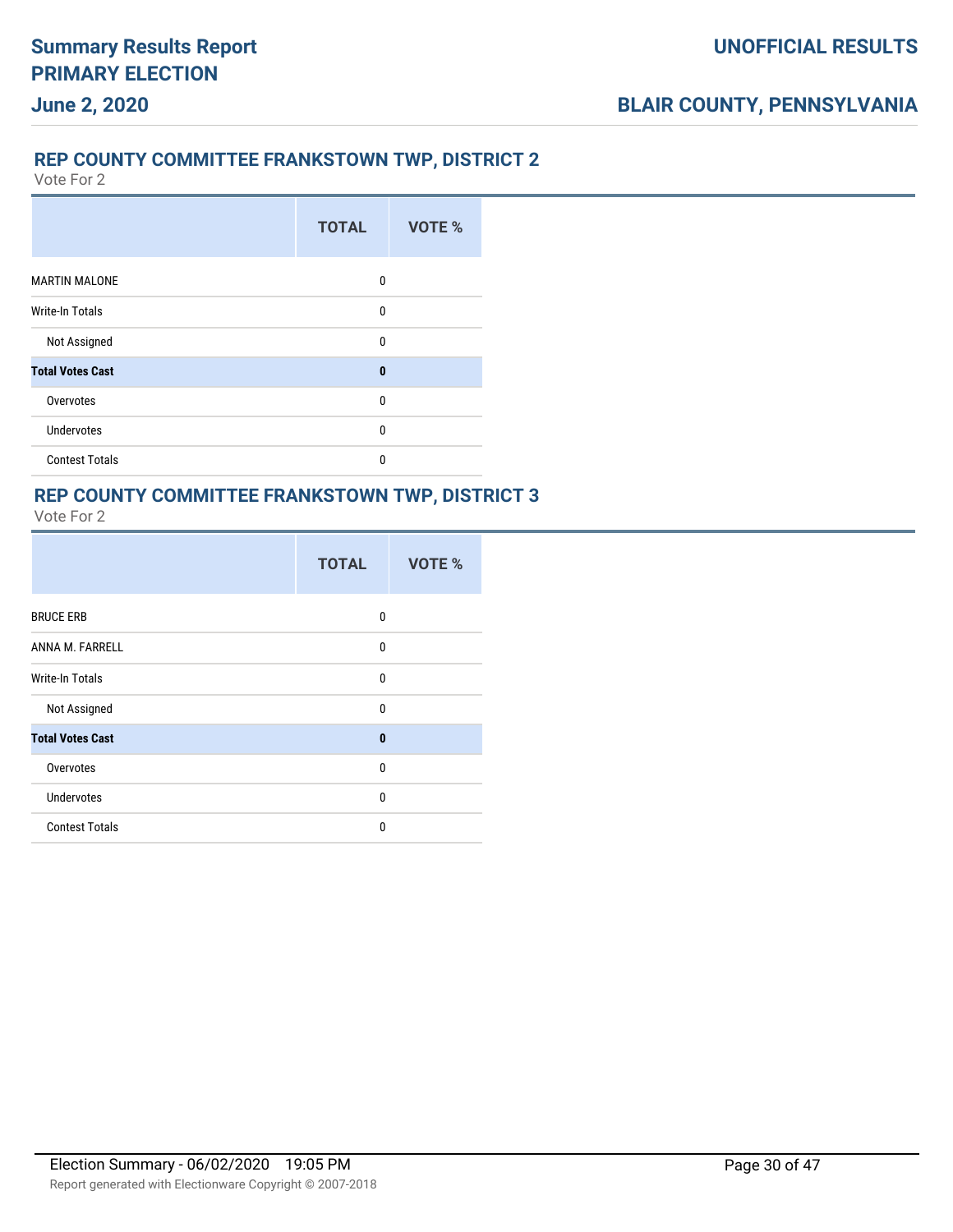### **REP COUNTY COMMITTEE FRANKSTOWN TWP, DISTRICT 2**

Vote For 2

|                         | <b>TOTAL</b> | VOTE % |
|-------------------------|--------------|--------|
| <b>MARTIN MALONE</b>    | 0            |        |
| Write-In Totals         | $\mathbf{0}$ |        |
| Not Assigned            | $\mathbf{0}$ |        |
| <b>Total Votes Cast</b> | $\bf{0}$     |        |
| Overvotes               | $\mathbf{0}$ |        |
| Undervotes              | $\mathbf{0}$ |        |
| <b>Contest Totals</b>   | 0            |        |

#### **REP COUNTY COMMITTEE FRANKSTOWN TWP, DISTRICT 3** Vote For 2

|                         | <b>TOTAL</b> | VOTE % |
|-------------------------|--------------|--------|
| <b>BRUCE ERB</b>        | $\mathbf{0}$ |        |
| ANNA M. FARRELL         | 0            |        |
| Write-In Totals         | 0            |        |
| Not Assigned            | $\mathbf{0}$ |        |
| <b>Total Votes Cast</b> | $\bf{0}$     |        |
| Overvotes               | 0            |        |
| <b>Undervotes</b>       | $\mathbf{0}$ |        |
| <b>Contest Totals</b>   | 0            |        |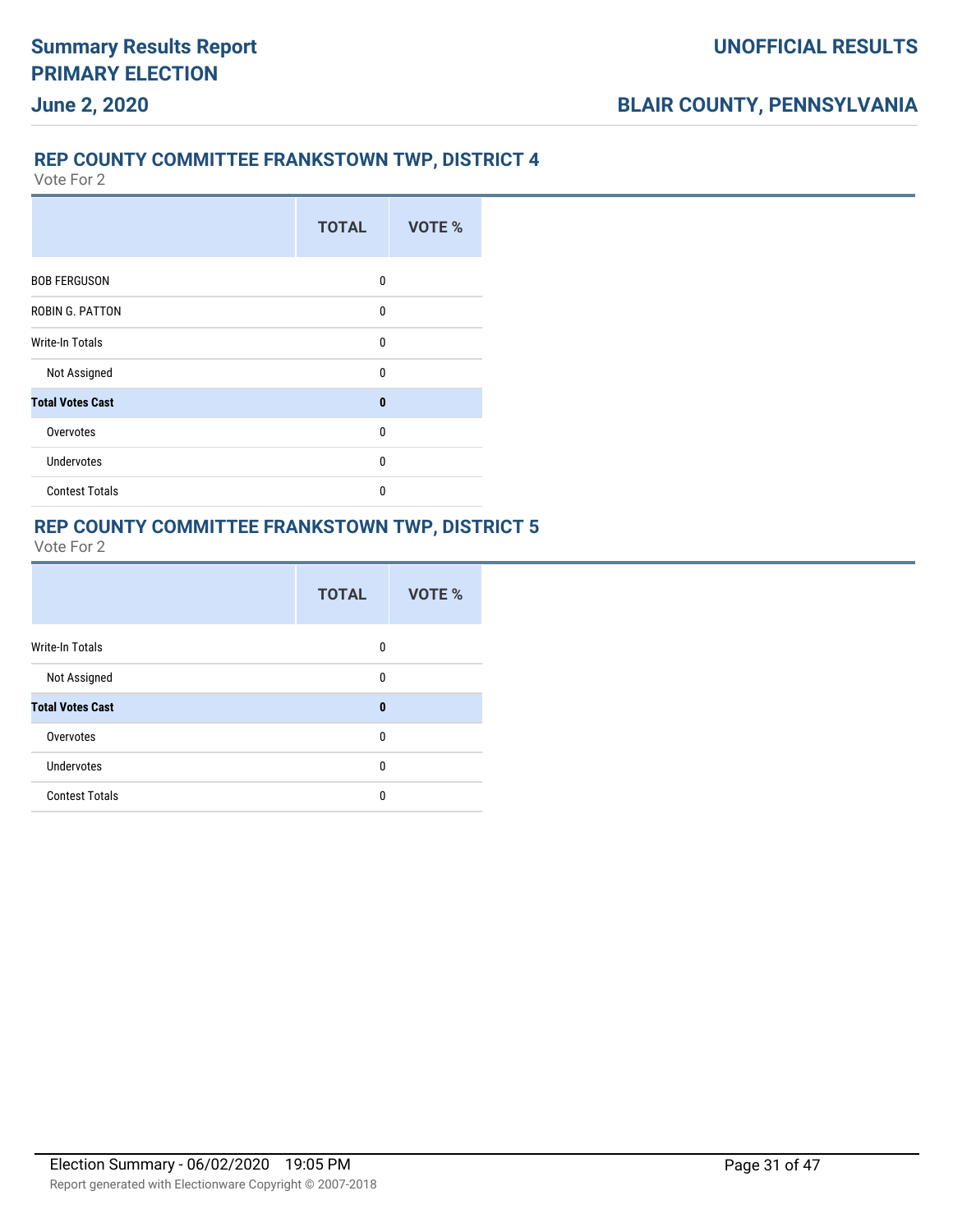### **REP COUNTY COMMITTEE FRANKSTOWN TWP, DISTRICT 4**

Vote For 2

|                         | <b>TOTAL</b> | VOTE % |
|-------------------------|--------------|--------|
| <b>BOB FERGUSON</b>     | 0            |        |
| ROBIN G. PATTON         | $\mathbf{0}$ |        |
| <b>Write-In Totals</b>  | $\mathbf{0}$ |        |
| Not Assigned            | $\Omega$     |        |
| <b>Total Votes Cast</b> | $\bf{0}$     |        |
| Overvotes               | 0            |        |
| <b>Undervotes</b>       | $\mathbf{0}$ |        |
| <b>Contest Totals</b>   | $\mathbf{0}$ |        |

#### **REP COUNTY COMMITTEE FRANKSTOWN TWP, DISTRICT 5**

|                         | <b>TOTAL</b> | VOTE % |
|-------------------------|--------------|--------|
| <b>Write-In Totals</b>  | 0            |        |
| Not Assigned            | 0            |        |
| <b>Total Votes Cast</b> | $\bf{0}$     |        |
| Overvotes               | $\mathbf{0}$ |        |
| <b>Undervotes</b>       | 0            |        |
| <b>Contest Totals</b>   | $\mathbf{0}$ |        |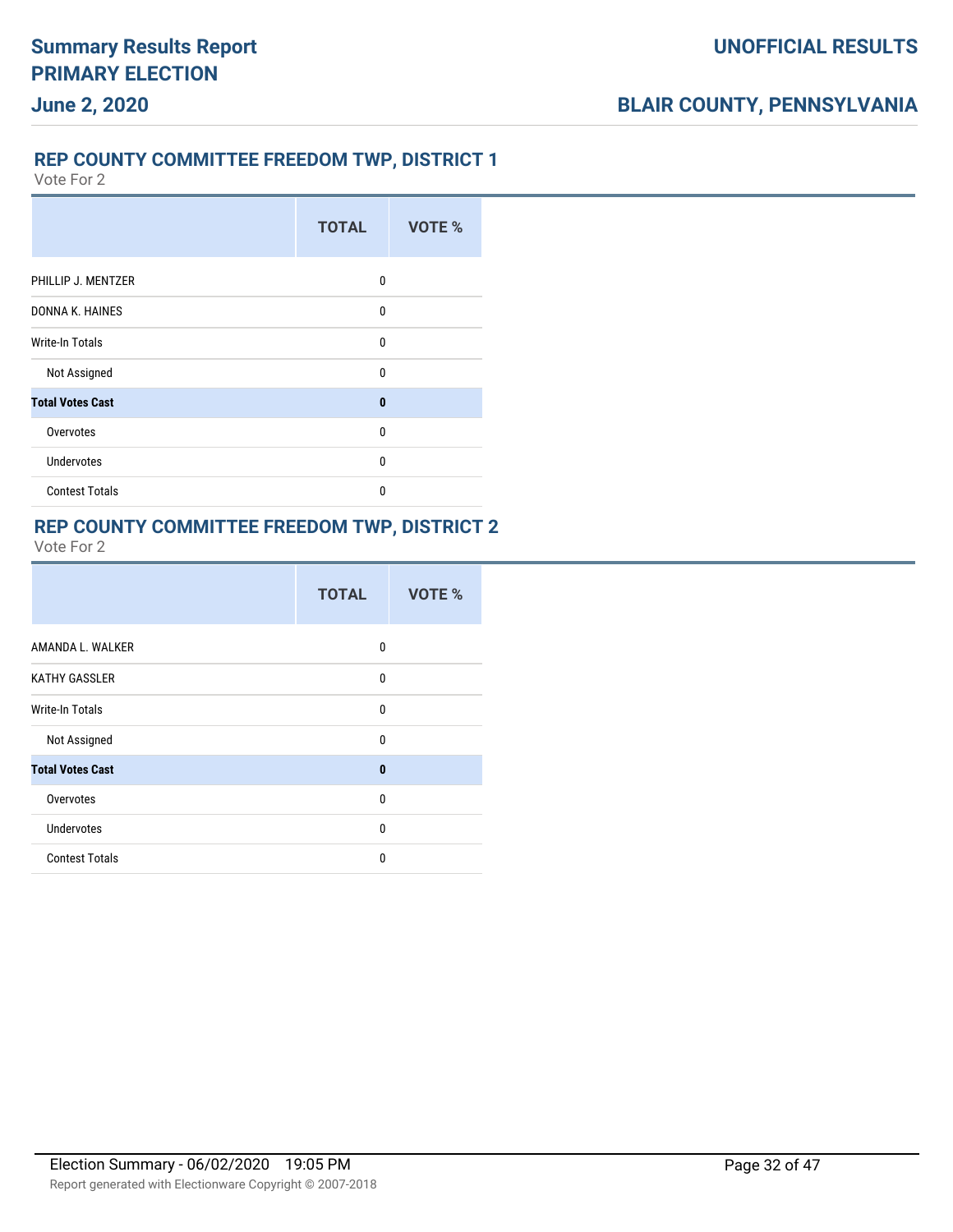# **June 2, 2020**

### **REP COUNTY COMMITTEE FREEDOM TWP, DISTRICT 1**

Vote For 2

|                         | <b>TOTAL</b> | VOTE % |
|-------------------------|--------------|--------|
| PHILLIP J. MENTZER      | 0            |        |
| DONNA K. HAINES         | 0            |        |
| <b>Write-In Totals</b>  | 0            |        |
| Not Assigned            | $\Omega$     |        |
| <b>Total Votes Cast</b> | $\bf{0}$     |        |
| Overvotes               | $\Omega$     |        |
| <b>Undervotes</b>       | 0            |        |
| <b>Contest Totals</b>   | $\Omega$     |        |

### **REP COUNTY COMMITTEE FREEDOM TWP, DISTRICT 2**

| <b>TOTAL</b> | VOTE % |
|--------------|--------|
| 0            |        |
| $\mathbf{0}$ |        |
| $\Omega$     |        |
| $\mathbf{0}$ |        |
| $\mathbf{0}$ |        |
| 0            |        |
| 0            |        |
| 0            |        |
|              |        |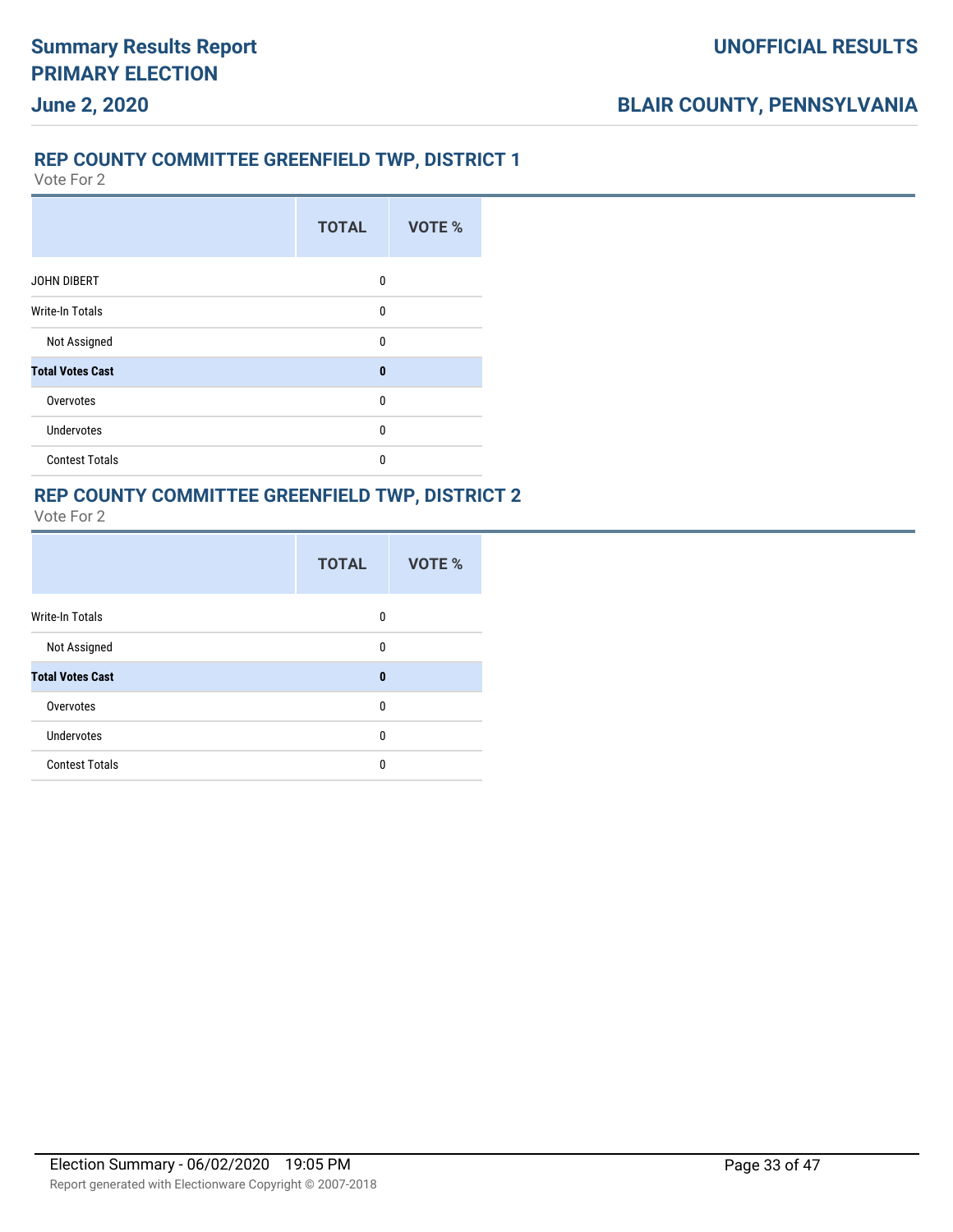## **June 2, 2020**

### **REP COUNTY COMMITTEE GREENFIELD TWP, DISTRICT 1**

Vote For 2

|                         | <b>TOTAL</b> | VOTE % |
|-------------------------|--------------|--------|
| <b>JOHN DIBERT</b>      | 0            |        |
| <b>Write-In Totals</b>  | $\mathbf{0}$ |        |
| Not Assigned            | $\mathbf{0}$ |        |
| <b>Total Votes Cast</b> | $\bf{0}$     |        |
| Overvotes               | $\mathbf{0}$ |        |
| Undervotes              | $\mathbf{0}$ |        |
| <b>Contest Totals</b>   | 0            |        |

# **REP COUNTY COMMITTEE GREENFIELD TWP, DISTRICT 2**

| -nte ⊢r |
|---------|
|---------|

|                         | <b>TOTAL</b> | VOTE % |
|-------------------------|--------------|--------|
| <b>Write-In Totals</b>  | 0            |        |
| Not Assigned            | 0            |        |
| <b>Total Votes Cast</b> | $\bf{0}$     |        |
| Overvotes               | 0            |        |
| <b>Undervotes</b>       | 0            |        |
| <b>Contest Totals</b>   | 0            |        |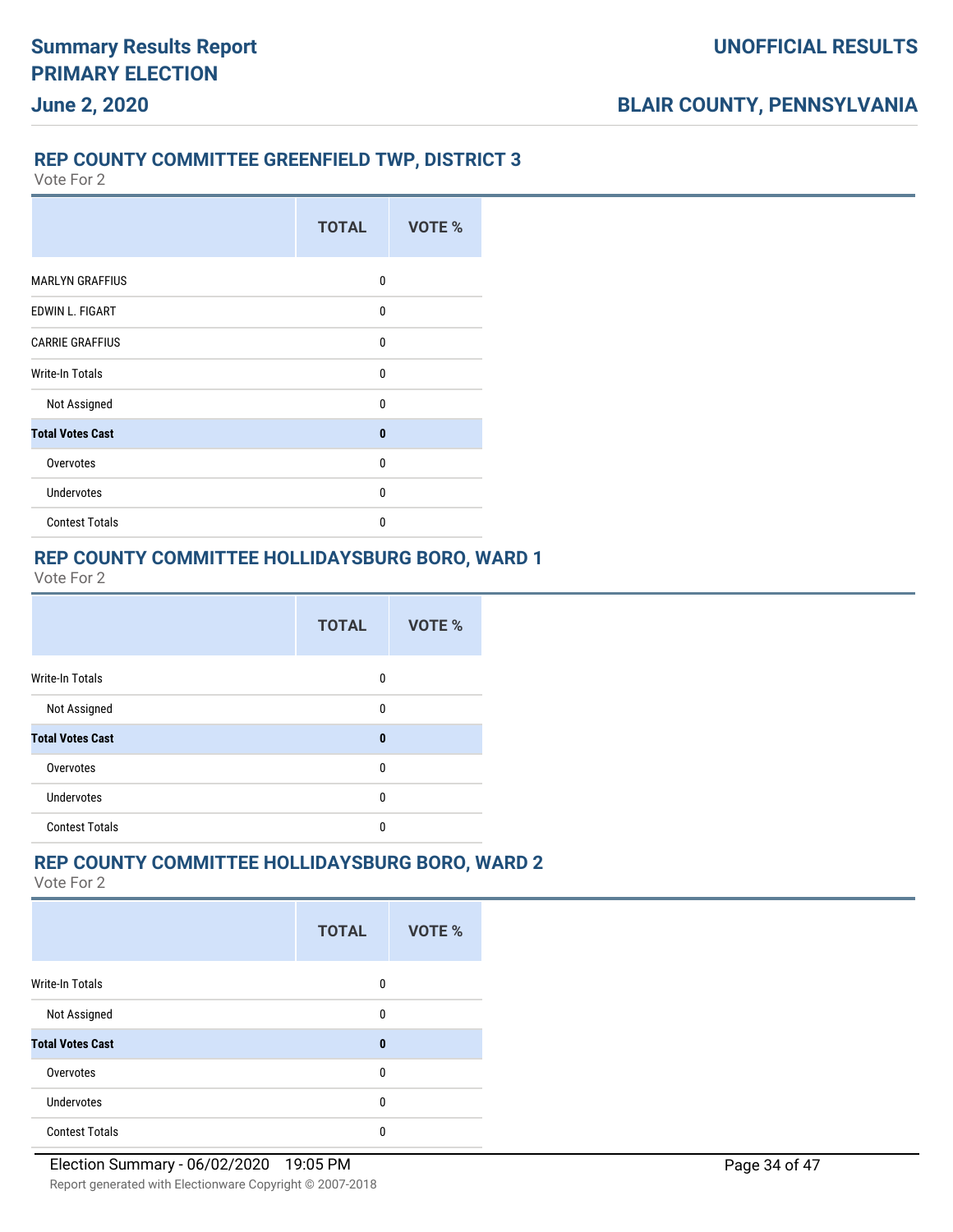### **REP COUNTY COMMITTEE GREENFIELD TWP, DISTRICT 3**

Vote For 2

|                         | <b>TOTAL</b> | VOTE % |
|-------------------------|--------------|--------|
| <b>MARLYN GRAFFIUS</b>  | $\Omega$     |        |
| EDWIN L. FIGART         | 0            |        |
| <b>CARRIE GRAFFIUS</b>  | $\mathbf{0}$ |        |
| Write-In Totals         | $\mathbf{0}$ |        |
| Not Assigned            | 0            |        |
| <b>Total Votes Cast</b> | 0            |        |
| Overvotes               | $\Omega$     |        |
| <b>Undervotes</b>       | $\mathbf{0}$ |        |
| <b>Contest Totals</b>   | $\Omega$     |        |

### **REP COUNTY COMMITTEE HOLLIDAYSBURG BORO, WARD 1**

Vote For 2

|                         | <b>TOTAL</b> | <b>VOTE %</b> |
|-------------------------|--------------|---------------|
| Write-In Totals         | $\mathbf{0}$ |               |
| Not Assigned            | $\mathbf{0}$ |               |
| <b>Total Votes Cast</b> | $\bf{0}$     |               |
| Overvotes               | $\theta$     |               |
| <b>Undervotes</b>       | 0            |               |
| <b>Contest Totals</b>   | 0            |               |

#### **REP COUNTY COMMITTEE HOLLIDAYSBURG BORO, WARD 2**

|                         | <b>TOTAL</b> | <b>VOTE %</b> |  |
|-------------------------|--------------|---------------|--|
| Write-In Totals         | 0            |               |  |
| Not Assigned            | 0            |               |  |
| <b>Total Votes Cast</b> | $\bf{0}$     |               |  |
| Overvotes               | 0            |               |  |
| <b>Undervotes</b>       | 0            |               |  |
| <b>Contest Totals</b>   | 0            |               |  |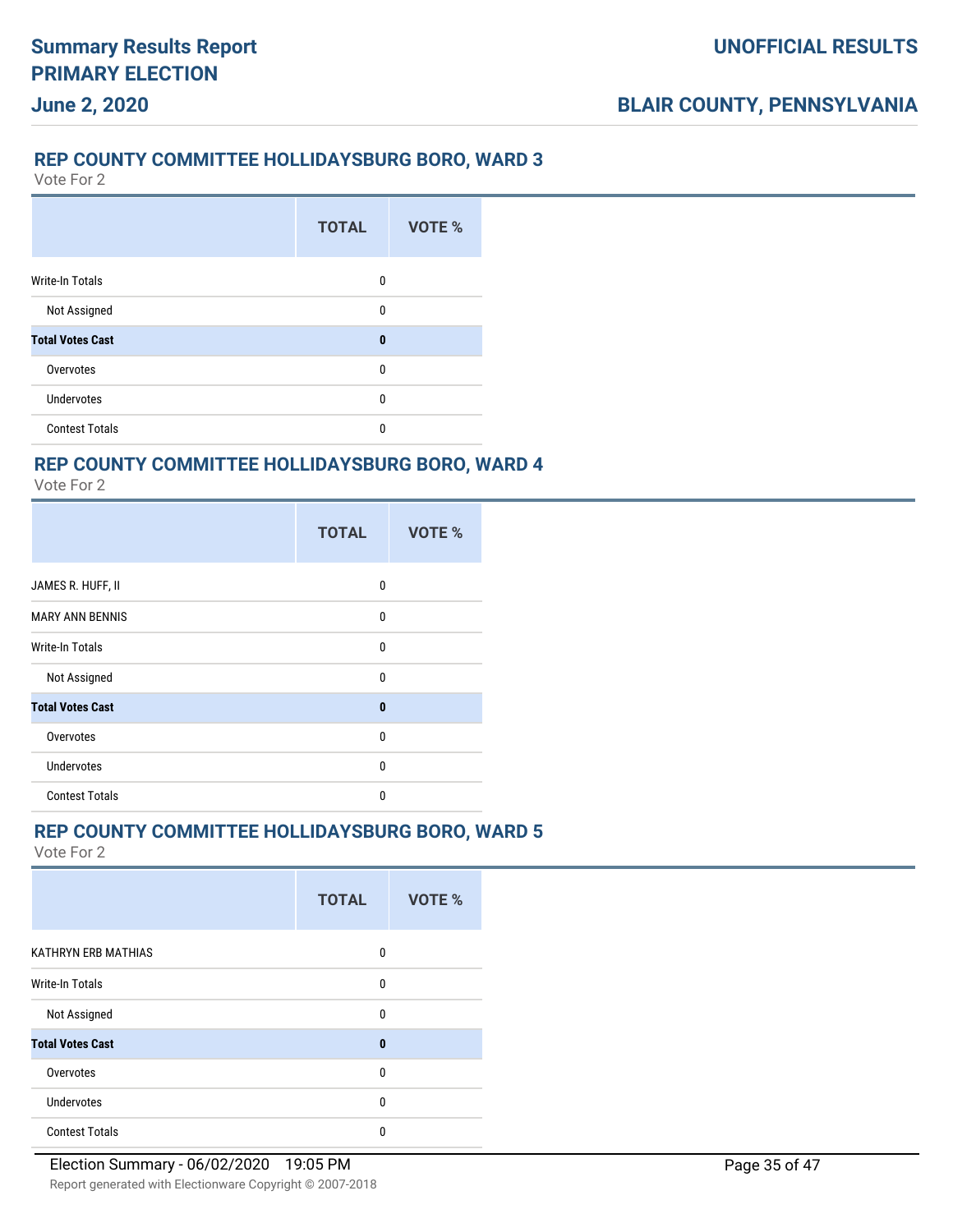#### **REP COUNTY COMMITTEE HOLLIDAYSBURG BORO, WARD 3**

Vote For 2

**June 2, 2020**

|                         | <b>TOTAL</b> | <b>VOTE %</b> |
|-------------------------|--------------|---------------|
| <b>Write-In Totals</b>  | 0            |               |
| Not Assigned            | 0            |               |
| <b>Total Votes Cast</b> | $\bf{0}$     |               |
| Overvotes               | 0            |               |
| <b>Undervotes</b>       | 0            |               |
| <b>Contest Totals</b>   | 0            |               |

### **REP COUNTY COMMITTEE HOLLIDAYSBURG BORO, WARD 4**

Vote For 2

|                         | <b>TOTAL</b> | VOTE % |
|-------------------------|--------------|--------|
| JAMES R. HUFF, II       | 0            |        |
| <b>MARY ANN BENNIS</b>  | 0            |        |
| <b>Write-In Totals</b>  | 0            |        |
| Not Assigned            | $\mathbf{0}$ |        |
| <b>Total Votes Cast</b> | $\bf{0}$     |        |
| Overvotes               | $\mathbf{0}$ |        |
| <b>Undervotes</b>       | 0            |        |
| <b>Contest Totals</b>   | $\mathbf{0}$ |        |

### **REP COUNTY COMMITTEE HOLLIDAYSBURG BORO, WARD 5**

|                         | <b>TOTAL</b> | <b>VOTE %</b> |
|-------------------------|--------------|---------------|
| KATHRYN ERB MATHIAS     | 0            |               |
| Write-In Totals         | 0            |               |
| Not Assigned            | 0            |               |
| <b>Total Votes Cast</b> | $\mathbf{0}$ |               |
| Overvotes               | 0            |               |
| Undervotes              | 0            |               |
| <b>Contest Totals</b>   | 0            |               |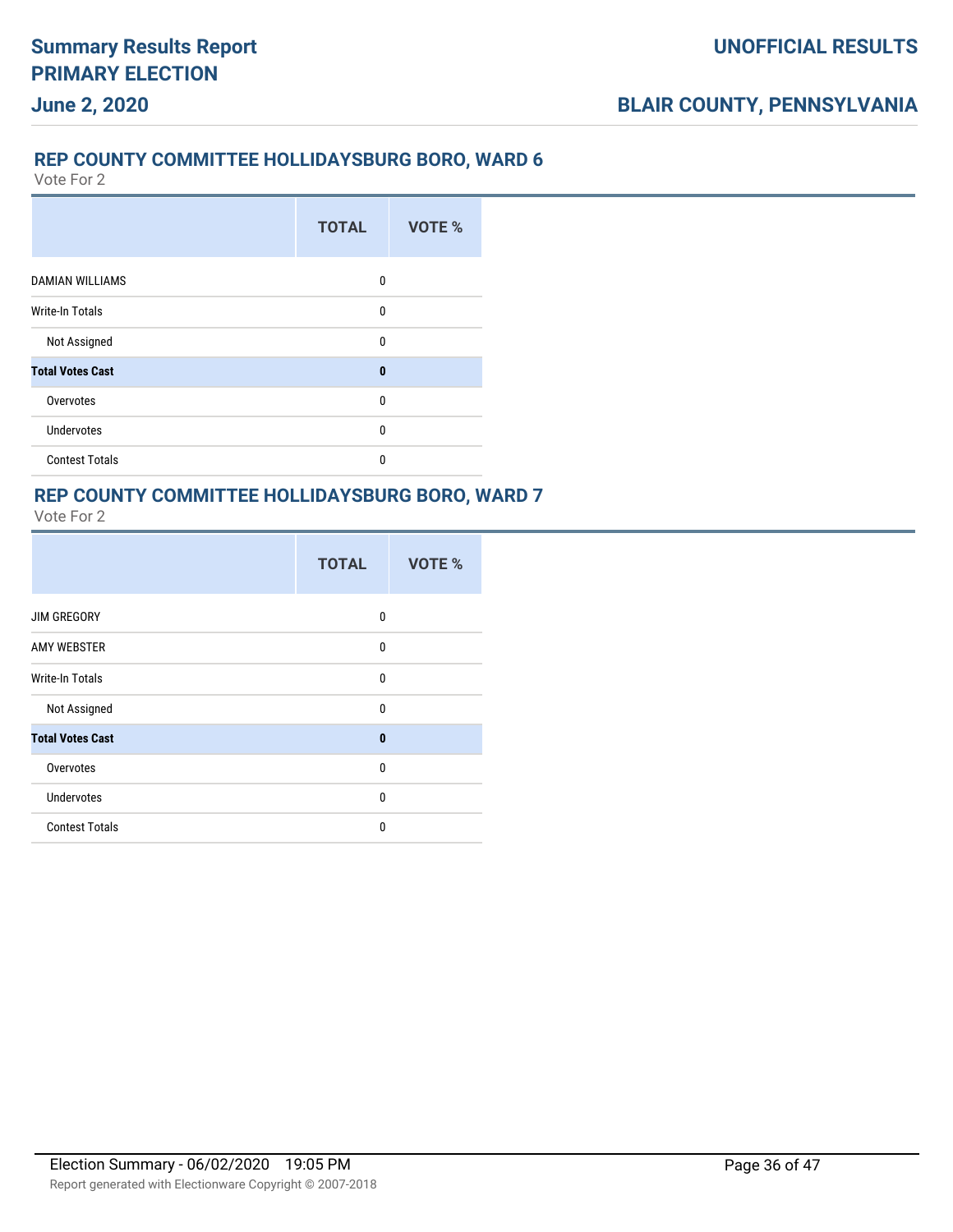### **REP COUNTY COMMITTEE HOLLIDAYSBURG BORO, WARD 6**

Vote For 2

|                         | <b>TOTAL</b> | VOTE % |
|-------------------------|--------------|--------|
| <b>DAMIAN WILLIAMS</b>  | $\Omega$     |        |
| <b>Write-In Totals</b>  | 0            |        |
| Not Assigned            | $\mathbf{0}$ |        |
| <b>Total Votes Cast</b> | $\bf{0}$     |        |
| Overvotes               | $\mathbf{0}$ |        |
| <b>Undervotes</b>       | $\mathbf{0}$ |        |
| <b>Contest Totals</b>   | 0            |        |

#### **REP COUNTY COMMITTEE HOLLIDAYSBURG BORO, WARD 7** Vote For 2

|                         | <b>TOTAL</b> | <b>VOTE %</b> |
|-------------------------|--------------|---------------|
| <b>JIM GREGORY</b>      | 0            |               |
| <b>AMY WEBSTER</b>      | $\Omega$     |               |
| <b>Write-In Totals</b>  | $\Omega$     |               |
| Not Assigned            | $\mathbf{0}$ |               |
| <b>Total Votes Cast</b> | $\mathbf{0}$ |               |
| Overvotes               | 0            |               |
| <b>Undervotes</b>       | $\Omega$     |               |
| <b>Contest Totals</b>   | $\Omega$     |               |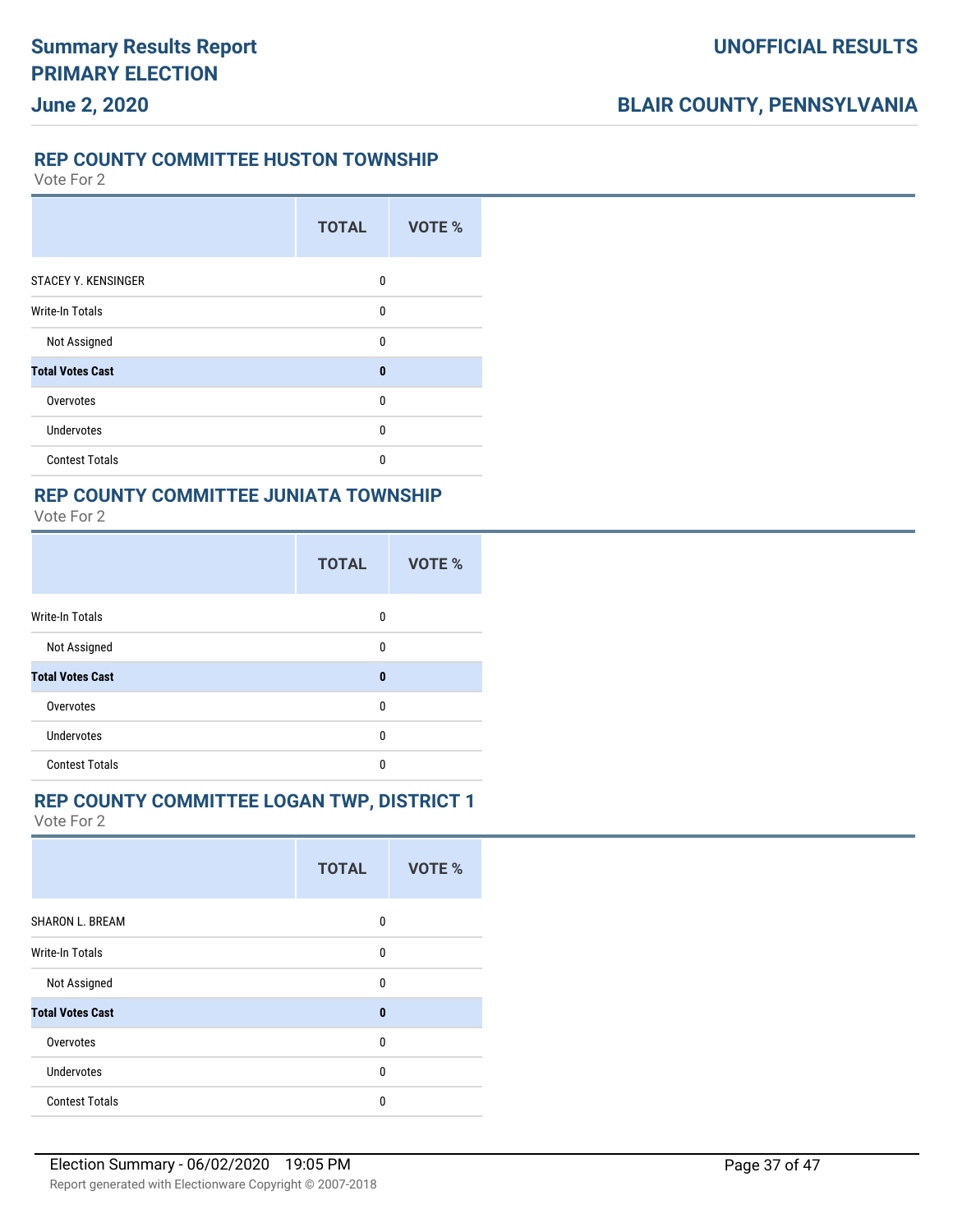#### **REP COUNTY COMMITTEE HUSTON TOWNSHIP**

Vote For 2

**June 2, 2020**

|                            | <b>TOTAL</b> | <b>VOTE %</b> |
|----------------------------|--------------|---------------|
| <b>STACEY Y. KENSINGER</b> | 0            |               |
| <b>Write-In Totals</b>     | 0            |               |
| Not Assigned               | $\mathbf{0}$ |               |
| <b>Total Votes Cast</b>    | $\bf{0}$     |               |
| Overvotes                  | 0            |               |
| Undervotes                 | 0            |               |
| <b>Contest Totals</b>      | 0            |               |

# **REP COUNTY COMMITTEE JUNIATA TOWNSHIP**

|  | Vote For 2 |  |
|--|------------|--|
|  |            |  |

|                         | <b>TOTAL</b> | VOTE % |
|-------------------------|--------------|--------|
| <b>Write-In Totals</b>  | 0            |        |
| Not Assigned            | $\mathbf{0}$ |        |
| <b>Total Votes Cast</b> | $\bf{0}$     |        |
| Overvotes               | 0            |        |
| <b>Undervotes</b>       | 0            |        |
| <b>Contest Totals</b>   | $\mathbf{0}$ |        |

#### **REP COUNTY COMMITTEE LOGAN TWP, DISTRICT 1**

|                         | <b>TOTAL</b> | VOTE % |
|-------------------------|--------------|--------|
| <b>SHARON L. BREAM</b>  | 0            |        |
| Write-In Totals         | 0            |        |
| Not Assigned            | $\mathbf{0}$ |        |
| <b>Total Votes Cast</b> | $\bf{0}$     |        |
| Overvotes               | 0            |        |
| Undervotes              | 0            |        |
| <b>Contest Totals</b>   | 0            |        |
|                         |              |        |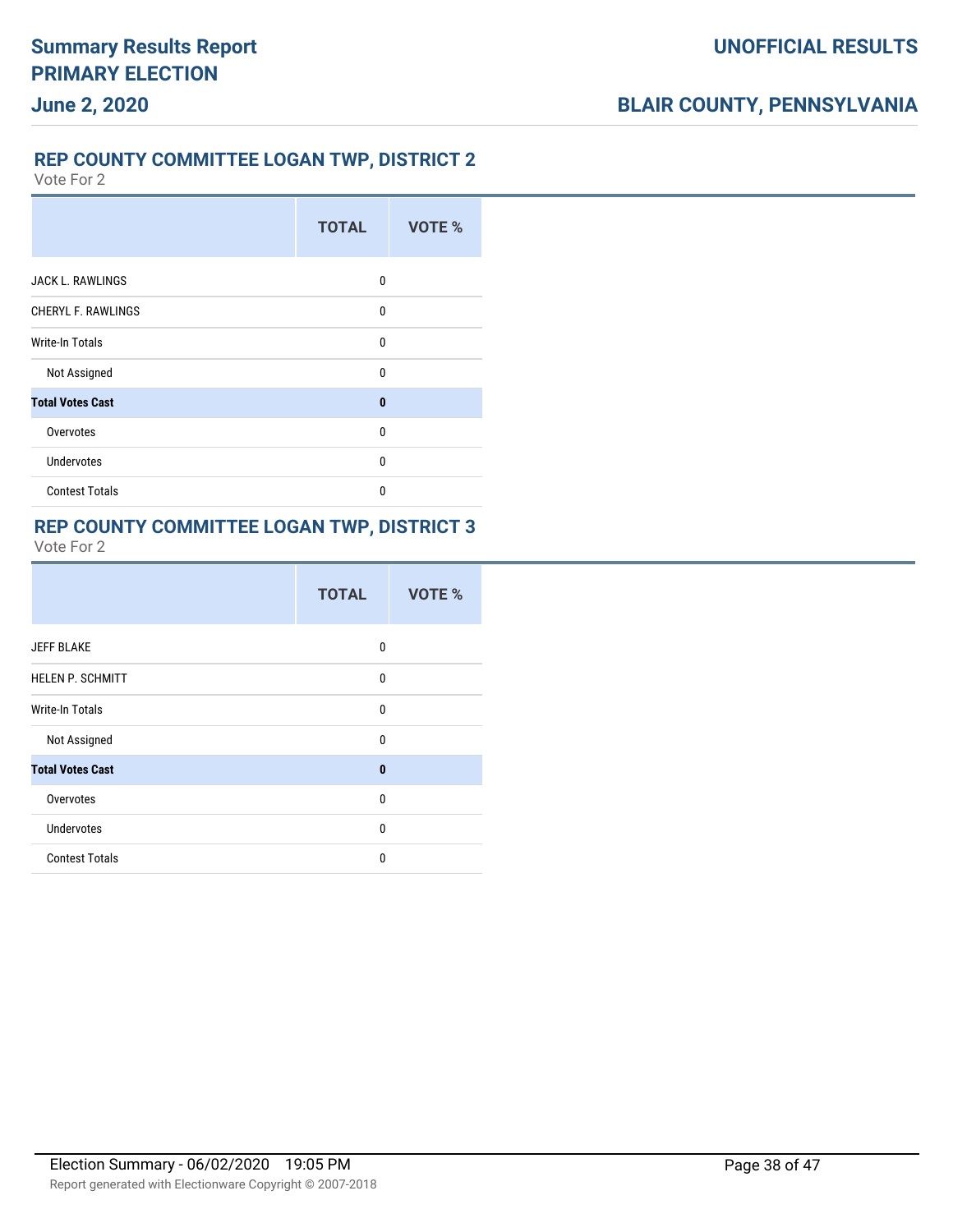# **REP COUNTY COMMITTEE LOGAN TWP, DISTRICT 2**

Vote For 2

|                           | <b>TOTAL</b> | <b>VOTE %</b> |
|---------------------------|--------------|---------------|
| <b>JACK L. RAWLINGS</b>   | 0            |               |
| <b>CHERYL F. RAWLINGS</b> | 0            |               |
| Write-In Totals           | $\mathbf{0}$ |               |
| Not Assigned              | $\Omega$     |               |
| <b>Total Votes Cast</b>   | $\bf{0}$     |               |
| Overvotes                 | $\Omega$     |               |
| <b>Undervotes</b>         | $\mathbf{0}$ |               |
| <b>Contest Totals</b>     | $\Omega$     |               |

### **REP COUNTY COMMITTEE LOGAN TWP, DISTRICT 3**

|                         | <b>TOTAL</b> | VOTE % |
|-------------------------|--------------|--------|
| <b>JEFF BLAKE</b>       | 0            |        |
| <b>HELEN P. SCHMITT</b> | $\mathbf{0}$ |        |
| <b>Write-In Totals</b>  | 0            |        |
| Not Assigned            | 0            |        |
| <b>Total Votes Cast</b> | $\mathbf{0}$ |        |
| Overvotes               | $\mathbf{0}$ |        |
| <b>Undervotes</b>       | 0            |        |
| <b>Contest Totals</b>   | 0            |        |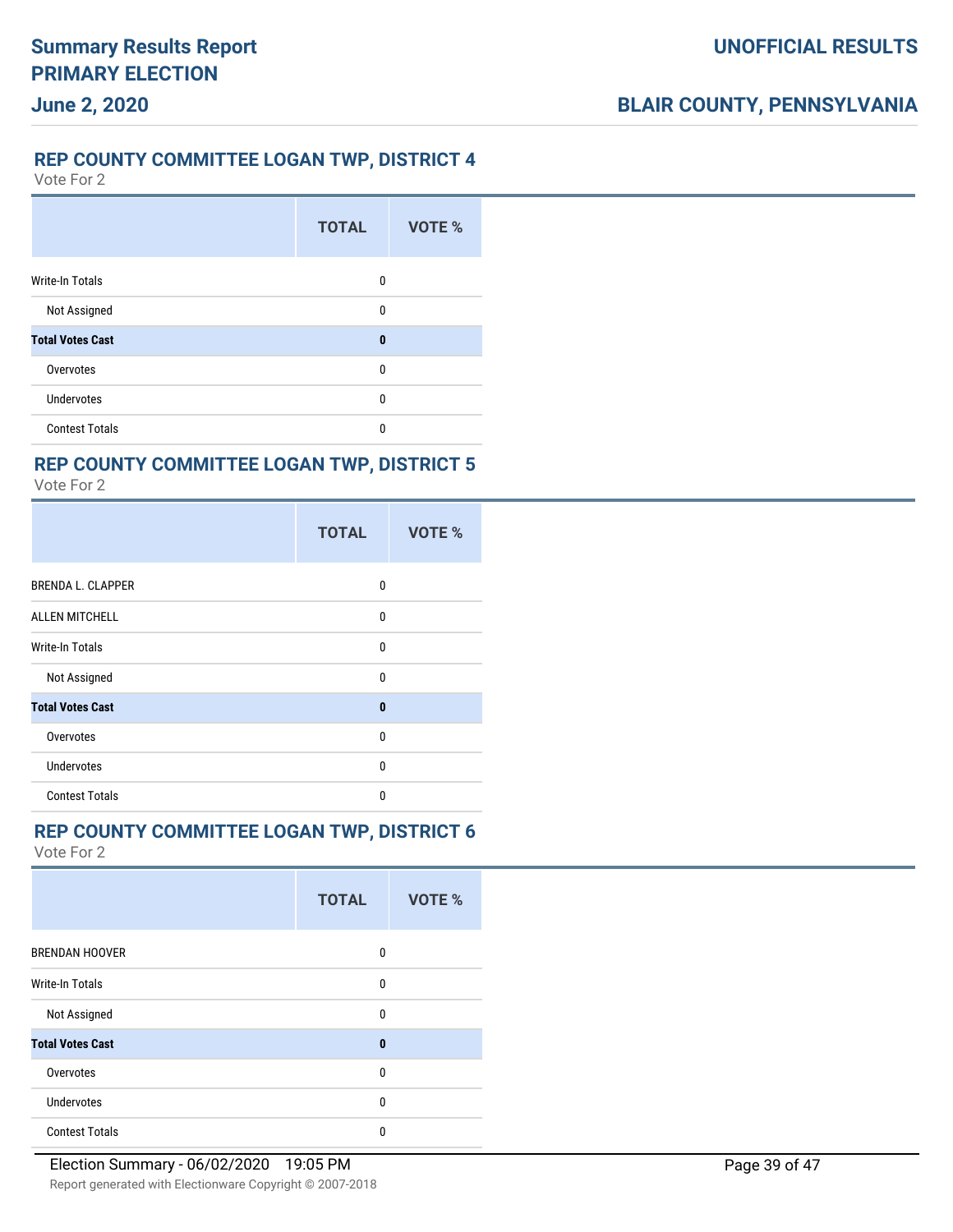#### **REP COUNTY COMMITTEE LOGAN TWP, DISTRICT 4**

Vote For 2

**June 2, 2020**

|                         | <b>TOTAL</b> | VOTE % |
|-------------------------|--------------|--------|
| <b>Write-In Totals</b>  | 0            |        |
| Not Assigned            | $\mathbf{0}$ |        |
| <b>Total Votes Cast</b> | $\bf{0}$     |        |
| Overvotes               | 0            |        |
| <b>Undervotes</b>       | $\mathbf{0}$ |        |
| <b>Contest Totals</b>   | 0            |        |

### **REP COUNTY COMMITTEE LOGAN TWP, DISTRICT 5**

Vote For 2

|                          | <b>TOTAL</b> | VOTE % |
|--------------------------|--------------|--------|
| <b>BRENDA L. CLAPPER</b> | 0            |        |
| <b>ALLEN MITCHELL</b>    | $\mathbf{0}$ |        |
| <b>Write-In Totals</b>   | 0            |        |
| Not Assigned             | $\Omega$     |        |
| <b>Total Votes Cast</b>  | $\bf{0}$     |        |
| Overvotes                | 0            |        |
| <b>Undervotes</b>        | $\Omega$     |        |
| <b>Contest Totals</b>    | $\Omega$     |        |

### **REP COUNTY COMMITTEE LOGAN TWP, DISTRICT 6**

|                         | <b>TOTAL</b> | <b>VOTE %</b> |
|-------------------------|--------------|---------------|
| <b>BRENDAN HOOVER</b>   | 0            |               |
| <b>Write-In Totals</b>  | $\mathbf{0}$ |               |
| Not Assigned            | $\mathbf{0}$ |               |
| <b>Total Votes Cast</b> | $\mathbf{0}$ |               |
| Overvotes               | 0            |               |
| Undervotes              | $\mathbf{0}$ |               |
| <b>Contest Totals</b>   | 0            |               |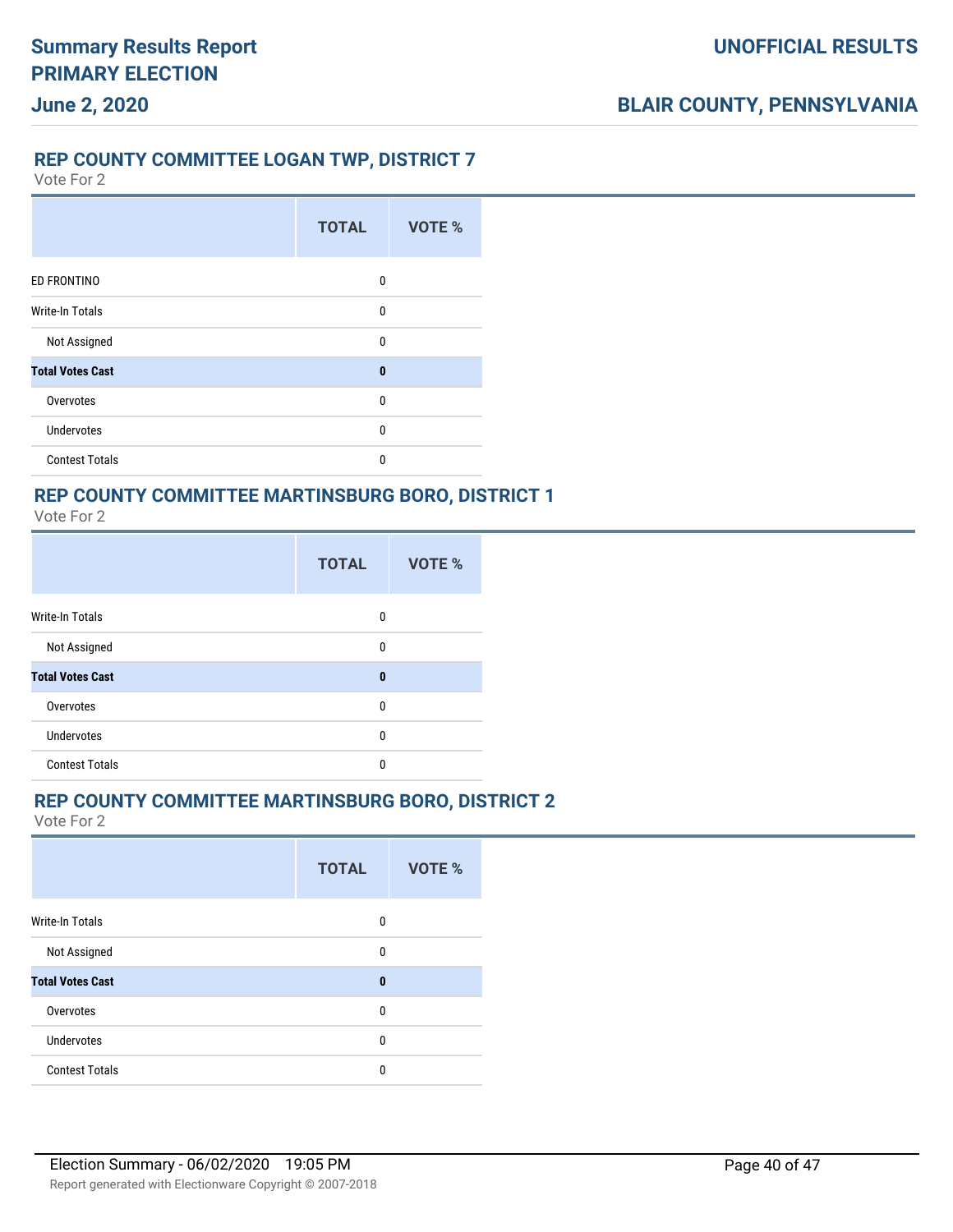### **REP COUNTY COMMITTEE LOGAN TWP, DISTRICT 7**

Vote For 2

**June 2, 2020**

|                         | <b>TOTAL</b> | VOTE % |
|-------------------------|--------------|--------|
| ED FRONTINO             | $\mathbf{0}$ |        |
| <b>Write-In Totals</b>  | $\mathbf{0}$ |        |
| Not Assigned            | $\mathbf{0}$ |        |
| <b>Total Votes Cast</b> | $\bf{0}$     |        |
| Overvotes               | $\mathbf{0}$ |        |
| <b>Undervotes</b>       | 0            |        |
| <b>Contest Totals</b>   | 0            |        |

# **REP COUNTY COMMITTEE MARTINSBURG BORO, DISTRICT 1**

Vote For 2

|                         | <b>TOTAL</b> | VOTE % |
|-------------------------|--------------|--------|
| Write-In Totals         | 0            |        |
| Not Assigned            | 0            |        |
| <b>Total Votes Cast</b> | $\bf{0}$     |        |
| Overvotes               | 0            |        |
| Undervotes              | 0            |        |
| <b>Contest Totals</b>   | 0            |        |

#### **REP COUNTY COMMITTEE MARTINSBURG BORO, DISTRICT 2**

|                         | <b>TOTAL</b> | <b>VOTE %</b> |
|-------------------------|--------------|---------------|
| Write-In Totals         | 0            |               |
| Not Assigned            | 0            |               |
| <b>Total Votes Cast</b> | $\bf{0}$     |               |
| Overvotes               | 0            |               |
| Undervotes              | 0            |               |
| <b>Contest Totals</b>   | $\mathbf{0}$ |               |
|                         |              |               |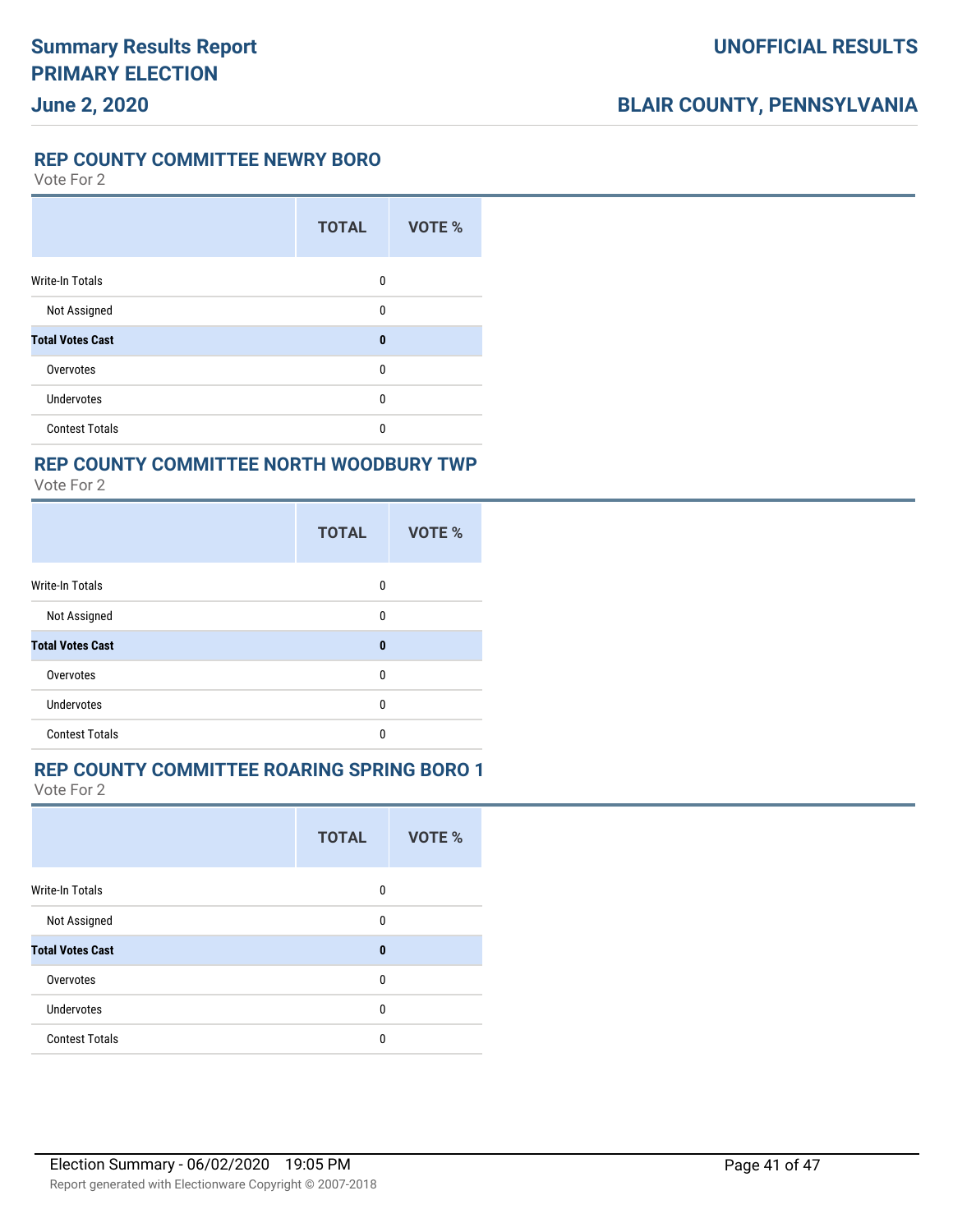**REP COUNTY COMMITTEE NEWRY BORO**

Vote For 2

|                         | <b>TOTAL</b> | VOTE % |
|-------------------------|--------------|--------|
| <b>Write-In Totals</b>  | 0            |        |
| Not Assigned            | 0            |        |
| <b>Total Votes Cast</b> | $\bf{0}$     |        |
| Overvotes               | $\mathbf{0}$ |        |
| <b>Undervotes</b>       | 0            |        |
| <b>Contest Totals</b>   | 0            |        |

### **REP COUNTY COMMITTEE NORTH WOODBURY TWP**

Vote For 2

|                         | <b>TOTAL</b> | VOTE % |
|-------------------------|--------------|--------|
| <b>Write-In Totals</b>  | 0            |        |
| Not Assigned            | 0            |        |
| <b>Total Votes Cast</b> | $\bf{0}$     |        |
| Overvotes               | 0            |        |
| <b>Undervotes</b>       | $\mathbf{0}$ |        |
| <b>Contest Totals</b>   | $\Omega$     |        |

### **REP COUNTY COMMITTEE ROARING SPRING BORO 1**

|                         | <b>TOTAL</b> | <b>VOTE %</b> |
|-------------------------|--------------|---------------|
| <b>Write-In Totals</b>  | 0            |               |
| Not Assigned            | 0            |               |
| <b>Total Votes Cast</b> | $\bf{0}$     |               |
| Overvotes               | 0            |               |
| <b>Undervotes</b>       | 0            |               |
| <b>Contest Totals</b>   | 0            |               |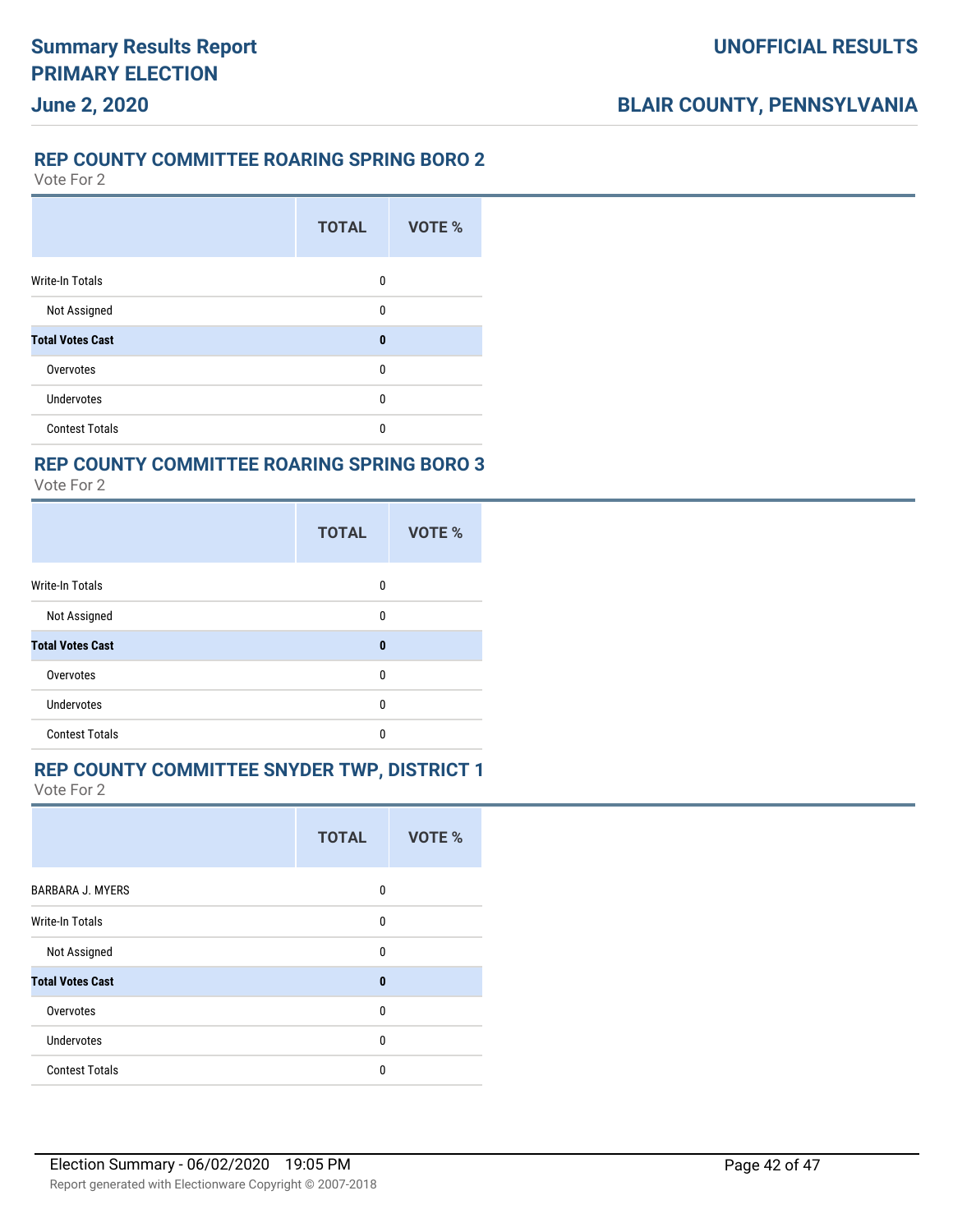#### **REP COUNTY COMMITTEE ROARING SPRING BORO 2**

Vote For 2

**June 2, 2020**

|                         | <b>TOTAL</b> | <b>VOTE %</b> |
|-------------------------|--------------|---------------|
| <b>Write-In Totals</b>  | 0            |               |
| Not Assigned            | 0            |               |
| <b>Total Votes Cast</b> | $\bf{0}$     |               |
| Overvotes               | 0            |               |
| <b>Undervotes</b>       | 0            |               |
| <b>Contest Totals</b>   | 0            |               |

### **REP COUNTY COMMITTEE ROARING SPRING BORO 3**

Vote For 2

|                         | <b>TOTAL</b> | VOTE % |
|-------------------------|--------------|--------|
| Write-In Totals         | 0            |        |
| Not Assigned            | 0            |        |
| <b>Total Votes Cast</b> | $\bf{0}$     |        |
| Overvotes               | 0            |        |
| <b>Undervotes</b>       | 0            |        |
| <b>Contest Totals</b>   | 0            |        |

### **REP COUNTY COMMITTEE SNYDER TWP, DISTRICT 1**

| <b>TOTAL</b> | <b>VOTE %</b> |
|--------------|---------------|
| 0            |               |
| 0            |               |
| 0            |               |
| $\bf{0}$     |               |
| $\Omega$     |               |
| 0            |               |
| $\Omega$     |               |
|              |               |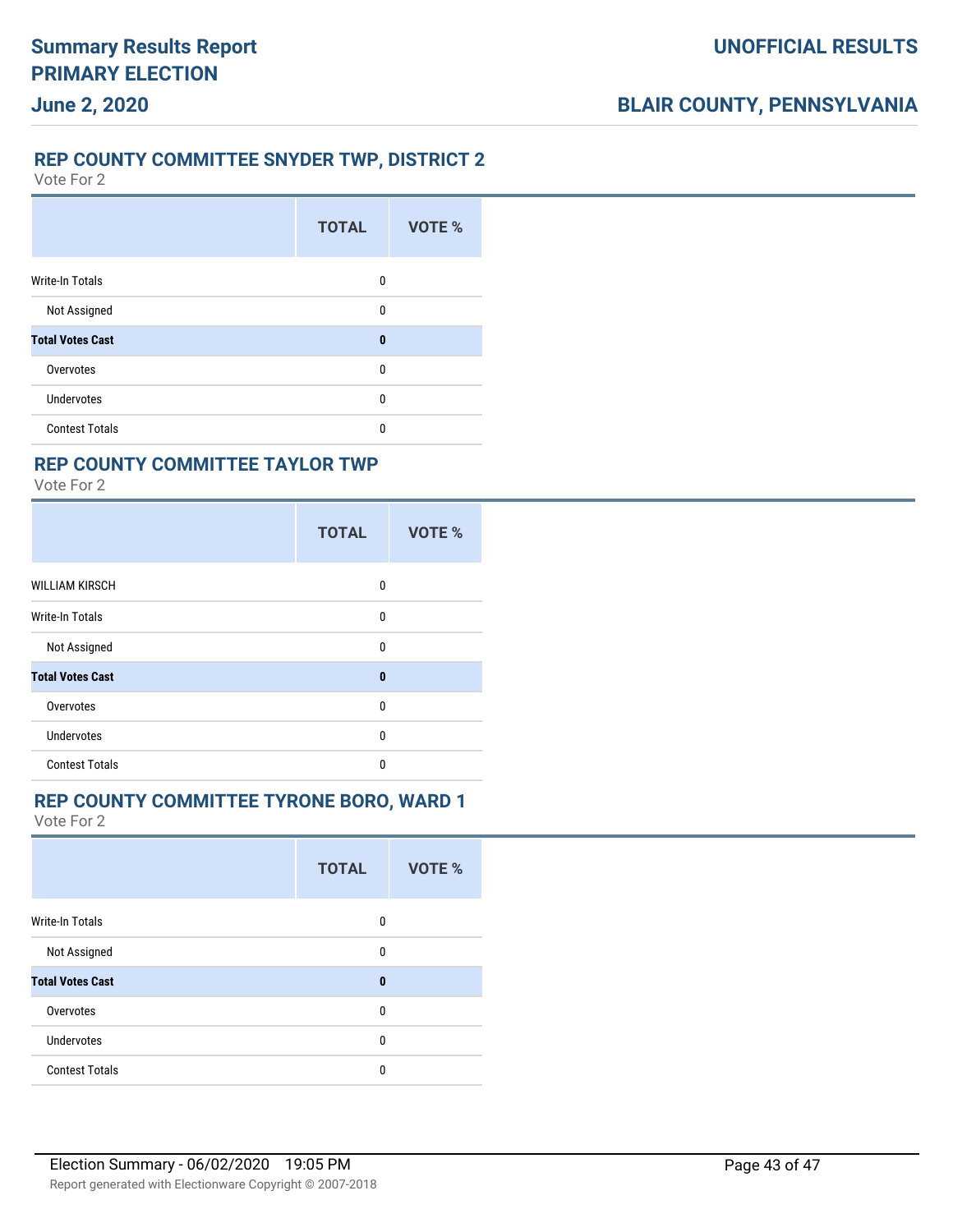#### **REP COUNTY COMMITTEE SNYDER TWP, DISTRICT 2**

Vote For 2

**June 2, 2020**

|                         | <b>TOTAL</b> | VOTE % |
|-------------------------|--------------|--------|
| <b>Write-In Totals</b>  | 0            |        |
| Not Assigned            | 0            |        |
| <b>Total Votes Cast</b> | $\bf{0}$     |        |
| Overvotes               | 0            |        |
| Undervotes              | 0            |        |
| <b>Contest Totals</b>   | 0            |        |
|                         |              |        |

### **REP COUNTY COMMITTEE TAYLOR TWP**

Vote For 2

|                         | <b>TOTAL</b> | VOTE % |
|-------------------------|--------------|--------|
| <b>WILLIAM KIRSCH</b>   | 0            |        |
| <b>Write-In Totals</b>  | 0            |        |
| Not Assigned            | 0            |        |
| <b>Total Votes Cast</b> | $\bf{0}$     |        |
| Overvotes               | 0            |        |
| <b>Undervotes</b>       | $\Omega$     |        |
| <b>Contest Totals</b>   | 0            |        |

#### **REP COUNTY COMMITTEE TYRONE BORO, WARD 1**

|                         | <b>TOTAL</b> | <b>VOTE %</b> |
|-------------------------|--------------|---------------|
| <b>Write-In Totals</b>  | 0            |               |
| Not Assigned            | 0            |               |
| <b>Total Votes Cast</b> | $\bf{0}$     |               |
| Overvotes               | 0            |               |
| Undervotes              | 0            |               |
| <b>Contest Totals</b>   | 0            |               |
|                         |              |               |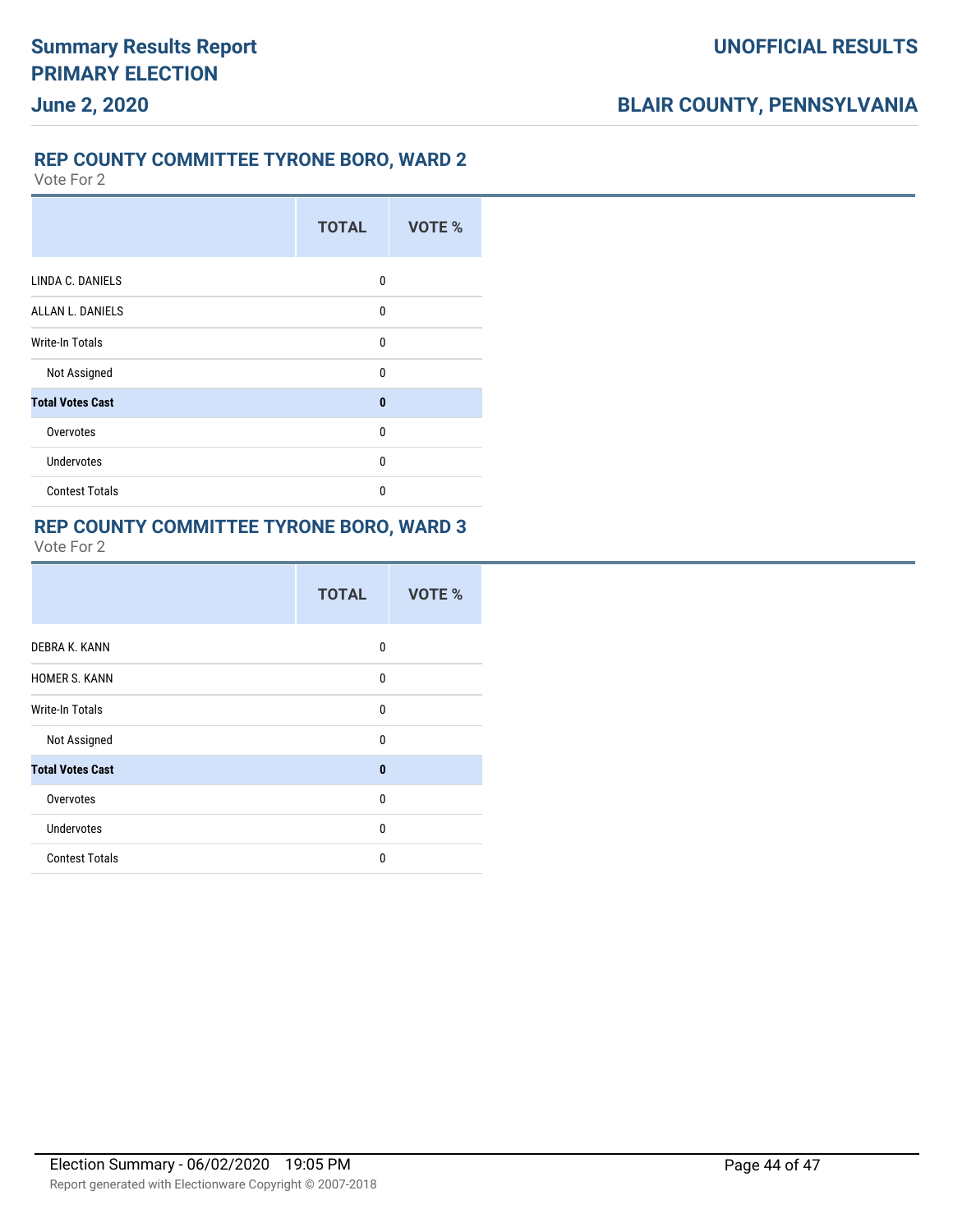### **REP COUNTY COMMITTEE TYRONE BORO, WARD 2**

Vote For 2

|                         | <b>TOTAL</b> | VOTE % |
|-------------------------|--------------|--------|
| LINDA C. DANIELS        | 0            |        |
| <b>ALLAN L. DANIELS</b> | 0            |        |
| Write-In Totals         | $\mathbf{0}$ |        |
| Not Assigned            | 0            |        |
| <b>Total Votes Cast</b> | $\bf{0}$     |        |
| Overvotes               | $\mathbf{0}$ |        |
| <b>Undervotes</b>       | 0            |        |
| <b>Contest Totals</b>   | $\mathbf{0}$ |        |

#### **REP COUNTY COMMITTEE TYRONE BORO, WARD 3**

|                         | <b>TOTAL</b> | <b>VOTE %</b> |
|-------------------------|--------------|---------------|
| DEBRA K. KANN           | 0            |               |
| <b>HOMER S. KANN</b>    | 0            |               |
| Write-In Totals         | 0            |               |
| Not Assigned            | 0            |               |
| <b>Total Votes Cast</b> | $\mathbf{0}$ |               |
| Overvotes               | 0            |               |
| <b>Undervotes</b>       | $\Omega$     |               |
| <b>Contest Totals</b>   | $\Omega$     |               |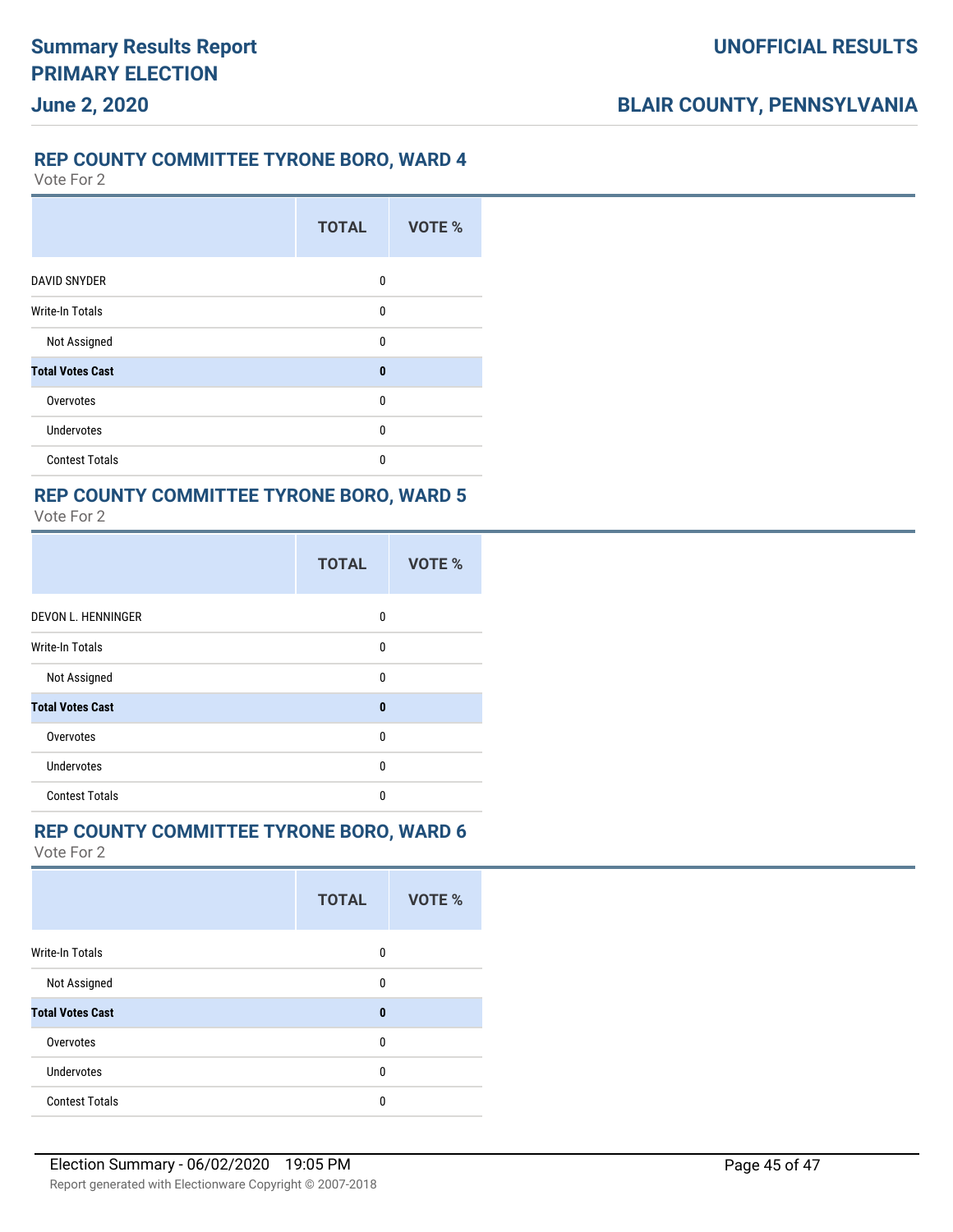### **REP COUNTY COMMITTEE TYRONE BORO, WARD 4**

Vote For 2

**June 2, 2020**

|                         | <b>TOTAL</b> | <b>VOTE %</b> |
|-------------------------|--------------|---------------|
| <b>DAVID SNYDER</b>     | 0            |               |
| <b>Write-In Totals</b>  | $\mathbf 0$  |               |
| Not Assigned            | $\mathbf 0$  |               |
| <b>Total Votes Cast</b> | $\bf{0}$     |               |
| Overvotes               | 0            |               |
| <b>Undervotes</b>       | $\mathbf{0}$ |               |
| <b>Contest Totals</b>   | 0            |               |

#### **REP COUNTY COMMITTEE TYRONE BORO, WARD 5** Vote For 2

|                         | <b>TOTAL</b> | <b>VOTE %</b> |
|-------------------------|--------------|---------------|
| DEVON L. HENNINGER      | 0            |               |
| <b>Write-In Totals</b>  | 0            |               |
| Not Assigned            | $\Omega$     |               |
| <b>Total Votes Cast</b> | $\bf{0}$     |               |
| Overvotes               | 0            |               |
| <b>Undervotes</b>       | 0            |               |
| <b>Contest Totals</b>   | 0            |               |

### **REP COUNTY COMMITTEE TYRONE BORO, WARD 6**

|                         | <b>TOTAL</b> | VOTE % |
|-------------------------|--------------|--------|
| Write-In Totals         | 0            |        |
| Not Assigned            | $\Omega$     |        |
| <b>Total Votes Cast</b> | $\bf{0}$     |        |
| Overvotes               | $\Omega$     |        |
| <b>Undervotes</b>       | 0            |        |
| <b>Contest Totals</b>   | $\Omega$     |        |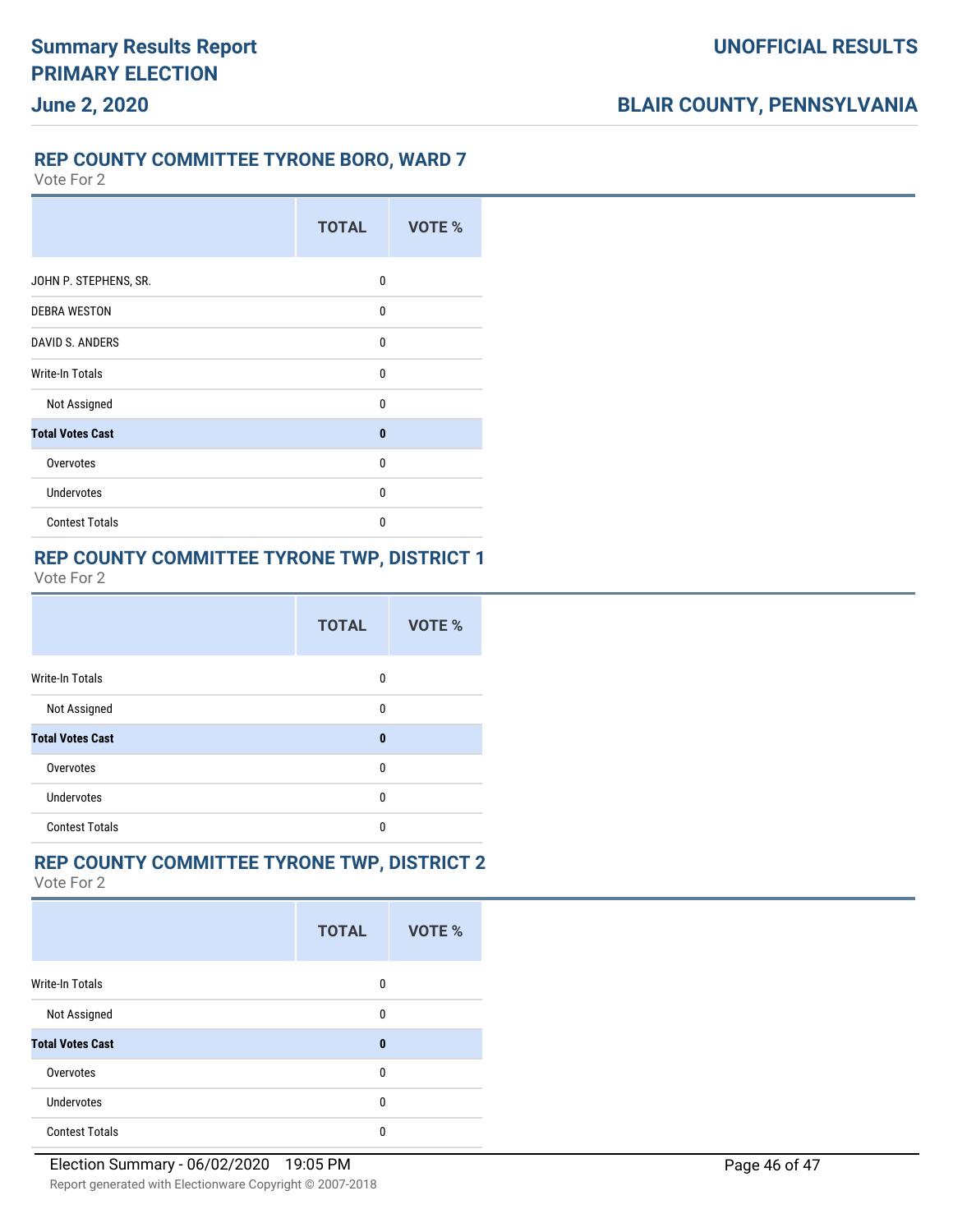### **REP COUNTY COMMITTEE TYRONE BORO, WARD 7**

Vote For 2

|                         | <b>TOTAL</b> | VOTE % |
|-------------------------|--------------|--------|
| JOHN P. STEPHENS, SR.   | 0            |        |
| <b>DEBRA WESTON</b>     | 0            |        |
| <b>DAVID S. ANDERS</b>  | 0            |        |
| Write-In Totals         | $\Omega$     |        |
| Not Assigned            | 0            |        |
| <b>Total Votes Cast</b> | $\bf{0}$     |        |
| Overvotes               | 0            |        |
| <b>Undervotes</b>       | $\Omega$     |        |
| <b>Contest Totals</b>   | $\Omega$     |        |

### **REP COUNTY COMMITTEE TYRONE TWP, DISTRICT 1**

Vote For 2

|                         | <b>TOTAL</b> | VOTE % |
|-------------------------|--------------|--------|
| Write-In Totals         | 0            |        |
| Not Assigned            | 0            |        |
| <b>Total Votes Cast</b> | $\bf{0}$     |        |
| Overvotes               | 0            |        |
| <b>Undervotes</b>       | 0            |        |
| <b>Contest Totals</b>   | 0            |        |

### **REP COUNTY COMMITTEE TYRONE TWP, DISTRICT 2**

|                         | <b>TOTAL</b> | <b>VOTE %</b> |
|-------------------------|--------------|---------------|
| Write-In Totals         | 0            |               |
| Not Assigned            | 0            |               |
| <b>Total Votes Cast</b> | 0            |               |
| Overvotes               | 0            |               |
| Undervotes              | 0            |               |
| <b>Contest Totals</b>   | 0            |               |